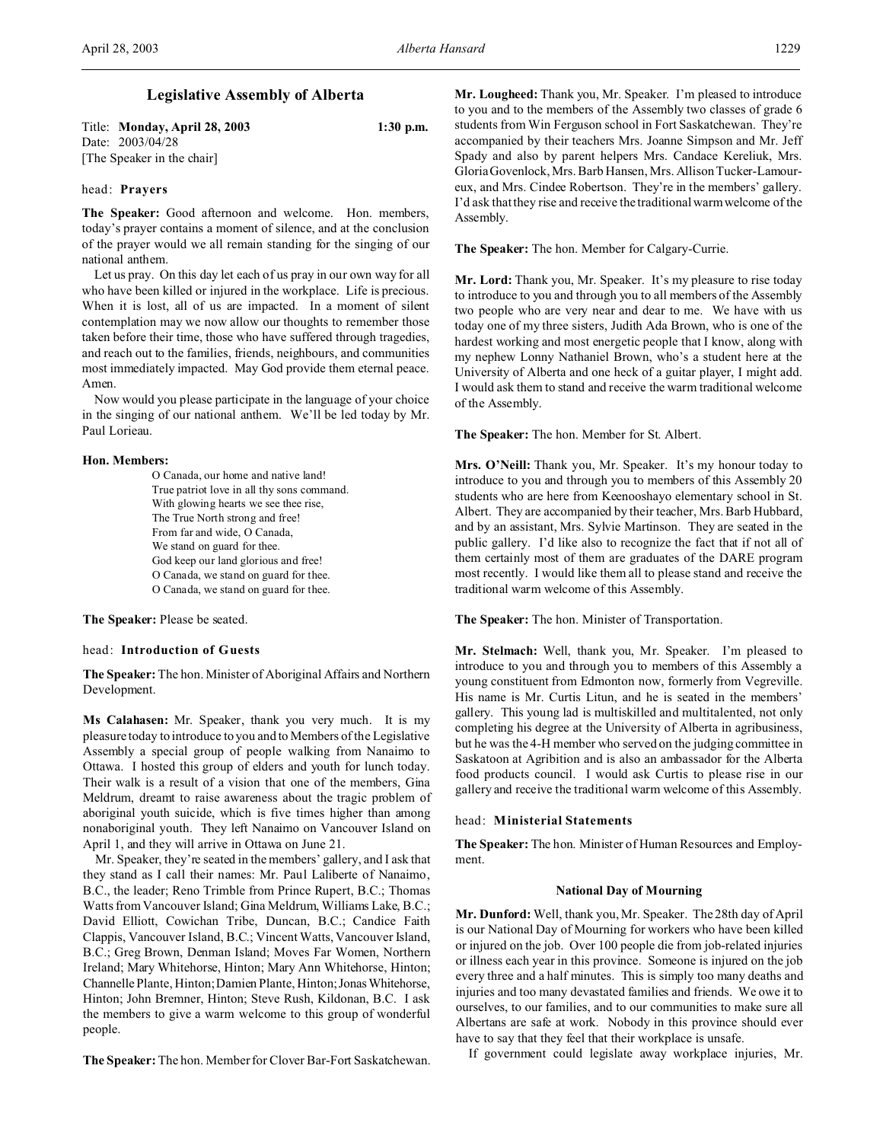Title: **Monday, April 28, 2003 1:30 p.m.** Date: 2003/04/28 [The Speaker in the chair]

### head: **Prayers**

**The Speaker:** Good afternoon and welcome. Hon. members, today's prayer contains a moment of silence, and at the conclusion of the prayer would we all remain standing for the singing of our national anthem.

Let us pray. On this day let each of us pray in our own way for all who have been killed or injured in the workplace. Life is precious. When it is lost, all of us are impacted. In a moment of silent contemplation may we now allow our thoughts to remember those taken before their time, those who have suffered through tragedies, and reach out to the families, friends, neighbours, and communities most immediately impacted. May God provide them eternal peace. Amen.

Now would you please participate in the language of your choice in the singing of our national anthem. We'll be led today by Mr. Paul Lorieau.

# **Hon. Members:**

O Canada, our home and native land! True patriot love in all thy sons command. With glowing hearts we see thee rise, The True North strong and free! From far and wide, O Canada, We stand on guard for thee. God keep our land glorious and free! O Canada, we stand on guard for thee. O Canada, we stand on guard for thee.

**The Speaker:** Please be seated.

# head: **Introduction of Guests**

**The Speaker:** The hon. Minister of Aboriginal Affairs and Northern Development.

**Ms Calahasen:** Mr. Speaker, thank you very much. It is my pleasure today to introduce to you and to Members of the Legislative Assembly a special group of people walking from Nanaimo to Ottawa. I hosted this group of elders and youth for lunch today. Their walk is a result of a vision that one of the members, Gina Meldrum, dreamt to raise awareness about the tragic problem of aboriginal youth suicide, which is five times higher than among nonaboriginal youth. They left Nanaimo on Vancouver Island on April 1, and they will arrive in Ottawa on June 21.

Mr. Speaker, they're seated in the members' gallery, and I ask that they stand as I call their names: Mr. Paul Laliberte of Nanaimo, B.C., the leader; Reno Trimble from Prince Rupert, B.C.; Thomas Watts from Vancouver Island; Gina Meldrum, Williams Lake, B.C.; David Elliott, Cowichan Tribe, Duncan, B.C.; Candice Faith Clappis, Vancouver Island, B.C.; Vincent Watts, Vancouver Island, B.C.; Greg Brown, Denman Island; Moves Far Women, Northern Ireland; Mary Whitehorse, Hinton; Mary Ann Whitehorse, Hinton; Channelle Plante, Hinton; Damien Plante, Hinton; JonasWhitehorse, Hinton; John Bremner, Hinton; Steve Rush, Kildonan, B.C. I ask the members to give a warm welcome to this group of wonderful people.

**The Speaker:** The hon. Member for Clover Bar-Fort Saskatchewan.

**Mr. Lougheed:** Thank you, Mr. Speaker. I'm pleased to introduce to you and to the members of the Assembly two classes of grade 6 students from Win Ferguson school in Fort Saskatchewan. They're accompanied by their teachers Mrs. Joanne Simpson and Mr. Jeff Spady and also by parent helpers Mrs. Candace Kereliuk, Mrs. Gloria Govenlock, Mrs. Barb Hansen, Mrs. Allison Tucker-Lamoureux, and Mrs. Cindee Robertson. They're in the members' gallery. I'd ask that they rise and receive the traditional warm welcome of the Assembly.

**The Speaker:** The hon. Member for Calgary-Currie.

**Mr. Lord:** Thank you, Mr. Speaker. It's my pleasure to rise today to introduce to you and through you to all members of the Assembly two people who are very near and dear to me. We have with us today one of my three sisters, Judith Ada Brown, who is one of the hardest working and most energetic people that I know, along with my nephew Lonny Nathaniel Brown, who's a student here at the University of Alberta and one heck of a guitar player, I might add. I would ask them to stand and receive the warm traditional welcome of the Assembly.

**The Speaker:** The hon. Member for St. Albert.

**Mrs. O'Neill:** Thank you, Mr. Speaker. It's my honour today to introduce to you and through you to members of this Assembly 20 students who are here from Keenooshayo elementary school in St. Albert. They are accompanied by their teacher, Mrs. Barb Hubbard, and by an assistant, Mrs. Sylvie Martinson. They are seated in the public gallery. I'd like also to recognize the fact that if not all of them certainly most of them are graduates of the DARE program most recently. I would like them all to please stand and receive the traditional warm welcome of this Assembly.

**The Speaker:** The hon. Minister of Transportation.

**Mr. Stelmach:** Well, thank you, Mr. Speaker. I'm pleased to introduce to you and through you to members of this Assembly a young constituent from Edmonton now, formerly from Vegreville. His name is Mr. Curtis Litun, and he is seated in the members' gallery. This young lad is multiskilled and multitalented, not only completing his degree at the University of Alberta in agribusiness, but he was the 4-H member who served on the judging committee in Saskatoon at Agribition and is also an ambassador for the Alberta food products council. I would ask Curtis to please rise in our gallery and receive the traditional warm welcome of this Assembly.

#### head: **Ministerial Statements**

**The Speaker:** The hon. Minister of Human Resources and Employment.

#### **National Day of Mourning**

**Mr. Dunford:** Well, thank you, Mr. Speaker. The 28th day of April is our National Day of Mourning for workers who have been killed or injured on the job. Over 100 people die from job-related injuries or illness each year in this province. Someone is injured on the job every three and a half minutes. This is simply too many deaths and injuries and too many devastated families and friends. We owe it to ourselves, to our families, and to our communities to make sure all Albertans are safe at work. Nobody in this province should ever have to say that they feel that their workplace is unsafe.

If government could legislate away workplace injuries, Mr.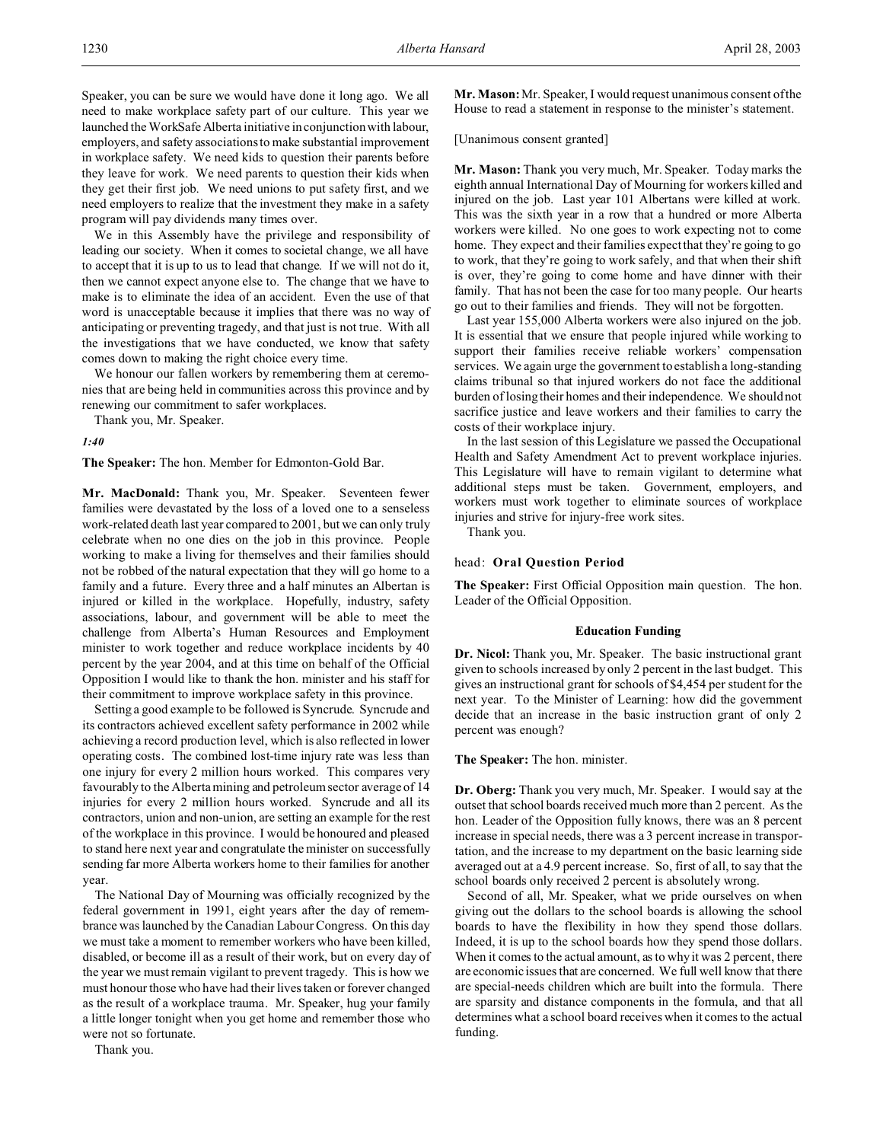Speaker, you can be sure we would have done it long ago. We all need to make workplace safety part of our culture. This year we launched the WorkSafe Alberta initiative in conjunction with labour, employers, and safety associations to make substantial improvement in workplace safety. We need kids to question their parents before they leave for work. We need parents to question their kids when they get their first job. We need unions to put safety first, and we need employers to realize that the investment they make in a safety program will pay dividends many times over.

We in this Assembly have the privilege and responsibility of leading our society. When it comes to societal change, we all have to accept that it is up to us to lead that change. If we will not do it, then we cannot expect anyone else to. The change that we have to make is to eliminate the idea of an accident. Even the use of that word is unacceptable because it implies that there was no way of anticipating or preventing tragedy, and that just is not true. With all the investigations that we have conducted, we know that safety comes down to making the right choice every time.

We honour our fallen workers by remembering them at ceremonies that are being held in communities across this province and by renewing our commitment to safer workplaces.

Thank you, Mr. Speaker.

*1:40*

**The Speaker:** The hon. Member for Edmonton-Gold Bar.

**Mr. MacDonald:** Thank you, Mr. Speaker. Seventeen fewer families were devastated by the loss of a loved one to a senseless work-related death last year compared to 2001, but we can only truly celebrate when no one dies on the job in this province. People working to make a living for themselves and their families should not be robbed of the natural expectation that they will go home to a family and a future. Every three and a half minutes an Albertan is injured or killed in the workplace. Hopefully, industry, safety associations, labour, and government will be able to meet the challenge from Alberta's Human Resources and Employment minister to work together and reduce workplace incidents by 40 percent by the year 2004, and at this time on behalf of the Official Opposition I would like to thank the hon. minister and his staff for their commitment to improve workplace safety in this province.

Setting a good example to be followed is Syncrude. Syncrude and its contractors achieved excellent safety performance in 2002 while achieving a record production level, which is also reflected in lower operating costs. The combined lost-time injury rate was less than one injury for every 2 million hours worked. This compares very favourably to the Alberta mining and petroleum sector average of 14 injuries for every 2 million hours worked. Syncrude and all its contractors, union and non-union, are setting an example for the rest of the workplace in this province. I would be honoured and pleased to stand here next year and congratulate the minister on successfully sending far more Alberta workers home to their families for another year.

The National Day of Mourning was officially recognized by the federal government in 1991, eight years after the day of remembrance was launched by the Canadian Labour Congress. On this day we must take a moment to remember workers who have been killed, disabled, or become ill as a result of their work, but on every day of the year we must remain vigilant to prevent tragedy. This is how we must honour those who have had their lives taken or forever changed as the result of a workplace trauma. Mr. Speaker, hug your family a little longer tonight when you get home and remember those who were not so fortunate.

**Mr. Mason:** Mr. Speaker, I would request unanimous consent of the House to read a statement in response to the minister's statement.

[Unanimous consent granted]

**Mr. Mason:** Thank you very much, Mr. Speaker. Today marks the eighth annual International Day of Mourning for workers killed and injured on the job. Last year 101 Albertans were killed at work. This was the sixth year in a row that a hundred or more Alberta workers were killed. No one goes to work expecting not to come home. They expect and their families expect that they're going to go to work, that they're going to work safely, and that when their shift is over, they're going to come home and have dinner with their family. That has not been the case for too many people. Our hearts go out to their families and friends. They will not be forgotten.

Last year 155,000 Alberta workers were also injured on the job. It is essential that we ensure that people injured while working to support their families receive reliable workers' compensation services. We again urge the government to establish a long-standing claims tribunal so that injured workers do not face the additional burden of losing their homes and their independence. We should not sacrifice justice and leave workers and their families to carry the costs of their workplace injury.

In the last session of this Legislature we passed the Occupational Health and Safety Amendment Act to prevent workplace injuries. This Legislature will have to remain vigilant to determine what additional steps must be taken. Government, employers, and workers must work together to eliminate sources of workplace injuries and strive for injury-free work sites.

Thank you.

### head: **Oral Question Period**

**The Speaker:** First Official Opposition main question. The hon. Leader of the Official Opposition.

#### **Education Funding**

**Dr. Nicol:** Thank you, Mr. Speaker. The basic instructional grant given to schools increased by only 2 percent in the last budget. This gives an instructional grant for schools of \$4,454 per student for the next year. To the Minister of Learning: how did the government decide that an increase in the basic instruction grant of only 2 percent was enough?

## **The Speaker:** The hon. minister.

**Dr. Oberg:** Thank you very much, Mr. Speaker. I would say at the outset that school boards received much more than 2 percent. As the hon. Leader of the Opposition fully knows, there was an 8 percent increase in special needs, there was a 3 percent increase in transportation, and the increase to my department on the basic learning side averaged out at a 4.9 percent increase. So, first of all, to say that the school boards only received 2 percent is absolutely wrong.

Second of all, Mr. Speaker, what we pride ourselves on when giving out the dollars to the school boards is allowing the school boards to have the flexibility in how they spend those dollars. Indeed, it is up to the school boards how they spend those dollars. When it comes to the actual amount, as to why it was 2 percent, there are economic issues that are concerned. We full well know that there are special-needs children which are built into the formula. There are sparsity and distance components in the formula, and that all determines what a school board receives when it comes to the actual funding.

Thank you.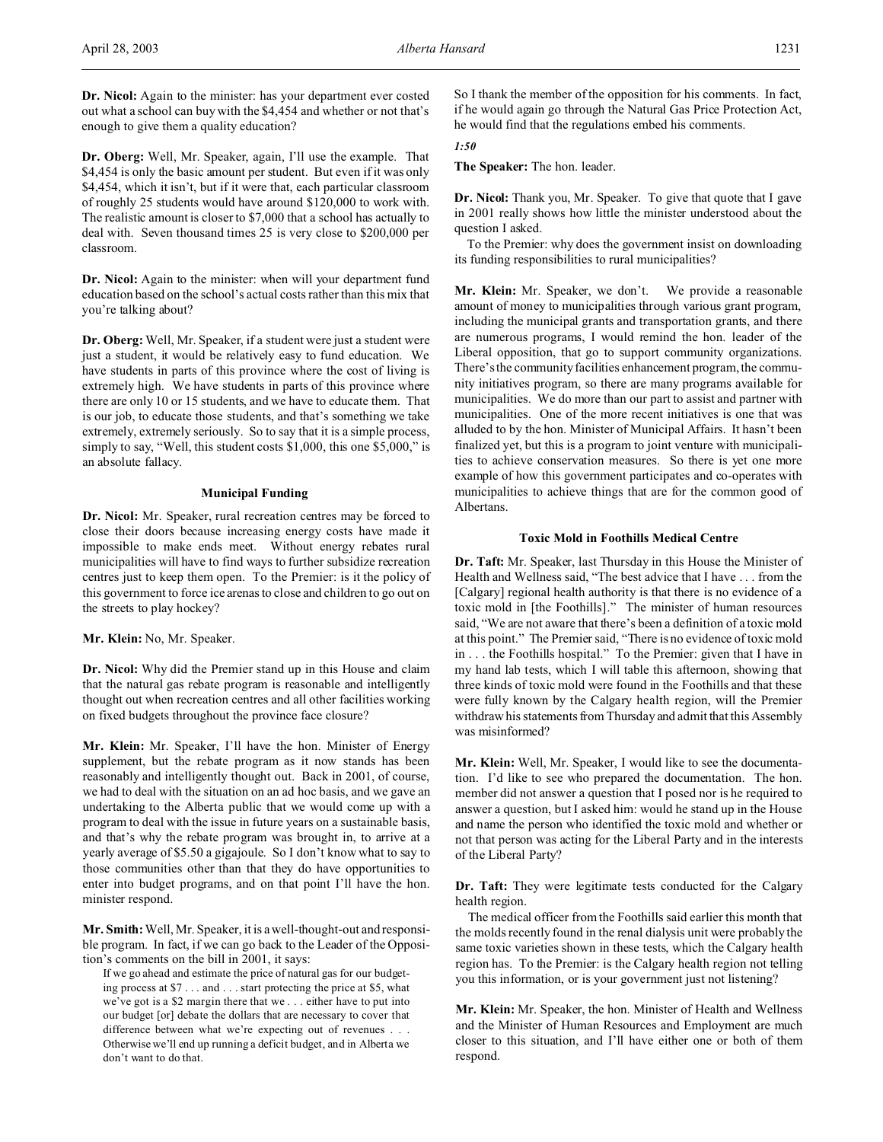**Dr. Nicol:** Again to the minister: has your department ever costed out what a school can buy with the \$4,454 and whether or not that's enough to give them a quality education?

**Dr. Oberg:** Well, Mr. Speaker, again, I'll use the example. That \$4,454 is only the basic amount per student. But even if it was only \$4,454, which it isn't, but if it were that, each particular classroom of roughly 25 students would have around \$120,000 to work with. The realistic amount is closer to \$7,000 that a school has actually to deal with. Seven thousand times 25 is very close to \$200,000 per classroom.

**Dr. Nicol:** Again to the minister: when will your department fund education based on the school's actual costs rather than this mix that you're talking about?

**Dr. Oberg:** Well, Mr. Speaker, if a student were just a student were just a student, it would be relatively easy to fund education. We have students in parts of this province where the cost of living is extremely high. We have students in parts of this province where there are only 10 or 15 students, and we have to educate them. That is our job, to educate those students, and that's something we take extremely, extremely seriously. So to say that it is a simple process, simply to say, "Well, this student costs \$1,000, this one \$5,000," is an absolute fallacy.

### **Municipal Funding**

**Dr. Nicol:** Mr. Speaker, rural recreation centres may be forced to close their doors because increasing energy costs have made it impossible to make ends meet. Without energy rebates rural municipalities will have to find ways to further subsidize recreation centres just to keep them open. To the Premier: is it the policy of this government to force ice arenas to close and children to go out on the streets to play hockey?

# **Mr. Klein:** No, Mr. Speaker.

**Dr. Nicol:** Why did the Premier stand up in this House and claim that the natural gas rebate program is reasonable and intelligently thought out when recreation centres and all other facilities working on fixed budgets throughout the province face closure?

**Mr. Klein:** Mr. Speaker, I'll have the hon. Minister of Energy supplement, but the rebate program as it now stands has been reasonably and intelligently thought out. Back in 2001, of course, we had to deal with the situation on an ad hoc basis, and we gave an undertaking to the Alberta public that we would come up with a program to deal with the issue in future years on a sustainable basis, and that's why the rebate program was brought in, to arrive at a yearly average of \$5.50 a gigajoule. So I don't know what to say to those communities other than that they do have opportunities to enter into budget programs, and on that point I'll have the hon. minister respond.

**Mr. Smith:** Well, Mr. Speaker, it is a well-thought-out and responsible program. In fact, if we can go back to the Leader of the Opposition's comments on the bill in 2001, it says:

If we go ahead and estimate the price of natural gas for our budgeting process at \$7 . . . and . . . start protecting the price at \$5, what we've got is a \$2 margin there that we . . . either have to put into our budget [or] debate the dollars that are necessary to cover that difference between what we're expecting out of revenues . . . Otherwise we'll end up running a deficit budget, and in Alberta we don't want to do that.

So I thank the member of the opposition for his comments. In fact, if he would again go through the Natural Gas Price Protection Act, he would find that the regulations embed his comments.

# *1:50*

**The Speaker:** The hon. leader.

**Dr. Nicol:** Thank you, Mr. Speaker. To give that quote that I gave in 2001 really shows how little the minister understood about the question I asked.

To the Premier: why does the government insist on downloading its funding responsibilities to rural municipalities?

**Mr. Klein:** Mr. Speaker, we don't. We provide a reasonable amount of money to municipalities through various grant program, including the municipal grants and transportation grants, and there are numerous programs, I would remind the hon. leader of the Liberal opposition, that go to support community organizations. There's the community facilities enhancement program, the community initiatives program, so there are many programs available for municipalities. We do more than our part to assist and partner with municipalities. One of the more recent initiatives is one that was alluded to by the hon. Minister of Municipal Affairs. It hasn't been finalized yet, but this is a program to joint venture with municipalities to achieve conservation measures. So there is yet one more example of how this government participates and co-operates with municipalities to achieve things that are for the common good of Albertans.

# **Toxic Mold in Foothills Medical Centre**

**Dr. Taft:** Mr. Speaker, last Thursday in this House the Minister of Health and Wellness said, "The best advice that I have . . . from the [Calgary] regional health authority is that there is no evidence of a toxic mold in [the Foothills]." The minister of human resources said, "We are not aware that there's been a definition of a toxic mold at this point." The Premier said, "There is no evidence of toxic mold in . . . the Foothills hospital." To the Premier: given that I have in my hand lab tests, which I will table this afternoon, showing that three kinds of toxic mold were found in the Foothills and that these were fully known by the Calgary health region, will the Premier withdraw his statements from Thursday and admit that this Assembly was misinformed?

**Mr. Klein:** Well, Mr. Speaker, I would like to see the documentation. I'd like to see who prepared the documentation. The hon. member did not answer a question that I posed nor is he required to answer a question, but I asked him: would he stand up in the House and name the person who identified the toxic mold and whether or not that person was acting for the Liberal Party and in the interests of the Liberal Party?

**Dr. Taft:** They were legitimate tests conducted for the Calgary health region.

The medical officer from the Foothills said earlier this month that the molds recently found in the renal dialysis unit were probably the same toxic varieties shown in these tests, which the Calgary health region has. To the Premier: is the Calgary health region not telling you this information, or is your government just not listening?

**Mr. Klein:** Mr. Speaker, the hon. Minister of Health and Wellness and the Minister of Human Resources and Employment are much closer to this situation, and I'll have either one or both of them respond.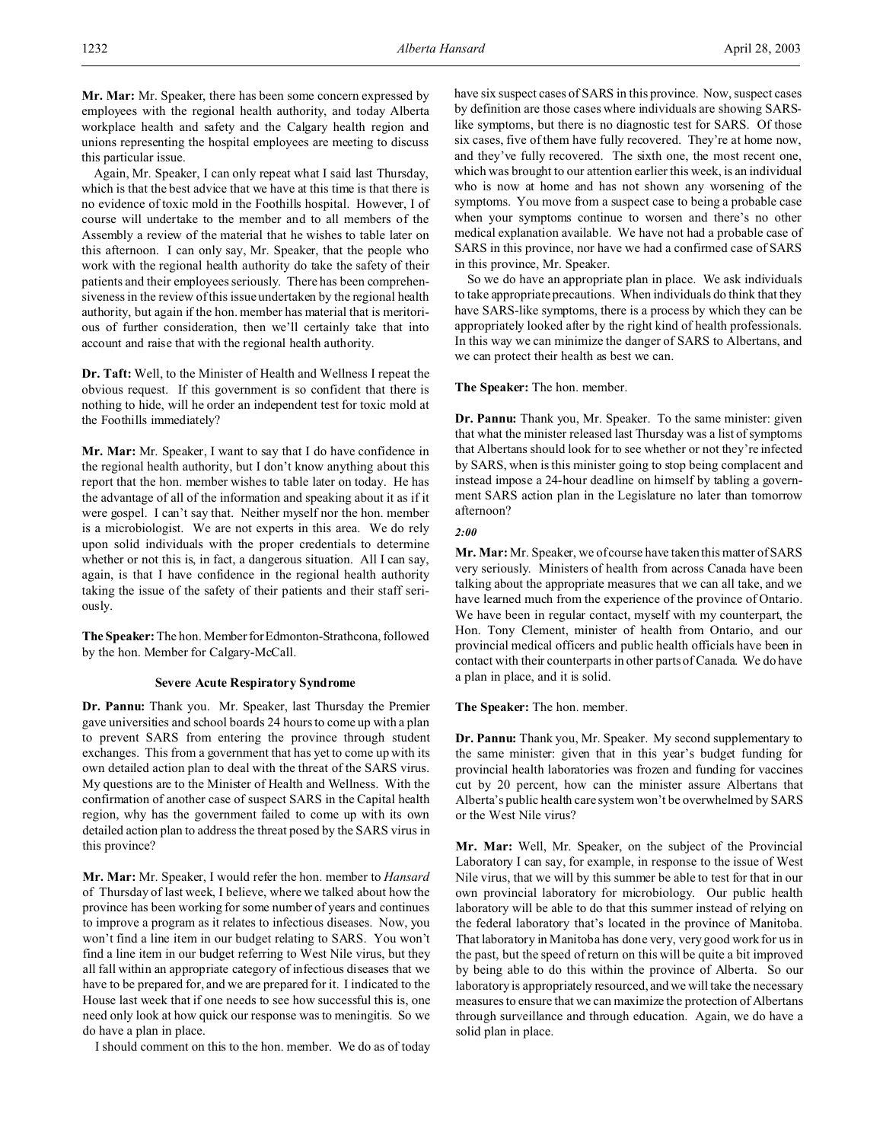**Mr. Mar:** Mr. Speaker, there has been some concern expressed by employees with the regional health authority, and today Alberta workplace health and safety and the Calgary health region and unions representing the hospital employees are meeting to discuss this particular issue.

Again, Mr. Speaker, I can only repeat what I said last Thursday, which is that the best advice that we have at this time is that there is no evidence of toxic mold in the Foothills hospital. However, I of course will undertake to the member and to all members of the Assembly a review of the material that he wishes to table later on this afternoon. I can only say, Mr. Speaker, that the people who work with the regional health authority do take the safety of their patients and their employees seriously. There has been comprehensiveness in the review of this issue undertaken by the regional health authority, but again if the hon. member has material that is meritorious of further consideration, then we'll certainly take that into account and raise that with the regional health authority.

**Dr. Taft:** Well, to the Minister of Health and Wellness I repeat the obvious request. If this government is so confident that there is nothing to hide, will he order an independent test for toxic mold at the Foothills immediately?

**Mr. Mar:** Mr. Speaker, I want to say that I do have confidence in the regional health authority, but I don't know anything about this report that the hon. member wishes to table later on today. He has the advantage of all of the information and speaking about it as if it were gospel. I can't say that. Neither myself nor the hon. member is a microbiologist. We are not experts in this area. We do rely upon solid individuals with the proper credentials to determine whether or not this is, in fact, a dangerous situation. All I can say, again, is that I have confidence in the regional health authority taking the issue of the safety of their patients and their staff seriously.

**The Speaker:** The hon. Member forEdmonton-Strathcona, followed by the hon. Member for Calgary-McCall.

### **Severe Acute Respiratory Syndrome**

**Dr. Pannu:** Thank you. Mr. Speaker, last Thursday the Premier gave universities and school boards 24 hours to come up with a plan to prevent SARS from entering the province through student exchanges. This from a government that has yet to come up with its own detailed action plan to deal with the threat of the SARS virus. My questions are to the Minister of Health and Wellness. With the confirmation of another case of suspect SARS in the Capital health region, why has the government failed to come up with its own detailed action plan to address the threat posed by the SARS virus in this province?

**Mr. Mar:** Mr. Speaker, I would refer the hon. member to *Hansard* of Thursday of last week, I believe, where we talked about how the province has been working for some number of years and continues to improve a program as it relates to infectious diseases. Now, you won't find a line item in our budget relating to SARS. You won't find a line item in our budget referring to West Nile virus, but they all fall within an appropriate category of infectious diseases that we have to be prepared for, and we are prepared for it. I indicated to the House last week that if one needs to see how successful this is, one need only look at how quick our response was to meningitis. So we do have a plan in place.

I should comment on this to the hon. member. We do as of today

have six suspect cases of SARS in this province. Now, suspect cases by definition are those cases where individuals are showing SARSlike symptoms, but there is no diagnostic test for SARS. Of those six cases, five of them have fully recovered. They're at home now, and they've fully recovered. The sixth one, the most recent one, which was brought to our attention earlier this week, is an individual who is now at home and has not shown any worsening of the symptoms. You move from a suspect case to being a probable case when your symptoms continue to worsen and there's no other medical explanation available. We have not had a probable case of SARS in this province, nor have we had a confirmed case of SARS in this province, Mr. Speaker.

So we do have an appropriate plan in place. We ask individuals to take appropriate precautions. When individuals do think that they have SARS-like symptoms, there is a process by which they can be appropriately looked after by the right kind of health professionals. In this way we can minimize the danger of SARS to Albertans, and we can protect their health as best we can.

**The Speaker:** The hon. member.

**Dr. Pannu:** Thank you, Mr. Speaker. To the same minister: given that what the minister released last Thursday was a list of symptoms that Albertans should look for to see whether or not they're infected by SARS, when is this minister going to stop being complacent and instead impose a 24-hour deadline on himself by tabling a government SARS action plan in the Legislature no later than tomorrow afternoon?

#### *2:00*

**Mr. Mar:** Mr. Speaker, we of course have taken this matter of SARS very seriously. Ministers of health from across Canada have been talking about the appropriate measures that we can all take, and we have learned much from the experience of the province of Ontario. We have been in regular contact, myself with my counterpart, the Hon. Tony Clement, minister of health from Ontario, and our provincial medical officers and public health officials have been in contact with their counterparts in other parts of Canada. We do have a plan in place, and it is solid.

**The Speaker:** The hon. member.

**Dr. Pannu:** Thank you, Mr. Speaker. My second supplementary to the same minister: given that in this year's budget funding for provincial health laboratories was frozen and funding for vaccines cut by 20 percent, how can the minister assure Albertans that Alberta's public health care system won't be overwhelmed by SARS or the West Nile virus?

**Mr. Mar:** Well, Mr. Speaker, on the subject of the Provincial Laboratory I can say, for example, in response to the issue of West Nile virus, that we will by this summer be able to test for that in our own provincial laboratory for microbiology. Our public health laboratory will be able to do that this summer instead of relying on the federal laboratory that's located in the province of Manitoba. That laboratory in Manitoba has done very, very good work for us in the past, but the speed of return on this will be quite a bit improved by being able to do this within the province of Alberta. So our laboratory is appropriately resourced, and we will take the necessary measures to ensure that we can maximize the protection of Albertans through surveillance and through education. Again, we do have a solid plan in place.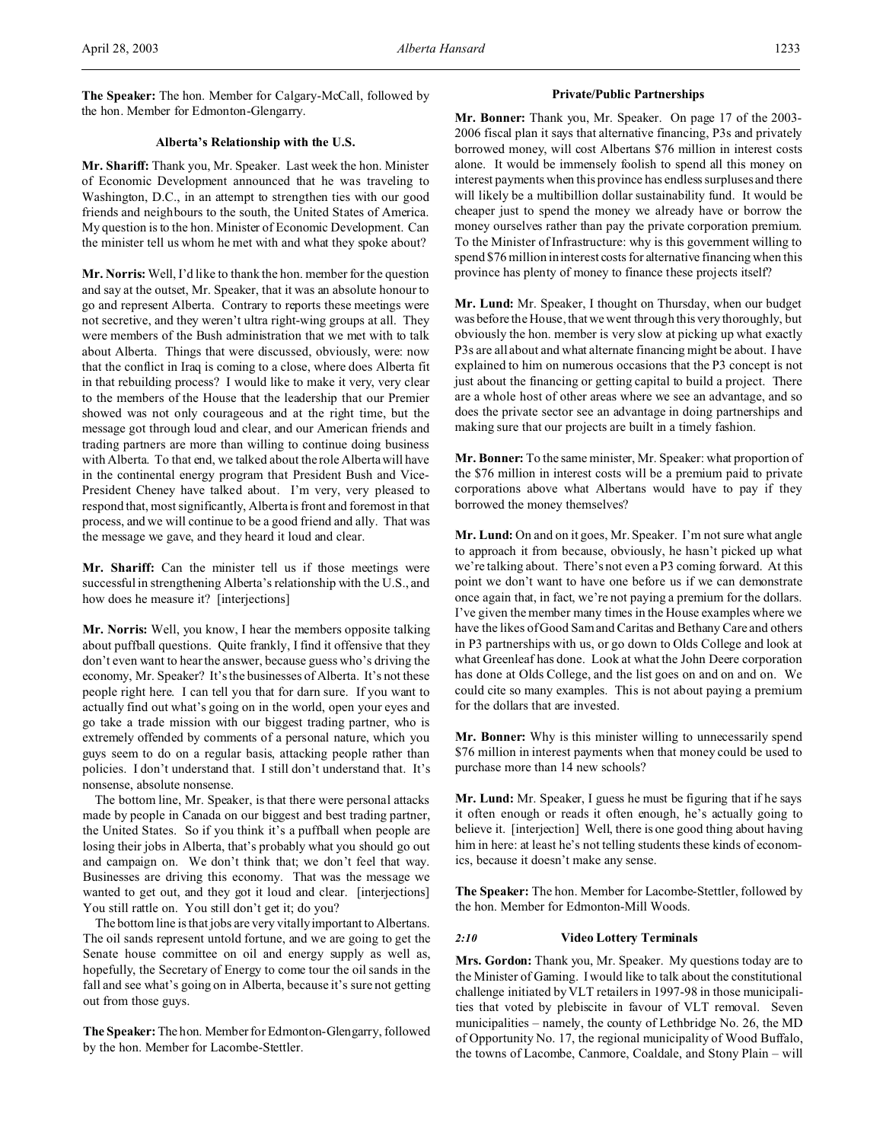**The Speaker:** The hon. Member for Calgary-McCall, followed by the hon. Member for Edmonton-Glengarry.

# **Alberta's Relationship with the U.S.**

**Mr. Shariff:** Thank you, Mr. Speaker. Last week the hon. Minister of Economic Development announced that he was traveling to Washington, D.C., in an attempt to strengthen ties with our good friends and neighbours to the south, the United States of America. My question is to the hon. Minister of Economic Development. Can the minister tell us whom he met with and what they spoke about?

**Mr. Norris:** Well, I'd like to thank the hon. member for the question and say at the outset, Mr. Speaker, that it was an absolute honour to go and represent Alberta. Contrary to reports these meetings were not secretive, and they weren't ultra right-wing groups at all. They were members of the Bush administration that we met with to talk about Alberta. Things that were discussed, obviously, were: now that the conflict in Iraq is coming to a close, where does Alberta fit in that rebuilding process? I would like to make it very, very clear to the members of the House that the leadership that our Premier showed was not only courageous and at the right time, but the message got through loud and clear, and our American friends and trading partners are more than willing to continue doing business with Alberta. To that end, we talked about the role Alberta will have in the continental energy program that President Bush and Vice-President Cheney have talked about. I'm very, very pleased to respond that, most significantly, Alberta is front and foremost in that process, and we will continue to be a good friend and ally. That was the message we gave, and they heard it loud and clear.

**Mr. Shariff:** Can the minister tell us if those meetings were successful in strengthening Alberta's relationship with the U.S., and how does he measure it? [interjections]

**Mr. Norris:** Well, you know, I hear the members opposite talking about puffball questions. Quite frankly, I find it offensive that they don't even want to hear the answer, because guess who's driving the economy, Mr. Speaker? It's the businesses of Alberta. It's not these people right here. I can tell you that for darn sure. If you want to actually find out what's going on in the world, open your eyes and go take a trade mission with our biggest trading partner, who is extremely offended by comments of a personal nature, which you guys seem to do on a regular basis, attacking people rather than policies. I don't understand that. I still don't understand that. It's nonsense, absolute nonsense.

The bottom line, Mr. Speaker, is that there were personal attacks made by people in Canada on our biggest and best trading partner, the United States. So if you think it's a puffball when people are losing their jobs in Alberta, that's probably what you should go out and campaign on. We don't think that; we don't feel that way. Businesses are driving this economy. That was the message we wanted to get out, and they got it loud and clear. [interjections] You still rattle on. You still don't get it; do you?

The bottom line is that jobs are very vitally important to Albertans. The oil sands represent untold fortune, and we are going to get the Senate house committee on oil and energy supply as well as, hopefully, the Secretary of Energy to come tour the oil sands in the fall and see what's going on in Alberta, because it's sure not getting out from those guys.

**The Speaker:** The hon. Member for Edmonton-Glengarry, followed by the hon. Member for Lacombe-Stettler.

# **Private/Public Partnerships**

**Mr. Bonner:** Thank you, Mr. Speaker. On page 17 of the 2003- 2006 fiscal plan it says that alternative financing, P3s and privately borrowed money, will cost Albertans \$76 million in interest costs alone. It would be immensely foolish to spend all this money on interest payments when this province has endless surpluses and there will likely be a multibillion dollar sustainability fund. It would be cheaper just to spend the money we already have or borrow the money ourselves rather than pay the private corporation premium. To the Minister of Infrastructure: why is this government willing to spend \$76 million in interest costs for alternative financing when this province has plenty of money to finance these projects itself?

**Mr. Lund:** Mr. Speaker, I thought on Thursday, when our budget was before the House, that we went through this very thoroughly, but obviously the hon. member is very slow at picking up what exactly P3s are all about and what alternate financing might be about. I have explained to him on numerous occasions that the P3 concept is not just about the financing or getting capital to build a project. There are a whole host of other areas where we see an advantage, and so does the private sector see an advantage in doing partnerships and making sure that our projects are built in a timely fashion.

**Mr. Bonner:** To the same minister, Mr. Speaker: what proportion of the \$76 million in interest costs will be a premium paid to private corporations above what Albertans would have to pay if they borrowed the money themselves?

**Mr. Lund:** On and on it goes, Mr. Speaker. I'm not sure what angle to approach it from because, obviously, he hasn't picked up what we're talking about. There's not even a P3 coming forward. At this point we don't want to have one before us if we can demonstrate once again that, in fact, we're not paying a premium for the dollars. I've given the member many times in the House examples where we have the likes of Good Sam and Caritas and Bethany Care and others in P3 partnerships with us, or go down to Olds College and look at what Greenleaf has done. Look at what the John Deere corporation has done at Olds College, and the list goes on and on and on. We could cite so many examples. This is not about paying a premium for the dollars that are invested.

**Mr. Bonner:** Why is this minister willing to unnecessarily spend \$76 million in interest payments when that money could be used to purchase more than 14 new schools?

**Mr. Lund:** Mr. Speaker, I guess he must be figuring that if he says it often enough or reads it often enough, he's actually going to believe it. [interjection] Well, there is one good thing about having him in here: at least he's not telling students these kinds of economics, because it doesn't make any sense.

**The Speaker:** The hon. Member for Lacombe-Stettler, followed by the hon. Member for Edmonton-Mill Woods.

### *2:10* **Video Lottery Terminals**

**Mrs. Gordon:** Thank you, Mr. Speaker. My questions today are to the Minister of Gaming. I would like to talk about the constitutional challenge initiated by VLT retailers in 1997-98 in those municipalities that voted by plebiscite in favour of VLT removal. Seven municipalities – namely, the county of Lethbridge No. 26, the MD of Opportunity No. 17, the regional municipality of Wood Buffalo, the towns of Lacombe, Canmore, Coaldale, and Stony Plain – will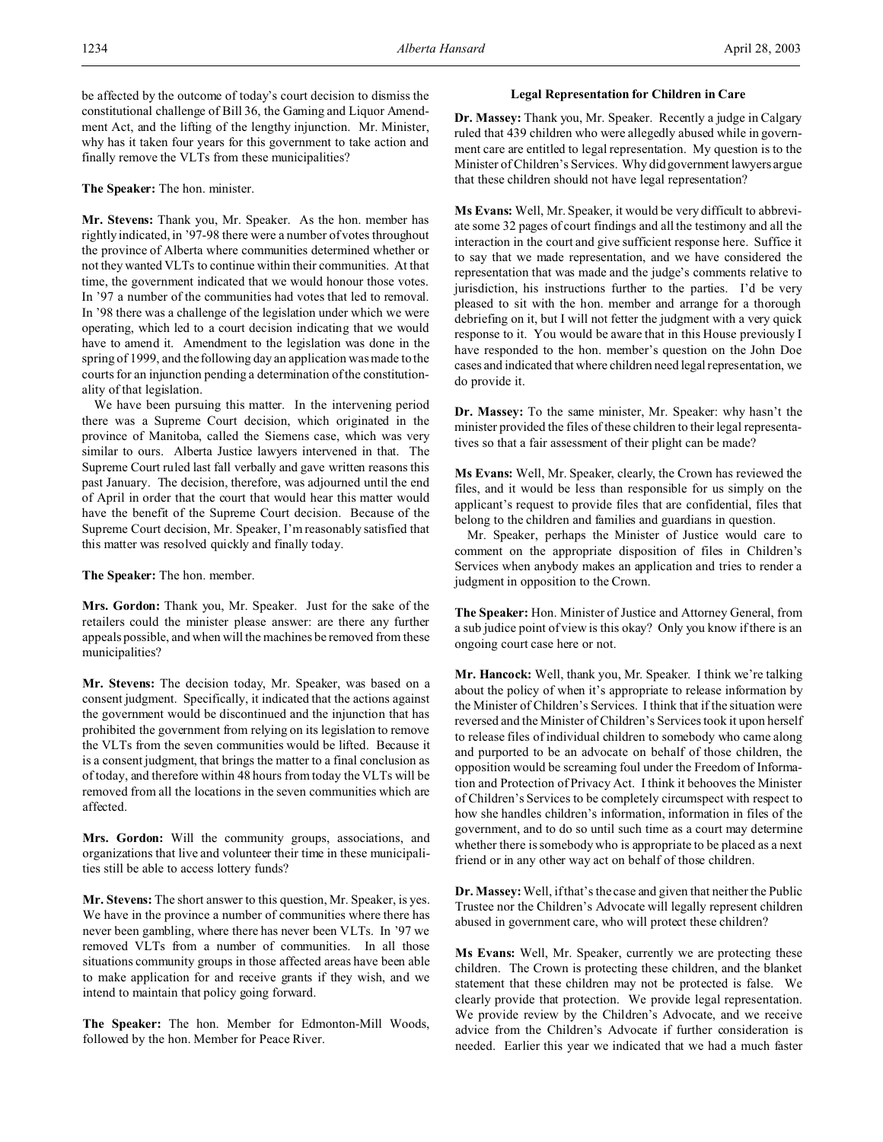### **The Speaker:** The hon. minister.

**Mr. Stevens:** Thank you, Mr. Speaker. As the hon. member has rightly indicated, in '97-98 there were a number of votes throughout the province of Alberta where communities determined whether or not they wanted VLTs to continue within their communities. At that time, the government indicated that we would honour those votes. In '97 a number of the communities had votes that led to removal. In '98 there was a challenge of the legislation under which we were operating, which led to a court decision indicating that we would have to amend it. Amendment to the legislation was done in the spring of 1999, and the following day an application was made to the courts for an injunction pending a determination of the constitutionality of that legislation.

We have been pursuing this matter. In the intervening period there was a Supreme Court decision, which originated in the province of Manitoba, called the Siemens case, which was very similar to ours. Alberta Justice lawyers intervened in that. The Supreme Court ruled last fall verbally and gave written reasons this past January. The decision, therefore, was adjourned until the end of April in order that the court that would hear this matter would have the benefit of the Supreme Court decision. Because of the Supreme Court decision, Mr. Speaker, I'm reasonably satisfied that this matter was resolved quickly and finally today.

**The Speaker:** The hon. member.

**Mrs. Gordon:** Thank you, Mr. Speaker. Just for the sake of the retailers could the minister please answer: are there any further appeals possible, and when will the machines be removed from these municipalities?

**Mr. Stevens:** The decision today, Mr. Speaker, was based on a consent judgment. Specifically, it indicated that the actions against the government would be discontinued and the injunction that has prohibited the government from relying on its legislation to remove the VLTs from the seven communities would be lifted. Because it is a consent judgment, that brings the matter to a final conclusion as of today, and therefore within 48 hours from today the VLTs will be removed from all the locations in the seven communities which are affected.

**Mrs. Gordon:** Will the community groups, associations, and organizations that live and volunteer their time in these municipalities still be able to access lottery funds?

**Mr. Stevens:** The short answer to this question, Mr. Speaker, is yes. We have in the province a number of communities where there has never been gambling, where there has never been VLTs. In '97 we removed VLTs from a number of communities. In all those situations community groups in those affected areas have been able to make application for and receive grants if they wish, and we intend to maintain that policy going forward.

**The Speaker:** The hon. Member for Edmonton-Mill Woods, followed by the hon. Member for Peace River.

### **Legal Representation for Children in Care**

**Dr. Massey:** Thank you, Mr. Speaker. Recently a judge in Calgary ruled that 439 children who were allegedly abused while in government care are entitled to legal representation. My question is to the Minister of Children's Services. Why did government lawyers argue that these children should not have legal representation?

**Ms Evans:** Well, Mr. Speaker, it would be very difficult to abbreviate some 32 pages of court findings and all the testimony and all the interaction in the court and give sufficient response here. Suffice it to say that we made representation, and we have considered the representation that was made and the judge's comments relative to jurisdiction, his instructions further to the parties. I'd be very pleased to sit with the hon. member and arrange for a thorough debriefing on it, but I will not fetter the judgment with a very quick response to it. You would be aware that in this House previously I have responded to the hon. member's question on the John Doe cases and indicated that where children need legal representation, we do provide it.

**Dr. Massey:** To the same minister, Mr. Speaker: why hasn't the minister provided the files of these children to their legal representatives so that a fair assessment of their plight can be made?

**Ms Evans:** Well, Mr. Speaker, clearly, the Crown has reviewed the files, and it would be less than responsible for us simply on the applicant's request to provide files that are confidential, files that belong to the children and families and guardians in question.

Mr. Speaker, perhaps the Minister of Justice would care to comment on the appropriate disposition of files in Children's Services when anybody makes an application and tries to render a judgment in opposition to the Crown.

**The Speaker:** Hon. Minister of Justice and Attorney General, from a sub judice point of view is this okay? Only you know if there is an ongoing court case here or not.

**Mr. Hancock:** Well, thank you, Mr. Speaker. I think we're talking about the policy of when it's appropriate to release information by the Minister of Children's Services. I think that if the situation were reversed and the Minister of Children's Services took it upon herself to release files of individual children to somebody who came along and purported to be an advocate on behalf of those children, the opposition would be screaming foul under the Freedom of Information and Protection of Privacy Act. I think it behooves the Minister of Children's Services to be completely circumspect with respect to how she handles children's information, information in files of the government, and to do so until such time as a court may determine whether there is somebody who is appropriate to be placed as a next friend or in any other way act on behalf of those children.

**Dr. Massey:** Well, if that's the case and given that neither the Public Trustee nor the Children's Advocate will legally represent children abused in government care, who will protect these children?

**Ms Evans:** Well, Mr. Speaker, currently we are protecting these children. The Crown is protecting these children, and the blanket statement that these children may not be protected is false. We clearly provide that protection. We provide legal representation. We provide review by the Children's Advocate, and we receive advice from the Children's Advocate if further consideration is needed. Earlier this year we indicated that we had a much faster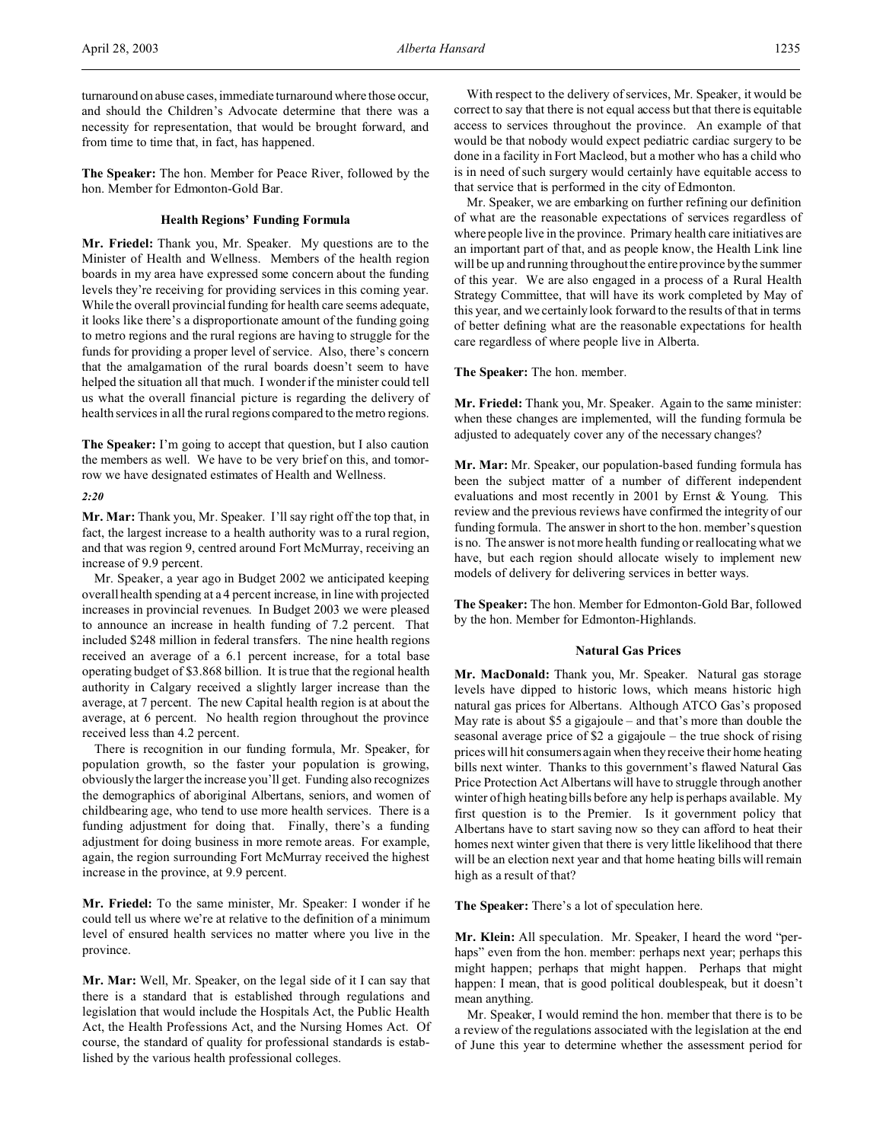turnaround on abuse cases, immediate turnaround where those occur, and should the Children's Advocate determine that there was a necessity for representation, that would be brought forward, and from time to time that, in fact, has happened.

**The Speaker:** The hon. Member for Peace River, followed by the hon. Member for Edmonton-Gold Bar.

## **Health Regions' Funding Formula**

**Mr. Friedel:** Thank you, Mr. Speaker. My questions are to the Minister of Health and Wellness. Members of the health region boards in my area have expressed some concern about the funding levels they're receiving for providing services in this coming year. While the overall provincial funding for health care seems adequate, it looks like there's a disproportionate amount of the funding going to metro regions and the rural regions are having to struggle for the funds for providing a proper level of service. Also, there's concern that the amalgamation of the rural boards doesn't seem to have helped the situation all that much. I wonder if the minister could tell us what the overall financial picture is regarding the delivery of health services in all the rural regions compared to the metro regions.

**The Speaker:** I'm going to accept that question, but I also caution the members as well. We have to be very brief on this, and tomorrow we have designated estimates of Health and Wellness.

*2:20*

**Mr. Mar:** Thank you, Mr. Speaker. I'll say right off the top that, in fact, the largest increase to a health authority was to a rural region, and that was region 9, centred around Fort McMurray, receiving an increase of 9.9 percent.

Mr. Speaker, a year ago in Budget 2002 we anticipated keeping overall health spending at a 4 percent increase, in line with projected increases in provincial revenues. In Budget 2003 we were pleased to announce an increase in health funding of 7.2 percent. That included \$248 million in federal transfers. The nine health regions received an average of a 6.1 percent increase, for a total base operating budget of \$3.868 billion. It is true that the regional health authority in Calgary received a slightly larger increase than the average, at 7 percent. The new Capital health region is at about the average, at 6 percent. No health region throughout the province received less than 4.2 percent.

There is recognition in our funding formula, Mr. Speaker, for population growth, so the faster your population is growing, obviously the larger the increase you'll get. Funding also recognizes the demographics of aboriginal Albertans, seniors, and women of childbearing age, who tend to use more health services. There is a funding adjustment for doing that. Finally, there's a funding adjustment for doing business in more remote areas. For example, again, the region surrounding Fort McMurray received the highest increase in the province, at 9.9 percent.

**Mr. Friedel:** To the same minister, Mr. Speaker: I wonder if he could tell us where we're at relative to the definition of a minimum level of ensured health services no matter where you live in the province.

**Mr. Mar:** Well, Mr. Speaker, on the legal side of it I can say that there is a standard that is established through regulations and legislation that would include the Hospitals Act, the Public Health Act, the Health Professions Act, and the Nursing Homes Act. Of course, the standard of quality for professional standards is established by the various health professional colleges.

With respect to the delivery of services, Mr. Speaker, it would be correct to say that there is not equal access but that there is equitable access to services throughout the province. An example of that would be that nobody would expect pediatric cardiac surgery to be done in a facility in Fort Macleod, but a mother who has a child who is in need of such surgery would certainly have equitable access to that service that is performed in the city of Edmonton.

Mr. Speaker, we are embarking on further refining our definition of what are the reasonable expectations of services regardless of where people live in the province. Primary health care initiatives are an important part of that, and as people know, the Health Link line will be up and running throughout the entire province by the summer of this year. We are also engaged in a process of a Rural Health Strategy Committee, that will have its work completed by May of this year, and we certainly look forward to the results of that in terms of better defining what are the reasonable expectations for health care regardless of where people live in Alberta.

**The Speaker:** The hon. member.

**Mr. Friedel:** Thank you, Mr. Speaker. Again to the same minister: when these changes are implemented, will the funding formula be adjusted to adequately cover any of the necessary changes?

**Mr. Mar:** Mr. Speaker, our population-based funding formula has been the subject matter of a number of different independent evaluations and most recently in 2001 by Ernst & Young. This review and the previous reviews have confirmed the integrity of our funding formula. The answer in short to the hon. member's question is no. The answer is not more health funding or reallocating what we have, but each region should allocate wisely to implement new models of delivery for delivering services in better ways.

**The Speaker:** The hon. Member for Edmonton-Gold Bar, followed by the hon. Member for Edmonton-Highlands.

# **Natural Gas Prices**

**Mr. MacDonald:** Thank you, Mr. Speaker. Natural gas storage levels have dipped to historic lows, which means historic high natural gas prices for Albertans. Although ATCO Gas's proposed May rate is about \$5 a gigajoule – and that's more than double the seasonal average price of \$2 a gigajoule – the true shock of rising prices will hit consumers again when they receive their home heating bills next winter. Thanks to this government's flawed Natural Gas Price Protection Act Albertans will have to struggle through another winter of high heating bills before any help is perhaps available. My first question is to the Premier. Is it government policy that Albertans have to start saving now so they can afford to heat their homes next winter given that there is very little likelihood that there will be an election next year and that home heating bills will remain high as a result of that?

**The Speaker:** There's a lot of speculation here.

**Mr. Klein:** All speculation. Mr. Speaker, I heard the word "perhaps" even from the hon. member: perhaps next year; perhaps this might happen; perhaps that might happen. Perhaps that might happen: I mean, that is good political doublespeak, but it doesn't mean anything.

Mr. Speaker, I would remind the hon. member that there is to be a review of the regulations associated with the legislation at the end of June this year to determine whether the assessment period for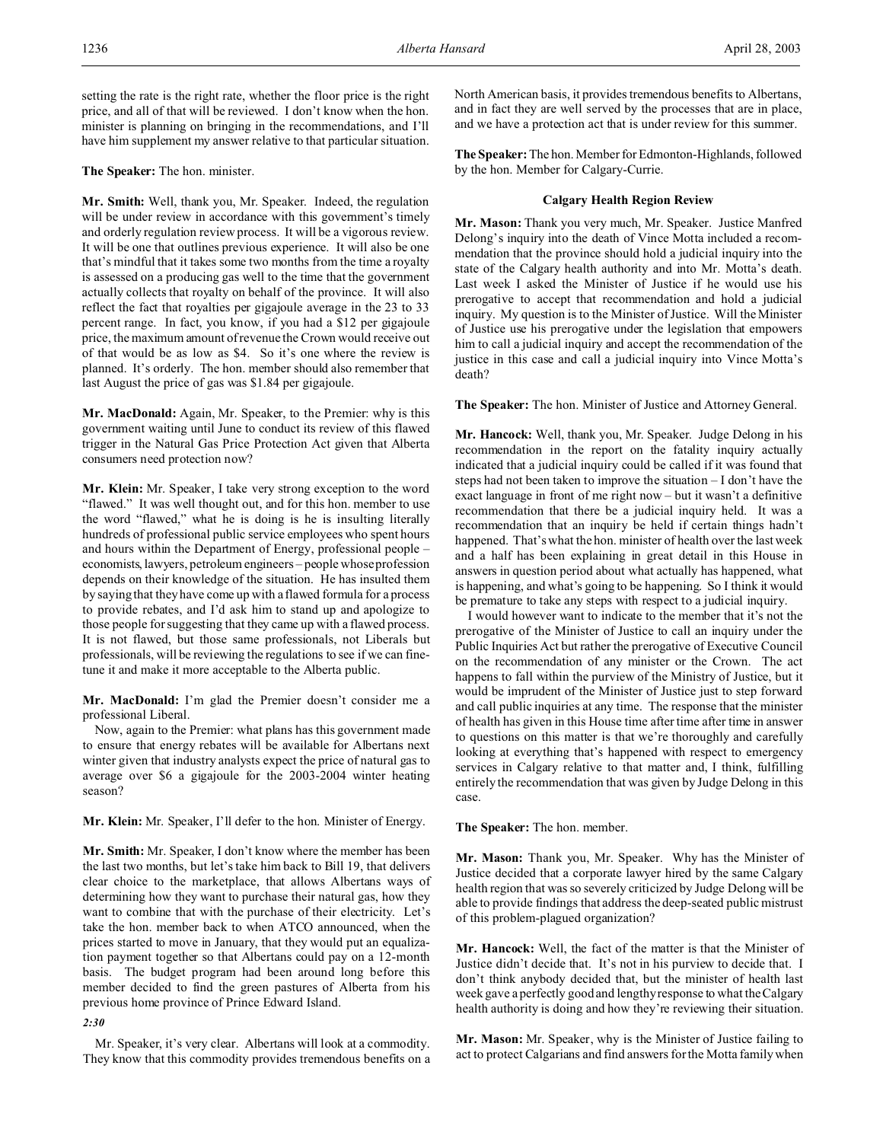setting the rate is the right rate, whether the floor price is the right price, and all of that will be reviewed. I don't know when the hon. minister is planning on bringing in the recommendations, and I'll have him supplement my answer relative to that particular situation.

### **The Speaker:** The hon. minister.

**Mr. Smith:** Well, thank you, Mr. Speaker. Indeed, the regulation will be under review in accordance with this government's timely and orderly regulation review process. It will be a vigorous review. It will be one that outlines previous experience. It will also be one that's mindful that it takes some two months from the time a royalty is assessed on a producing gas well to the time that the government actually collects that royalty on behalf of the province. It will also reflect the fact that royalties per gigajoule average in the 23 to 33 percent range. In fact, you know, if you had a \$12 per gigajoule price, the maximum amount of revenue the Crown would receive out of that would be as low as \$4. So it's one where the review is planned. It's orderly. The hon. member should also remember that last August the price of gas was \$1.84 per gigajoule.

**Mr. MacDonald:** Again, Mr. Speaker, to the Premier: why is this government waiting until June to conduct its review of this flawed trigger in the Natural Gas Price Protection Act given that Alberta consumers need protection now?

**Mr. Klein:** Mr. Speaker, I take very strong exception to the word "flawed." It was well thought out, and for this hon. member to use the word "flawed," what he is doing is he is insulting literally hundreds of professional public service employees who spent hours and hours within the Department of Energy, professional people – economists, lawyers, petroleum engineers – people whose profession depends on their knowledge of the situation. He has insulted them by saying that they have come up with a flawed formula for a process to provide rebates, and I'd ask him to stand up and apologize to those people for suggesting that they came up with a flawed process. It is not flawed, but those same professionals, not Liberals but professionals, will be reviewing the regulations to see if we can finetune it and make it more acceptable to the Alberta public.

**Mr. MacDonald:** I'm glad the Premier doesn't consider me a professional Liberal.

Now, again to the Premier: what plans has this government made to ensure that energy rebates will be available for Albertans next winter given that industry analysts expect the price of natural gas to average over \$6 a gigajoule for the 2003-2004 winter heating season?

**Mr. Klein:** Mr. Speaker, I'll defer to the hon. Minister of Energy.

**Mr. Smith:** Mr. Speaker, I don't know where the member has been the last two months, but let's take him back to Bill 19, that delivers clear choice to the marketplace, that allows Albertans ways of determining how they want to purchase their natural gas, how they want to combine that with the purchase of their electricity. Let's take the hon. member back to when ATCO announced, when the prices started to move in January, that they would put an equalization payment together so that Albertans could pay on a 12-month basis. The budget program had been around long before this member decided to find the green pastures of Alberta from his previous home province of Prince Edward Island.

### *2:30*

Mr. Speaker, it's very clear. Albertans will look at a commodity. They know that this commodity provides tremendous benefits on a North American basis, it provides tremendous benefits to Albertans, and in fact they are well served by the processes that are in place, and we have a protection act that is under review for this summer.

**The Speaker:** The hon. Member for Edmonton-Highlands, followed by the hon. Member for Calgary-Currie.

#### **Calgary Health Region Review**

**Mr. Mason:** Thank you very much, Mr. Speaker. Justice Manfred Delong's inquiry into the death of Vince Motta included a recommendation that the province should hold a judicial inquiry into the state of the Calgary health authority and into Mr. Motta's death. Last week I asked the Minister of Justice if he would use his prerogative to accept that recommendation and hold a judicial inquiry. My question is to the Minister of Justice. Will the Minister of Justice use his prerogative under the legislation that empowers him to call a judicial inquiry and accept the recommendation of the justice in this case and call a judicial inquiry into Vince Motta's death?

**The Speaker:** The hon. Minister of Justice and Attorney General.

**Mr. Hancock:** Well, thank you, Mr. Speaker. Judge Delong in his recommendation in the report on the fatality inquiry actually indicated that a judicial inquiry could be called if it was found that steps had not been taken to improve the situation – I don't have the exact language in front of me right now – but it wasn't a definitive recommendation that there be a judicial inquiry held. It was a recommendation that an inquiry be held if certain things hadn't happened. That's what the hon. minister of health over the last week and a half has been explaining in great detail in this House in answers in question period about what actually has happened, what is happening, and what's going to be happening. So I think it would be premature to take any steps with respect to a judicial inquiry.

I would however want to indicate to the member that it's not the prerogative of the Minister of Justice to call an inquiry under the Public Inquiries Act but rather the prerogative of Executive Council on the recommendation of any minister or the Crown. The act happens to fall within the purview of the Ministry of Justice, but it would be imprudent of the Minister of Justice just to step forward and call public inquiries at any time. The response that the minister of health has given in this House time after time after time in answer to questions on this matter is that we're thoroughly and carefully looking at everything that's happened with respect to emergency services in Calgary relative to that matter and, I think, fulfilling entirely the recommendation that was given by Judge Delong in this case.

**The Speaker:** The hon. member.

**Mr. Mason:** Thank you, Mr. Speaker. Why has the Minister of Justice decided that a corporate lawyer hired by the same Calgary health region that was so severely criticized by Judge Delong will be able to provide findings that address the deep-seated public mistrust of this problem-plagued organization?

**Mr. Hancock:** Well, the fact of the matter is that the Minister of Justice didn't decide that. It's not in his purview to decide that. I don't think anybody decided that, but the minister of health last week gave a perfectly good and lengthy response to what the Calgary health authority is doing and how they're reviewing their situation.

**Mr. Mason:** Mr. Speaker, why is the Minister of Justice failing to act to protect Calgarians and find answers for the Motta family when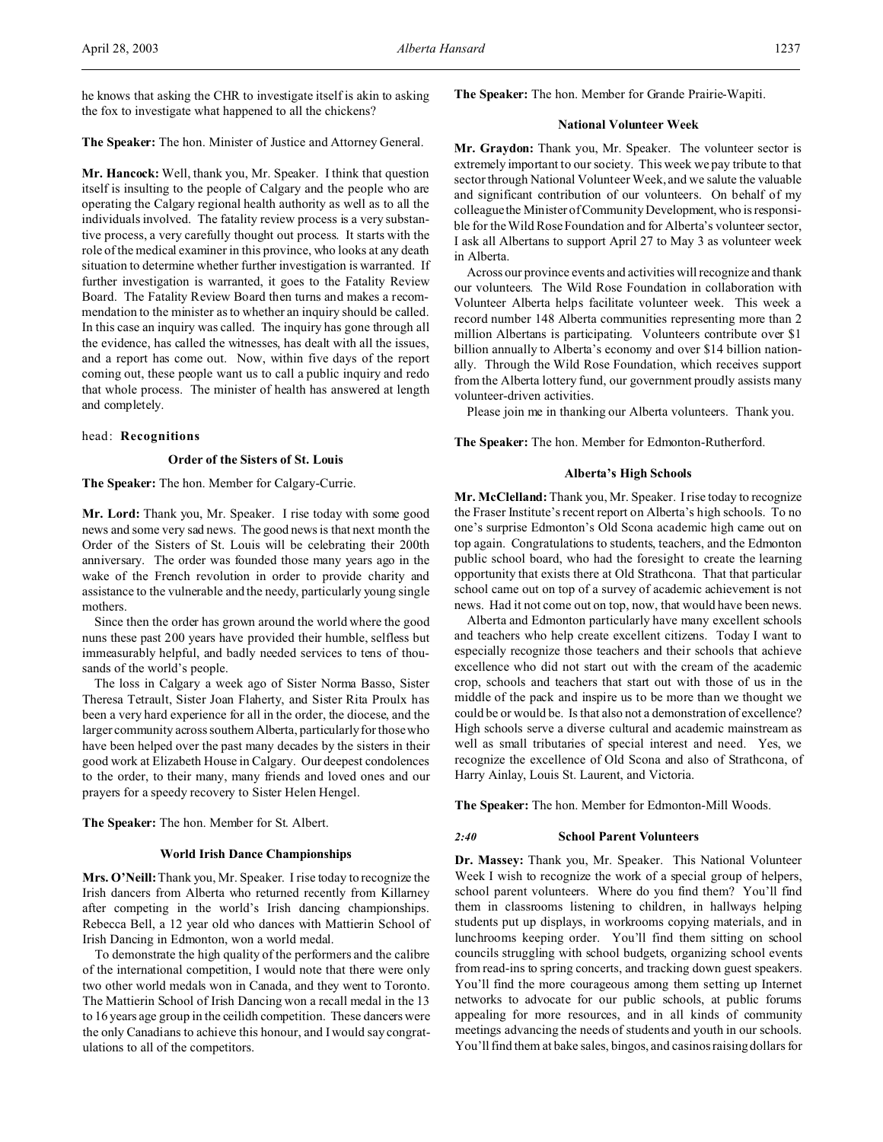he knows that asking the CHR to investigate itself is akin to asking the fox to investigate what happened to all the chickens?

**The Speaker:** The hon. Minister of Justice and Attorney General.

**Mr. Hancock:** Well, thank you, Mr. Speaker. I think that question itself is insulting to the people of Calgary and the people who are operating the Calgary regional health authority as well as to all the individuals involved. The fatality review process is a very substantive process, a very carefully thought out process. It starts with the role of the medical examiner in this province, who looks at any death situation to determine whether further investigation is warranted. If further investigation is warranted, it goes to the Fatality Review Board. The Fatality Review Board then turns and makes a recommendation to the minister as to whether an inquiry should be called. In this case an inquiry was called. The inquiry has gone through all the evidence, has called the witnesses, has dealt with all the issues, and a report has come out. Now, within five days of the report coming out, these people want us to call a public inquiry and redo that whole process. The minister of health has answered at length and completely.

### head: **Recognitions**

### **Order of the Sisters of St. Louis**

**The Speaker:** The hon. Member for Calgary-Currie.

**Mr. Lord:** Thank you, Mr. Speaker. I rise today with some good news and some very sad news. The good news is that next month the Order of the Sisters of St. Louis will be celebrating their 200th anniversary. The order was founded those many years ago in the wake of the French revolution in order to provide charity and assistance to the vulnerable and the needy, particularly young single mothers.

Since then the order has grown around the world where the good nuns these past 200 years have provided their humble, selfless but immeasurably helpful, and badly needed services to tens of thousands of the world's people.

The loss in Calgary a week ago of Sister Norma Basso, Sister Theresa Tetrault, Sister Joan Flaherty, and Sister Rita Proulx has been a very hard experience for all in the order, the diocese, and the larger community across southern Alberta, particularly for those who have been helped over the past many decades by the sisters in their good work at Elizabeth House in Calgary. Our deepest condolences to the order, to their many, many friends and loved ones and our prayers for a speedy recovery to Sister Helen Hengel.

**The Speaker:** The hon. Member for St. Albert.

### **World Irish Dance Championships**

**Mrs. O'Neill:**Thank you, Mr. Speaker. I rise today to recognize the Irish dancers from Alberta who returned recently from Killarney after competing in the world's Irish dancing championships. Rebecca Bell, a 12 year old who dances with Mattierin School of Irish Dancing in Edmonton, won a world medal.

To demonstrate the high quality of the performers and the calibre of the international competition, I would note that there were only two other world medals won in Canada, and they went to Toronto. The Mattierin School of Irish Dancing won a recall medal in the 13 to 16 years age group in the ceilidh competition. These dancers were the only Canadians to achieve this honour, and I would say congratulations to all of the competitors.

**The Speaker:** The hon. Member for Grande Prairie-Wapiti.

### **National Volunteer Week**

**Mr. Graydon:** Thank you, Mr. Speaker. The volunteer sector is extremely important to our society. This week we pay tribute to that sector through National Volunteer Week, and we salute the valuable and significant contribution of our volunteers. On behalf of my colleague the Minister of Community Development, who is responsible for the Wild Rose Foundation and for Alberta's volunteer sector, I ask all Albertans to support April 27 to May 3 as volunteer week in Alberta.

Across our province events and activities will recognize and thank our volunteers. The Wild Rose Foundation in collaboration with Volunteer Alberta helps facilitate volunteer week. This week a record number 148 Alberta communities representing more than 2 million Albertans is participating. Volunteers contribute over \$1 billion annually to Alberta's economy and over \$14 billion nationally. Through the Wild Rose Foundation, which receives support from the Alberta lottery fund, our government proudly assists many volunteer-driven activities.

Please join me in thanking our Alberta volunteers. Thank you.

**The Speaker:** The hon. Member for Edmonton-Rutherford.

# **Alberta's High Schools**

**Mr. McClelland:** Thank you, Mr. Speaker. I rise today to recognize the Fraser Institute's recent report on Alberta's high schools. To no one's surprise Edmonton's Old Scona academic high came out on top again. Congratulations to students, teachers, and the Edmonton public school board, who had the foresight to create the learning opportunity that exists there at Old Strathcona. That that particular school came out on top of a survey of academic achievement is not news. Had it not come out on top, now, that would have been news.

Alberta and Edmonton particularly have many excellent schools and teachers who help create excellent citizens. Today I want to especially recognize those teachers and their schools that achieve excellence who did not start out with the cream of the academic crop, schools and teachers that start out with those of us in the middle of the pack and inspire us to be more than we thought we could be or would be. Is that also not a demonstration of excellence? High schools serve a diverse cultural and academic mainstream as well as small tributaries of special interest and need. Yes, we recognize the excellence of Old Scona and also of Strathcona, of Harry Ainlay, Louis St. Laurent, and Victoria.

**The Speaker:** The hon. Member for Edmonton-Mill Woods.

### *2:40* **School Parent Volunteers**

**Dr. Massey:** Thank you, Mr. Speaker. This National Volunteer Week I wish to recognize the work of a special group of helpers, school parent volunteers. Where do you find them? You'll find them in classrooms listening to children, in hallways helping students put up displays, in workrooms copying materials, and in lunchrooms keeping order. You'll find them sitting on school councils struggling with school budgets, organizing school events from read-ins to spring concerts, and tracking down guest speakers. You'll find the more courageous among them setting up Internet networks to advocate for our public schools, at public forums appealing for more resources, and in all kinds of community meetings advancing the needs of students and youth in our schools. You'll find them at bake sales, bingos, and casinos raising dollars for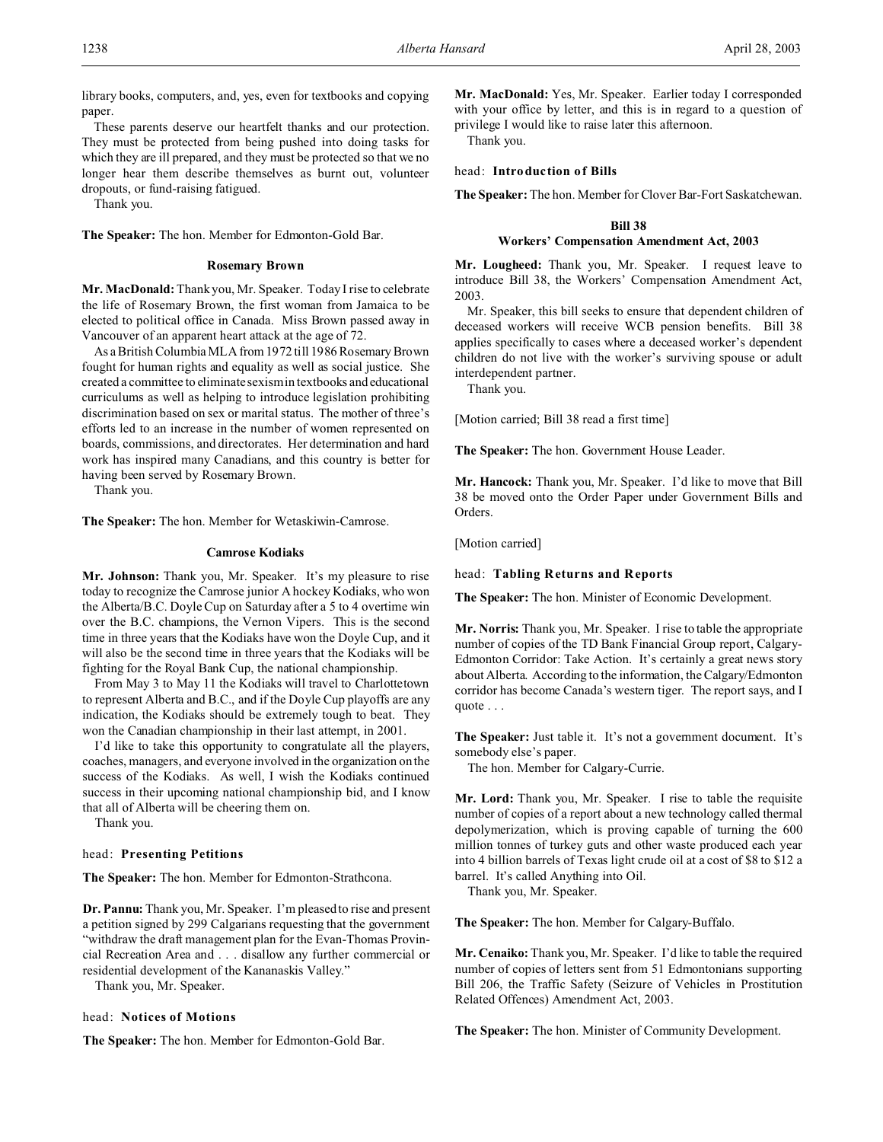library books, computers, and, yes, even for textbooks and copying paper.

These parents deserve our heartfelt thanks and our protection. They must be protected from being pushed into doing tasks for which they are ill prepared, and they must be protected so that we no longer hear them describe themselves as burnt out, volunteer dropouts, or fund-raising fatigued.

Thank you.

**The Speaker:** The hon. Member for Edmonton-Gold Bar.

### **Rosemary Brown**

**Mr. MacDonald:** Thank you, Mr. Speaker. Today I rise to celebrate the life of Rosemary Brown, the first woman from Jamaica to be elected to political office in Canada. Miss Brown passed away in Vancouver of an apparent heart attack at the age of 72.

As a British Columbia MLA from 1972 till 1986 Rosemary Brown fought for human rights and equality as well as social justice. She created a committee to eliminate sexism in textbooks and educational curriculums as well as helping to introduce legislation prohibiting discrimination based on sex or marital status. The mother of three's efforts led to an increase in the number of women represented on boards, commissions, and directorates. Her determination and hard work has inspired many Canadians, and this country is better for having been served by Rosemary Brown.

Thank you.

**The Speaker:** The hon. Member for Wetaskiwin-Camrose.

### **Camrose Kodiaks**

**Mr. Johnson:** Thank you, Mr. Speaker. It's my pleasure to rise today to recognize the Camrose junior A hockey Kodiaks, who won the Alberta/B.C. Doyle Cup on Saturday after a 5 to 4 overtime win over the B.C. champions, the Vernon Vipers. This is the second time in three years that the Kodiaks have won the Doyle Cup, and it will also be the second time in three years that the Kodiaks will be fighting for the Royal Bank Cup, the national championship.

From May 3 to May 11 the Kodiaks will travel to Charlottetown to represent Alberta and B.C., and if the Doyle Cup playoffs are any indication, the Kodiaks should be extremely tough to beat. They won the Canadian championship in their last attempt, in 2001.

I'd like to take this opportunity to congratulate all the players, coaches, managers, and everyone involved in the organization on the success of the Kodiaks. As well, I wish the Kodiaks continued success in their upcoming national championship bid, and I know that all of Alberta will be cheering them on.

Thank you.

# head: **Presenting Petitions**

**The Speaker:** The hon. Member for Edmonton-Strathcona.

**Dr. Pannu:** Thank you, Mr. Speaker. I'm pleased to rise and present a petition signed by 299 Calgarians requesting that the government "withdraw the draft management plan for the Evan-Thomas Provincial Recreation Area and . . . disallow any further commercial or residential development of the Kananaskis Valley."

Thank you, Mr. Speaker.

### head: **Notices of Motions**

**The Speaker:** The hon. Member for Edmonton-Gold Bar.

**Mr. MacDonald:** Yes, Mr. Speaker. Earlier today I corresponded with your office by letter, and this is in regard to a question of privilege I would like to raise later this afternoon.

Thank you.

### head: **Introduction of Bills**

**The Speaker:** The hon. Member for Clover Bar-Fort Saskatchewan.

# **Bill 38 Workers' Compensation Amendment Act, 2003**

**Mr. Lougheed:** Thank you, Mr. Speaker. I request leave to introduce Bill 38, the Workers' Compensation Amendment Act, 2003.

Mr. Speaker, this bill seeks to ensure that dependent children of deceased workers will receive WCB pension benefits. Bill 38 applies specifically to cases where a deceased worker's dependent children do not live with the worker's surviving spouse or adult interdependent partner.

Thank you.

[Motion carried; Bill 38 read a first time]

**The Speaker:** The hon. Government House Leader.

**Mr. Hancock:** Thank you, Mr. Speaker. I'd like to move that Bill 38 be moved onto the Order Paper under Government Bills and Orders.

[Motion carried]

### head: **Tabling Returns and Reports**

**The Speaker:** The hon. Minister of Economic Development.

**Mr. Norris:** Thank you, Mr. Speaker. I rise to table the appropriate number of copies of the TD Bank Financial Group report, Calgary-Edmonton Corridor: Take Action. It's certainly a great news story about Alberta. According to the information, the Calgary/Edmonton corridor has become Canada's western tiger. The report says, and I quote . . .

The Speaker: Just table it. It's not a government document. It's somebody else's paper.

The hon. Member for Calgary-Currie.

**Mr. Lord:** Thank you, Mr. Speaker. I rise to table the requisite number of copies of a report about a new technology called thermal depolymerization, which is proving capable of turning the 600 million tonnes of turkey guts and other waste produced each year into 4 billion barrels of Texas light crude oil at a cost of \$8 to \$12 a barrel. It's called Anything into Oil.

Thank you, Mr. Speaker.

**The Speaker:** The hon. Member for Calgary-Buffalo.

**Mr. Cenaiko:** Thank you, Mr. Speaker. I'd like to table the required number of copies of letters sent from 51 Edmontonians supporting Bill 206, the Traffic Safety (Seizure of Vehicles in Prostitution Related Offences) Amendment Act, 2003.

**The Speaker:** The hon. Minister of Community Development.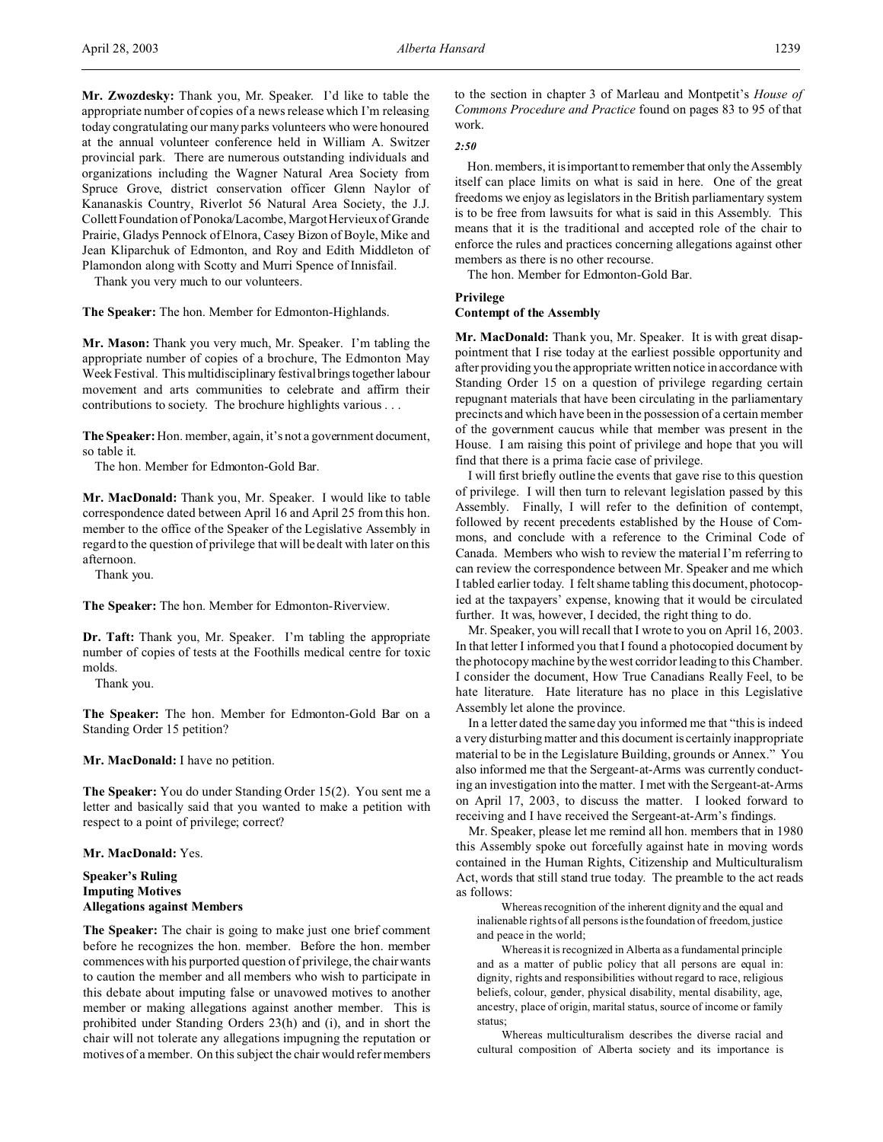**Mr. Zwozdesky:** Thank you, Mr. Speaker. I'd like to table the appropriate number of copies of a news release which I'm releasing today congratulating our many parks volunteers who were honoured at the annual volunteer conference held in William A. Switzer provincial park. There are numerous outstanding individuals and organizations including the Wagner Natural Area Society from Spruce Grove, district conservation officer Glenn Naylor of Kananaskis Country, Riverlot 56 Natural Area Society, the J.J. CollettFoundation of Ponoka/Lacombe, Margot Hervieux of Grande Prairie, Gladys Pennock of Elnora, Casey Bizon of Boyle, Mike and Jean Kliparchuk of Edmonton, and Roy and Edith Middleton of Plamondon along with Scotty and Murri Spence of Innisfail.

Thank you very much to our volunteers.

**The Speaker:** The hon. Member for Edmonton-Highlands.

**Mr. Mason:** Thank you very much, Mr. Speaker. I'm tabling the appropriate number of copies of a brochure, The Edmonton May Week Festival. This multidisciplinary festival brings together labour movement and arts communities to celebrate and affirm their contributions to society. The brochure highlights various . . .

**The Speaker:** Hon. member, again, it's not a government document, so table it.

The hon. Member for Edmonton-Gold Bar.

**Mr. MacDonald:** Thank you, Mr. Speaker. I would like to table correspondence dated between April 16 and April 25 from this hon. member to the office of the Speaker of the Legislative Assembly in regard to the question of privilege that will be dealt with later on this afternoon.

Thank you.

**The Speaker:** The hon. Member for Edmonton-Riverview.

**Dr. Taft:** Thank you, Mr. Speaker. I'm tabling the appropriate number of copies of tests at the Foothills medical centre for toxic molds.

Thank you.

**The Speaker:** The hon. Member for Edmonton-Gold Bar on a Standing Order 15 petition?

**Mr. MacDonald:** I have no petition.

**The Speaker:** You do under Standing Order 15(2). You sent me a letter and basically said that you wanted to make a petition with respect to a point of privilege; correct?

### **Mr. MacDonald:** Yes.

**Speaker's Ruling Imputing Motives Allegations against Members**

**The Speaker:** The chair is going to make just one brief comment before he recognizes the hon. member. Before the hon. member commences with his purported question of privilege, the chair wants to caution the member and all members who wish to participate in this debate about imputing false or unavowed motives to another member or making allegations against another member. This is prohibited under Standing Orders 23(h) and (i), and in short the chair will not tolerate any allegations impugning the reputation or motives of a member. On this subject the chair would refer members

to the section in chapter 3 of Marleau and Montpetit's *House of Commons Procedure and Practice* found on pages 83 to 95 of that work.

*2:50*

Hon. members, it is important to remember that only the Assembly itself can place limits on what is said in here. One of the great freedoms we enjoy as legislators in the British parliamentary system is to be free from lawsuits for what is said in this Assembly. This means that it is the traditional and accepted role of the chair to enforce the rules and practices concerning allegations against other members as there is no other recourse.

The hon. Member for Edmonton-Gold Bar.

**Privilege**

## **Contempt of the Assembly**

**Mr. MacDonald:** Thank you, Mr. Speaker. It is with great disappointment that I rise today at the earliest possible opportunity and after providing you the appropriate written notice in accordance with Standing Order 15 on a question of privilege regarding certain repugnant materials that have been circulating in the parliamentary precincts and which have been in the possession of a certain member of the government caucus while that member was present in the House. I am raising this point of privilege and hope that you will find that there is a prima facie case of privilege.

I will first briefly outline the events that gave rise to this question of privilege. I will then turn to relevant legislation passed by this Assembly. Finally, I will refer to the definition of contempt, followed by recent precedents established by the House of Commons, and conclude with a reference to the Criminal Code of Canada. Members who wish to review the material I'm referring to can review the correspondence between Mr. Speaker and me which I tabled earlier today. I felt shame tabling this document, photocopied at the taxpayers' expense, knowing that it would be circulated further. It was, however, I decided, the right thing to do.

Mr. Speaker, you will recall that I wrote to you on April 16, 2003. In that letter I informed you that I found a photocopied document by the photocopy machine by the west corridor leading to this Chamber. I consider the document, How True Canadians Really Feel, to be hate literature. Hate literature has no place in this Legislative Assembly let alone the province.

In a letter dated the same day you informed me that "this is indeed a very disturbing matter and this document is certainly inappropriate material to be in the Legislature Building, grounds or Annex." You also informed me that the Sergeant-at-Arms was currently conducting an investigation into the matter. I met with the Sergeant-at-Arms on April 17, 2003, to discuss the matter. I looked forward to receiving and I have received the Sergeant-at-Arm's findings.

Mr. Speaker, please let me remind all hon. members that in 1980 this Assembly spoke out forcefully against hate in moving words contained in the Human Rights, Citizenship and Multiculturalism Act, words that still stand true today. The preamble to the act reads as follows:

Whereas recognition of the inherent dignity and the equal and inalienable rights of all persons is the foundation of freedom, justice and peace in the world;

Whereas it is recognized in Alberta as a fundamental principle and as a matter of public policy that all persons are equal in: dignity, rights and responsibilities without regard to race, religious beliefs, colour, gender, physical disability, mental disability, age, ancestry, place of origin, marital status, source of income or family status;

Whereas multiculturalism describes the diverse racial and cultural composition of Alberta society and its importance is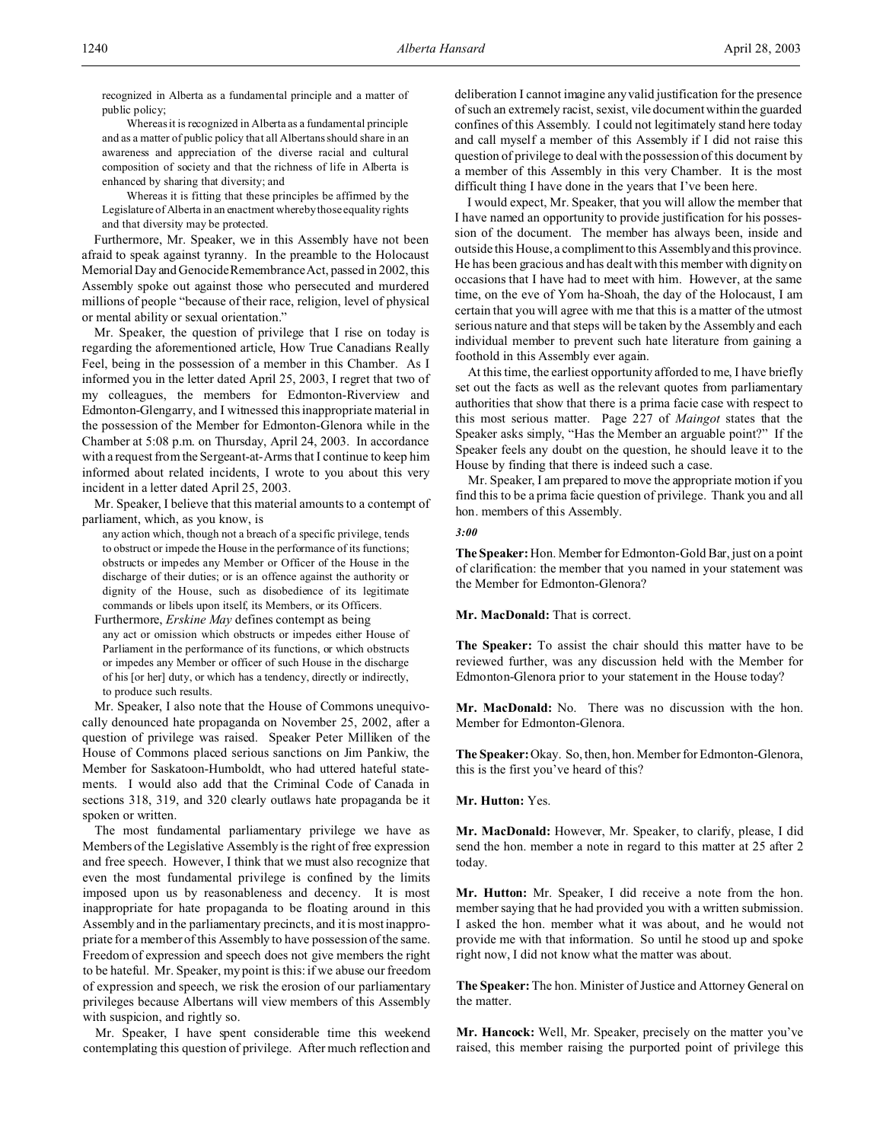recognized in Alberta as a fundamental principle and a matter of public policy;

Whereas it is recognized in Alberta as a fundamental principle and as a matter of public policy that all Albertans should share in an awareness and appreciation of the diverse racial and cultural composition of society and that the richness of life in Alberta is enhanced by sharing that diversity; and

Whereas it is fitting that these principles be affirmed by the Legislature of Alberta in an enactment whereby those equality rights and that diversity may be protected.

Furthermore, Mr. Speaker, we in this Assembly have not been afraid to speak against tyranny. In the preamble to the Holocaust Memorial Day and Genocide Remembrance Act, passed in 2002, this Assembly spoke out against those who persecuted and murdered millions of people "because of their race, religion, level of physical or mental ability or sexual orientation."

Mr. Speaker, the question of privilege that I rise on today is regarding the aforementioned article, How True Canadians Really Feel, being in the possession of a member in this Chamber. As I informed you in the letter dated April 25, 2003, I regret that two of my colleagues, the members for Edmonton-Riverview and Edmonton-Glengarry, and I witnessed this inappropriate material in the possession of the Member for Edmonton-Glenora while in the Chamber at 5:08 p.m. on Thursday, April 24, 2003. In accordance with a request from the Sergeant-at-Arms that I continue to keep him informed about related incidents, I wrote to you about this very incident in a letter dated April 25, 2003.

Mr. Speaker, I believe that this material amounts to a contempt of parliament, which, as you know, is

- any action which, though not a breach of a specific privilege, tends to obstruct or impede the House in the performance of its functions; obstructs or impedes any Member or Officer of the House in the discharge of their duties; or is an offence against the authority or dignity of the House, such as disobedience of its legitimate commands or libels upon itself, its Members, or its Officers.
- Furthermore, *Erskine May* defines contempt as being any act or omission which obstructs or impedes either House of Parliament in the performance of its functions, or which obstructs or impedes any Member or officer of such House in the discharge of his [or her] duty, or which has a tendency, directly or indirectly, to produce such results.

Mr. Speaker, I also note that the House of Commons unequivocally denounced hate propaganda on November 25, 2002, after a question of privilege was raised. Speaker Peter Milliken of the House of Commons placed serious sanctions on Jim Pankiw, the Member for Saskatoon-Humboldt, who had uttered hateful statements. I would also add that the Criminal Code of Canada in sections 318, 319, and 320 clearly outlaws hate propaganda be it spoken or written.

The most fundamental parliamentary privilege we have as Members of the Legislative Assembly is the right of free expression and free speech. However, I think that we must also recognize that even the most fundamental privilege is confined by the limits imposed upon us by reasonableness and decency. It is most inappropriate for hate propaganda to be floating around in this Assembly and in the parliamentary precincts, and it is most inappropriate for a member of this Assembly to have possession of the same. Freedom of expression and speech does not give members the right to be hateful. Mr. Speaker, my point is this: if we abuse our freedom of expression and speech, we risk the erosion of our parliamentary privileges because Albertans will view members of this Assembly with suspicion, and rightly so.

Mr. Speaker, I have spent considerable time this weekend contemplating this question of privilege. After much reflection and

deliberation I cannot imagine any valid justification for the presence of such an extremely racist, sexist, vile document within the guarded confines of this Assembly. I could not legitimately stand here today and call myself a member of this Assembly if I did not raise this question of privilege to deal with the possession of this document by a member of this Assembly in this very Chamber. It is the most difficult thing I have done in the years that I've been here.

I would expect, Mr. Speaker, that you will allow the member that I have named an opportunity to provide justification for his possession of the document. The member has always been, inside and outside this House, a compliment to this Assembly and this province. He has been gracious and has dealt with this member with dignity on occasions that I have had to meet with him. However, at the same time, on the eve of Yom ha-Shoah, the day of the Holocaust, I am certain that you will agree with me that this is a matter of the utmost serious nature and that steps will be taken by the Assembly and each individual member to prevent such hate literature from gaining a foothold in this Assembly ever again.

At this time, the earliest opportunity afforded to me, I have briefly set out the facts as well as the relevant quotes from parliamentary authorities that show that there is a prima facie case with respect to this most serious matter. Page 227 of *Maingot* states that the Speaker asks simply, "Has the Member an arguable point?" If the Speaker feels any doubt on the question, he should leave it to the House by finding that there is indeed such a case.

Mr. Speaker, I am prepared to move the appropriate motion if you find this to be a prima facie question of privilege. Thank you and all hon. members of this Assembly.

#### *3:00*

**The Speaker:** Hon. Member for Edmonton-Gold Bar, just on a point of clarification: the member that you named in your statement was the Member for Edmonton-Glenora?

**Mr. MacDonald:** That is correct.

**The Speaker:** To assist the chair should this matter have to be reviewed further, was any discussion held with the Member for Edmonton-Glenora prior to your statement in the House today?

**Mr. MacDonald:** No. There was no discussion with the hon. Member for Edmonton-Glenora.

**The Speaker:**Okay. So, then, hon. Member for Edmonton-Glenora, this is the first you've heard of this?

# **Mr. Hutton:** Yes.

**Mr. MacDonald:** However, Mr. Speaker, to clarify, please, I did send the hon. member a note in regard to this matter at 25 after 2 today.

**Mr. Hutton:** Mr. Speaker, I did receive a note from the hon. member saying that he had provided you with a written submission. I asked the hon. member what it was about, and he would not provide me with that information. So until he stood up and spoke right now, I did not know what the matter was about.

**The Speaker:**The hon. Minister of Justice and Attorney General on the matter.

**Mr. Hancock:** Well, Mr. Speaker, precisely on the matter you've raised, this member raising the purported point of privilege this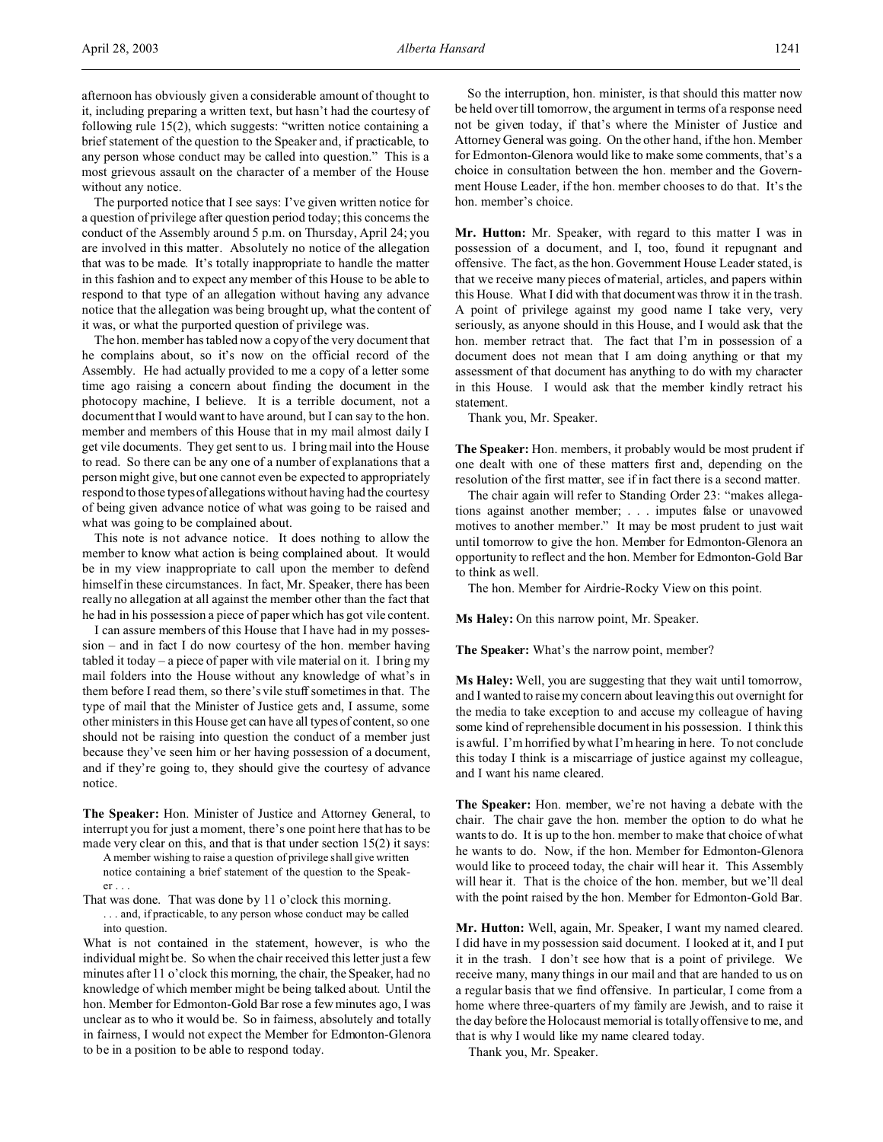afternoon has obviously given a considerable amount of thought to it, including preparing a written text, but hasn't had the courtesy of following rule 15(2), which suggests: "written notice containing a brief statement of the question to the Speaker and, if practicable, to any person whose conduct may be called into question." This is a most grievous assault on the character of a member of the House without any notice.

The purported notice that I see says: I've given written notice for a question of privilege after question period today; this concerns the conduct of the Assembly around 5 p.m. on Thursday, April 24; you are involved in this matter. Absolutely no notice of the allegation that was to be made. It's totally inappropriate to handle the matter in this fashion and to expect any member of this House to be able to respond to that type of an allegation without having any advance notice that the allegation was being brought up, what the content of it was, or what the purported question of privilege was.

The hon. member has tabled now a copy of the very document that he complains about, so it's now on the official record of the Assembly. He had actually provided to me a copy of a letter some time ago raising a concern about finding the document in the photocopy machine, I believe. It is a terrible document, not a document that I would want to have around, but I can say to the hon. member and members of this House that in my mail almost daily I get vile documents. They get sent to us. I bring mail into the House to read. So there can be any one of a number of explanations that a person might give, but one cannot even be expected to appropriately respond to those types of allegations without having had the courtesy of being given advance notice of what was going to be raised and what was going to be complained about.

This note is not advance notice. It does nothing to allow the member to know what action is being complained about. It would be in my view inappropriate to call upon the member to defend himself in these circumstances. In fact, Mr. Speaker, there has been really no allegation at all against the member other than the fact that he had in his possession a piece of paper which has got vile content.

I can assure members of this House that I have had in my possession – and in fact I do now courtesy of the hon. member having tabled it today – a piece of paper with vile material on it. I bring my mail folders into the House without any knowledge of what's in them before I read them, so there's vile stuff sometimes in that. The type of mail that the Minister of Justice gets and, I assume, some other ministers in this House get can have all types of content, so one should not be raising into question the conduct of a member just because they've seen him or her having possession of a document, and if they're going to, they should give the courtesy of advance notice.

**The Speaker:** Hon. Minister of Justice and Attorney General, to interrupt you for just a moment, there's one point here that has to be made very clear on this, and that is that under section 15(2) it says: A member wishing to raise a question of privilege shall give written

notice containing a brief statement of the question to the Speaker . . .

That was done. That was done by 11 o'clock this morning. . . . and, if practicable, to any person whose conduct may be called into question.

What is not contained in the statement, however, is who the individual might be. So when the chair received this letter just a few minutes after 11 o'clock this morning, the chair, the Speaker, had no knowledge of which member might be being talked about. Until the hon. Member for Edmonton-Gold Bar rose a few minutes ago, I was unclear as to who it would be. So in fairness, absolutely and totally in fairness, I would not expect the Member for Edmonton-Glenora to be in a position to be able to respond today.

So the interruption, hon. minister, is that should this matter now be held over till tomorrow, the argument in terms of a response need not be given today, if that's where the Minister of Justice and Attorney General was going. On the other hand, if the hon. Member for Edmonton-Glenora would like to make some comments, that's a choice in consultation between the hon. member and the Government House Leader, if the hon. member chooses to do that. It's the hon. member's choice.

**Mr. Hutton:** Mr. Speaker, with regard to this matter I was in possession of a document, and I, too, found it repugnant and offensive. The fact, as the hon. Government House Leader stated, is that we receive many pieces of material, articles, and papers within this House. What I did with that document was throw it in the trash. A point of privilege against my good name I take very, very seriously, as anyone should in this House, and I would ask that the hon. member retract that. The fact that I'm in possession of a document does not mean that I am doing anything or that my assessment of that document has anything to do with my character in this House. I would ask that the member kindly retract his statement.

Thank you, Mr. Speaker.

**The Speaker:** Hon. members, it probably would be most prudent if one dealt with one of these matters first and, depending on the resolution of the first matter, see if in fact there is a second matter.

The chair again will refer to Standing Order 23: "makes allegations against another member; . . . imputes false or unavowed motives to another member." It may be most prudent to just wait until tomorrow to give the hon. Member for Edmonton-Glenora an opportunity to reflect and the hon. Member for Edmonton-Gold Bar to think as well.

The hon. Member for Airdrie-Rocky View on this point.

**Ms Haley:** On this narrow point, Mr. Speaker.

**The Speaker:** What's the narrow point, member?

**Ms Haley:** Well, you are suggesting that they wait until tomorrow, and I wanted to raise my concern about leaving this out overnight for the media to take exception to and accuse my colleague of having some kind of reprehensible document in his possession. I think this is awful. I'm horrified by what I'm hearing in here. To not conclude this today I think is a miscarriage of justice against my colleague, and I want his name cleared.

**The Speaker:** Hon. member, we're not having a debate with the chair. The chair gave the hon. member the option to do what he wants to do. It is up to the hon. member to make that choice of what he wants to do. Now, if the hon. Member for Edmonton-Glenora would like to proceed today, the chair will hear it. This Assembly will hear it. That is the choice of the hon. member, but we'll deal with the point raised by the hon. Member for Edmonton-Gold Bar.

**Mr. Hutton:** Well, again, Mr. Speaker, I want my named cleared. I did have in my possession said document. I looked at it, and I put it in the trash. I don't see how that is a point of privilege. We receive many, many things in our mail and that are handed to us on a regular basis that we find offensive. In particular, I come from a home where three-quarters of my family are Jewish, and to raise it the day before the Holocaust memorial is totally offensive to me, and that is why I would like my name cleared today.

Thank you, Mr. Speaker.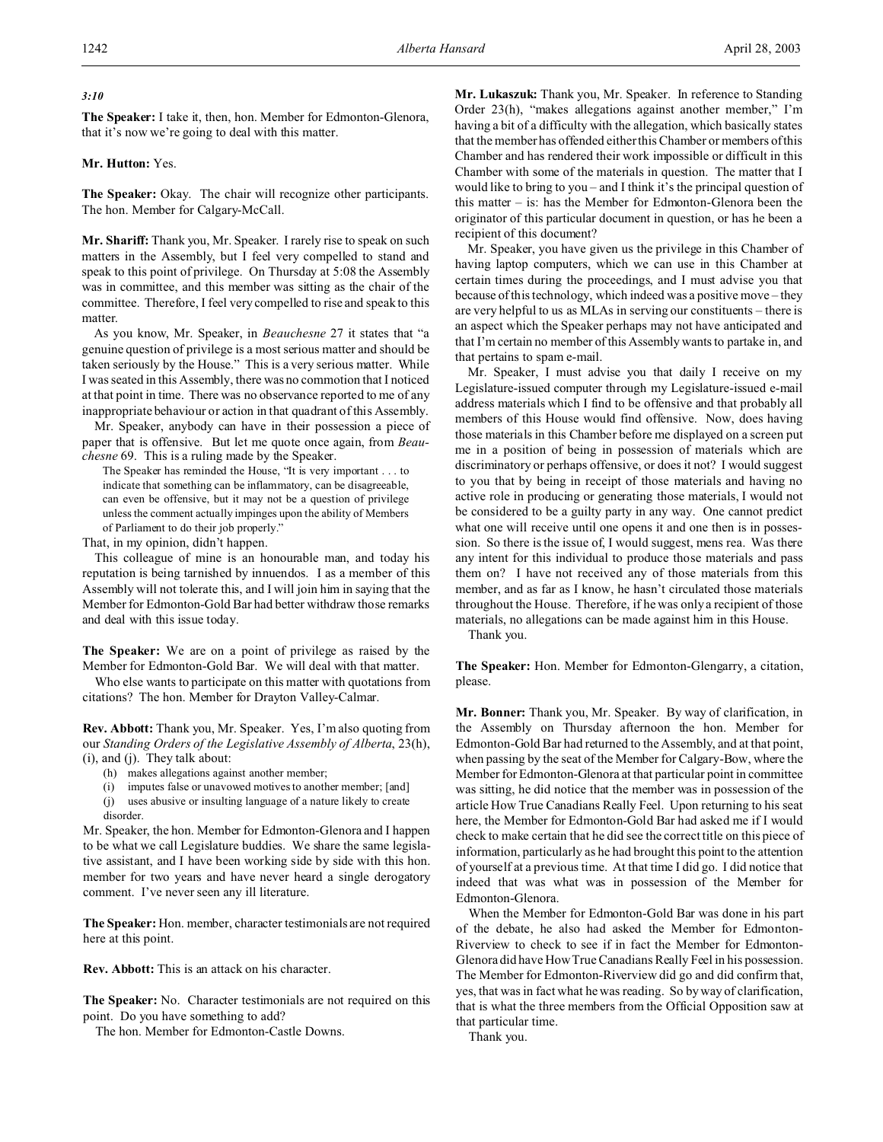# *3:10*

**The Speaker:** I take it, then, hon. Member for Edmonton-Glenora, that it's now we're going to deal with this matter.

# **Mr. Hutton:** Yes.

**The Speaker:** Okay. The chair will recognize other participants. The hon. Member for Calgary-McCall.

**Mr. Shariff:** Thank you, Mr. Speaker. I rarely rise to speak on such matters in the Assembly, but I feel very compelled to stand and speak to this point of privilege. On Thursday at 5:08 the Assembly was in committee, and this member was sitting as the chair of the committee. Therefore, I feel very compelled to rise and speak to this matter.

As you know, Mr. Speaker, in *Beauchesne* 27 it states that "a genuine question of privilege is a most serious matter and should be taken seriously by the House." This is a very serious matter. While I was seated in this Assembly, there was no commotion that I noticed at that point in time. There was no observance reported to me of any inappropriate behaviour or action in that quadrant of this Assembly.

Mr. Speaker, anybody can have in their possession a piece of paper that is offensive. But let me quote once again, from *Beauchesne* 69. This is a ruling made by the Speaker.

The Speaker has reminded the House, "It is very important . . . to indicate that something can be inflammatory, can be disagreeable, can even be offensive, but it may not be a question of privilege unless the comment actually impinges upon the ability of Members of Parliament to do their job properly."

That, in my opinion, didn't happen.

This colleague of mine is an honourable man, and today his reputation is being tarnished by innuendos. I as a member of this Assembly will not tolerate this, and I will join him in saying that the Member for Edmonton-Gold Bar had better withdraw those remarks and deal with this issue today.

**The Speaker:** We are on a point of privilege as raised by the Member for Edmonton-Gold Bar. We will deal with that matter.

Who else wants to participate on this matter with quotations from citations? The hon. Member for Drayton Valley-Calmar.

**Rev. Abbott:** Thank you, Mr. Speaker. Yes, I'm also quoting from our *Standing Orders of the Legislative Assembly of Alberta*, 23(h), (i), and (j). They talk about:

- (h) makes allegations against another member;
- (i) imputes false or unavowed motives to another member; [and]
- (j) uses abusive or insulting language of a nature likely to create disorder.

Mr. Speaker, the hon. Member for Edmonton-Glenora and I happen to be what we call Legislature buddies. We share the same legislative assistant, and I have been working side by side with this hon. member for two years and have never heard a single derogatory comment. I've never seen any ill literature.

**The Speaker:** Hon. member, character testimonials are not required here at this point.

**Rev. Abbott:** This is an attack on his character.

**The Speaker:** No. Character testimonials are not required on this point. Do you have something to add?

The hon. Member for Edmonton-Castle Downs.

**Mr. Lukaszuk:** Thank you, Mr. Speaker. In reference to Standing Order 23(h), "makes allegations against another member," I'm having a bit of a difficulty with the allegation, which basically states that the member has offended either this Chamber or members of this Chamber and has rendered their work impossible or difficult in this Chamber with some of the materials in question. The matter that I would like to bring to you – and I think it's the principal question of this matter – is: has the Member for Edmonton-Glenora been the originator of this particular document in question, or has he been a recipient of this document?

Mr. Speaker, you have given us the privilege in this Chamber of having laptop computers, which we can use in this Chamber at certain times during the proceedings, and I must advise you that because of this technology, which indeed was a positive move – they are very helpful to us as MLAs in serving our constituents – there is an aspect which the Speaker perhaps may not have anticipated and that I'm certain no member of this Assembly wants to partake in, and that pertains to spam e-mail.

Mr. Speaker, I must advise you that daily I receive on my Legislature-issued computer through my Legislature-issued e-mail address materials which I find to be offensive and that probably all members of this House would find offensive. Now, does having those materials in this Chamber before me displayed on a screen put me in a position of being in possession of materials which are discriminatory or perhaps offensive, or does it not? I would suggest to you that by being in receipt of those materials and having no active role in producing or generating those materials, I would not be considered to be a guilty party in any way. One cannot predict what one will receive until one opens it and one then is in possession. So there is the issue of, I would suggest, mens rea. Was there any intent for this individual to produce those materials and pass them on? I have not received any of those materials from this member, and as far as I know, he hasn't circulated those materials throughout the House. Therefore, if he was only a recipient of those materials, no allegations can be made against him in this House.

Thank you.

**The Speaker:** Hon. Member for Edmonton-Glengarry, a citation, please.

**Mr. Bonner:** Thank you, Mr. Speaker. By way of clarification, in the Assembly on Thursday afternoon the hon. Member for Edmonton-Gold Bar had returned to the Assembly, and at that point, when passing by the seat of the Member for Calgary-Bow, where the Member for Edmonton-Glenora at that particular point in committee was sitting, he did notice that the member was in possession of the article How True Canadians Really Feel. Upon returning to his seat here, the Member for Edmonton-Gold Bar had asked me if I would check to make certain that he did see the correct title on this piece of information, particularly as he had brought this point to the attention of yourself at a previous time. At that time I did go. I did notice that indeed that was what was in possession of the Member for Edmonton-Glenora.

When the Member for Edmonton-Gold Bar was done in his part of the debate, he also had asked the Member for Edmonton-Riverview to check to see if in fact the Member for Edmonton-Glenora did have How True Canadians Really Feel in his possession. The Member for Edmonton-Riverview did go and did confirm that, yes, that was in fact what he was reading. So by way of clarification, that is what the three members from the Official Opposition saw at that particular time.

Thank you.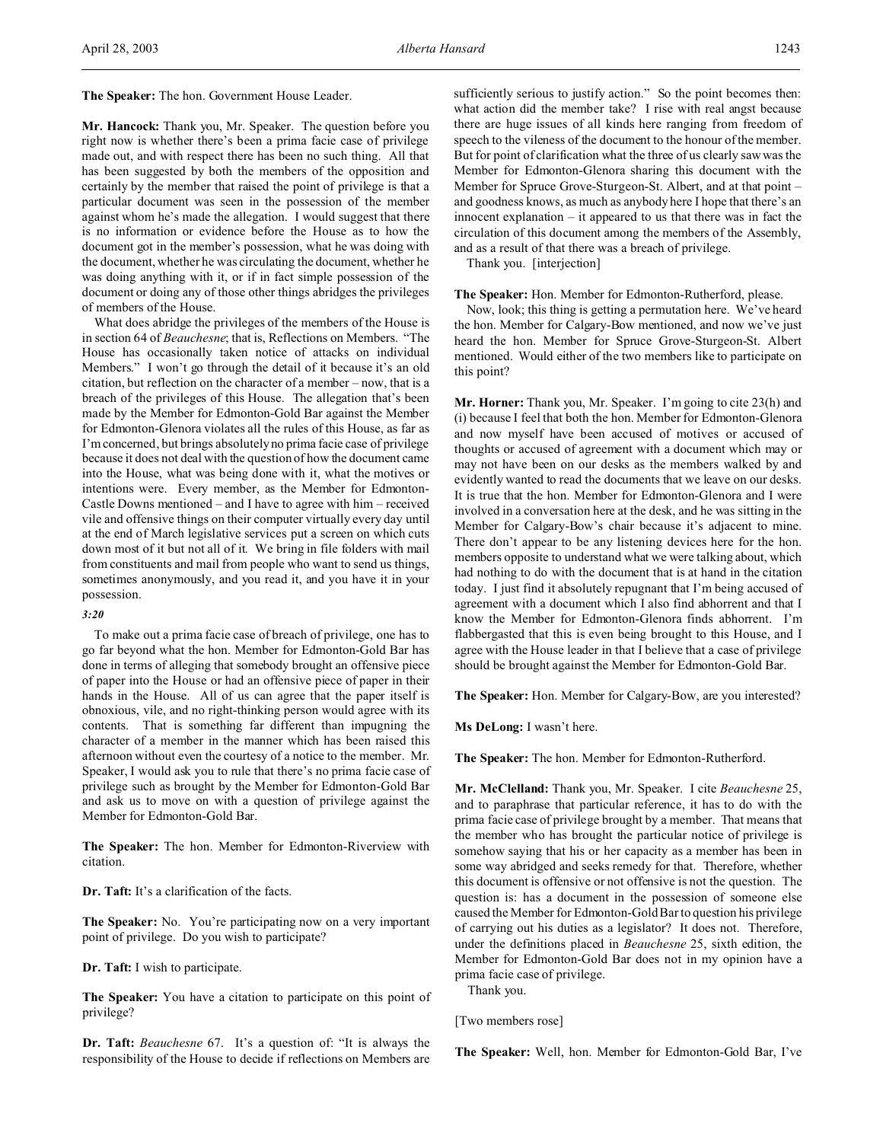**Mr. Hancock:** Thank you, Mr. Speaker. The question before you right now is whether there's been a prima facie case of privilege made out, and with respect there has been no such thing. All that has been suggested by both the members of the opposition and certainly by the member that raised the point of privilege is that a particular document was seen in the possession of the member against whom he's made the allegation. I would suggest that there is no information or evidence before the House as to how the document got in the member's possession, what he was doing with the document, whether he was circulating the document, whether he was doing anything with it, or if in fact simple possession of the document or doing any of those other things abridges the privileges of members of the House.

What does abridge the privileges of the members of the House is in section 64 of *Beauchesne*; that is, Reflections on Members. "The House has occasionally taken notice of attacks on individual Members." I won't go through the detail of it because it's an old citation, but reflection on the character of a member – now, that is a breach of the privileges of this House. The allegation that's been made by the Member for Edmonton-Gold Bar against the Member for Edmonton-Glenora violates all the rules of this House, as far as I'm concerned, but brings absolutely no prima facie case of privilege because it does not deal with the question of how the document came into the House, what was being done with it, what the motives or intentions were. Every member, as the Member for Edmonton-Castle Downs mentioned – and I have to agree with him – received vile and offensive things on their computer virtually every day until at the end of March legislative services put a screen on which cuts down most of it but not all of it. We bring in file folders with mail from constituents and mail from people who want to send us things, sometimes anonymously, and you read it, and you have it in your possession.

#### *3:20*

To make out a prima facie case of breach of privilege, one has to go far beyond what the hon. Member for Edmonton-Gold Bar has done in terms of alleging that somebody brought an offensive piece of paper into the House or had an offensive piece of paper in their hands in the House. All of us can agree that the paper itself is obnoxious, vile, and no right-thinking person would agree with its contents. That is something far different than impugning the character of a member in the manner which has been raised this afternoon without even the courtesy of a notice to the member. Mr. Speaker, I would ask you to rule that there's no prima facie case of privilege such as brought by the Member for Edmonton-Gold Bar and ask us to move on with a question of privilege against the Member for Edmonton-Gold Bar.

**The Speaker:** The hon. Member for Edmonton-Riverview with citation.

**Dr. Taft:** It's a clarification of the facts.

**The Speaker:** No. You're participating now on a very important point of privilege. Do you wish to participate?

**Dr. Taft:** I wish to participate.

**The Speaker:** You have a citation to participate on this point of privilege?

**Dr. Taft:** *Beauchesne* 67. It's a question of: "It is always the responsibility of the House to decide if reflections on Members are sufficiently serious to justify action." So the point becomes then: what action did the member take? I rise with real angst because there are huge issues of all kinds here ranging from freedom of speech to the vileness of the document to the honour of the member. But for point of clarification what the three of us clearly saw was the Member for Edmonton-Glenora sharing this document with the Member for Spruce Grove-Sturgeon-St. Albert, and at that point – and goodness knows, as much as anybody here I hope that there's an innocent explanation  $-$  it appeared to us that there was in fact the circulation of this document among the members of the Assembly, and as a result of that there was a breach of privilege.

Thank you. [interjection]

**The Speaker:** Hon. Member for Edmonton-Rutherford, please.

Now, look; this thing is getting a permutation here. We've heard the hon. Member for Calgary-Bow mentioned, and now we've just heard the hon. Member for Spruce Grove-Sturgeon-St. Albert mentioned. Would either of the two members like to participate on this point?

**Mr. Horner:** Thank you, Mr. Speaker. I'm going to cite 23(h) and (i) because I feel that both the hon. Member for Edmonton-Glenora and now myself have been accused of motives or accused of thoughts or accused of agreement with a document which may or may not have been on our desks as the members walked by and evidently wanted to read the documents that we leave on our desks. It is true that the hon. Member for Edmonton-Glenora and I were involved in a conversation here at the desk, and he was sitting in the Member for Calgary-Bow's chair because it's adjacent to mine. There don't appear to be any listening devices here for the hon. members opposite to understand what we were talking about, which had nothing to do with the document that is at hand in the citation today. I just find it absolutely repugnant that I'm being accused of agreement with a document which I also find abhorrent and that I know the Member for Edmonton-Glenora finds abhorrent. I'm flabbergasted that this is even being brought to this House, and I agree with the House leader in that I believe that a case of privilege should be brought against the Member for Edmonton-Gold Bar.

**The Speaker:** Hon. Member for Calgary-Bow, are you interested?

**Ms DeLong:** I wasn't here.

**The Speaker:** The hon. Member for Edmonton-Rutherford.

**Mr. McClelland:** Thank you, Mr. Speaker. I cite *Beauchesne* 25, and to paraphrase that particular reference, it has to do with the prima facie case of privilege brought by a member. That means that the member who has brought the particular notice of privilege is somehow saying that his or her capacity as a member has been in some way abridged and seeks remedy for that. Therefore, whether this document is offensive or not offensive is not the question. The question is: has a document in the possession of someone else caused the Member for Edmonton-Gold Bar to question his privilege of carrying out his duties as a legislator? It does not. Therefore, under the definitions placed in *Beauchesne* 25, sixth edition, the Member for Edmonton-Gold Bar does not in my opinion have a prima facie case of privilege.

Thank you.

[Two members rose]

**The Speaker:** Well, hon. Member for Edmonton-Gold Bar, I've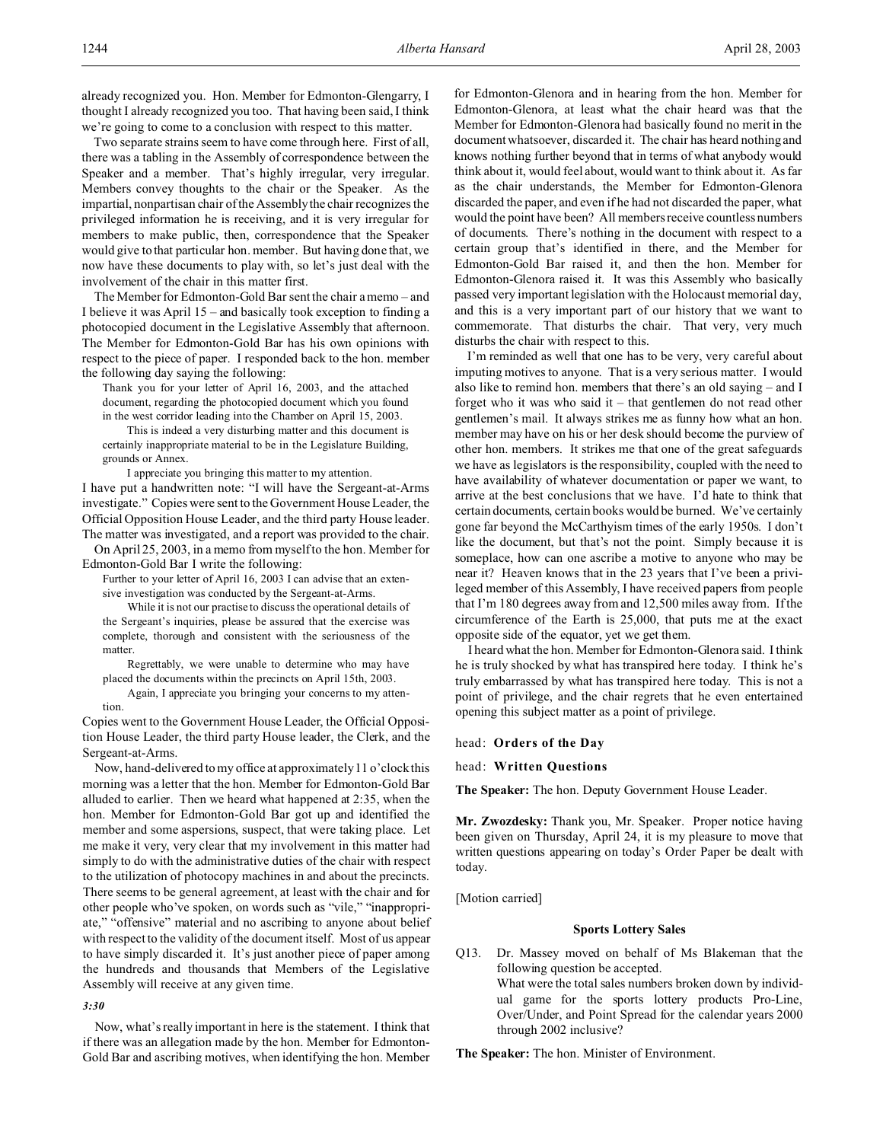already recognized you. Hon. Member for Edmonton-Glengarry, I thought I already recognized you too. That having been said, I think we're going to come to a conclusion with respect to this matter.

Two separate strains seem to have come through here. First of all, there was a tabling in the Assembly of correspondence between the Speaker and a member. That's highly irregular, very irregular. Members convey thoughts to the chair or the Speaker. As the impartial, nonpartisan chair of the Assembly the chair recognizes the privileged information he is receiving, and it is very irregular for members to make public, then, correspondence that the Speaker would give to that particular hon. member. But having done that, we now have these documents to play with, so let's just deal with the involvement of the chair in this matter first.

The Member for Edmonton-Gold Bar sent the chair a memo – and I believe it was April 15 – and basically took exception to finding a photocopied document in the Legislative Assembly that afternoon. The Member for Edmonton-Gold Bar has his own opinions with respect to the piece of paper. I responded back to the hon. member the following day saying the following:

Thank you for your letter of April 16, 2003, and the attached document, regarding the photocopied document which you found in the west corridor leading into the Chamber on April 15, 2003.

This is indeed a very disturbing matter and this document is

certainly inappropriate material to be in the Legislature Building, grounds or Annex.

I appreciate you bringing this matter to my attention. I have put a handwritten note: "I will have the Sergeant-at-Arms investigate." Copies were sent to the Government House Leader, the Official Opposition House Leader, and the third party House leader. The matter was investigated, and a report was provided to the chair.

On April 25, 2003, in a memo from myself to the hon. Member for Edmonton-Gold Bar I write the following:

Further to your letter of April 16, 2003 I can advise that an extensive investigation was conducted by the Sergeant-at-Arms.

While it is not our practise to discuss the operational details of the Sergeant's inquiries, please be assured that the exercise was complete, thorough and consistent with the seriousness of the matter.

Regrettably, we were unable to determine who may have placed the documents within the precincts on April 15th, 2003.

Again, I appreciate you bringing your concerns to my attention.

Copies went to the Government House Leader, the Official Opposition House Leader, the third party House leader, the Clerk, and the Sergeant-at-Arms.

Now, hand-delivered to my office at approximately 11 o'clock this morning was a letter that the hon. Member for Edmonton-Gold Bar alluded to earlier. Then we heard what happened at 2:35, when the hon. Member for Edmonton-Gold Bar got up and identified the member and some aspersions, suspect, that were taking place. Let me make it very, very clear that my involvement in this matter had simply to do with the administrative duties of the chair with respect to the utilization of photocopy machines in and about the precincts. There seems to be general agreement, at least with the chair and for other people who've spoken, on words such as "vile," "inappropriate," "offensive" material and no ascribing to anyone about belief with respect to the validity of the document itself. Most of us appear to have simply discarded it. It's just another piece of paper among the hundreds and thousands that Members of the Legislative Assembly will receive at any given time.

#### *3:30*

Now, what's really important in here is the statement. I think that if there was an allegation made by the hon. Member for Edmonton-Gold Bar and ascribing motives, when identifying the hon. Member for Edmonton-Glenora and in hearing from the hon. Member for Edmonton-Glenora, at least what the chair heard was that the Member for Edmonton-Glenora had basically found no merit in the document whatsoever, discarded it. The chair has heard nothing and knows nothing further beyond that in terms of what anybody would think about it, would feel about, would want to think about it. As far as the chair understands, the Member for Edmonton-Glenora discarded the paper, and even if he had not discarded the paper, what would the point have been? All members receive countless numbers of documents. There's nothing in the document with respect to a certain group that's identified in there, and the Member for Edmonton-Gold Bar raised it, and then the hon. Member for Edmonton-Glenora raised it. It was this Assembly who basically passed very important legislation with the Holocaust memorial day, and this is a very important part of our history that we want to commemorate. That disturbs the chair. That very, very much disturbs the chair with respect to this.

I'm reminded as well that one has to be very, very careful about imputing motives to anyone. That is a very serious matter. I would also like to remind hon. members that there's an old saying – and I forget who it was who said it – that gentlemen do not read other gentlemen's mail. It always strikes me as funny how what an hon. member may have on his or her desk should become the purview of other hon. members. It strikes me that one of the great safeguards we have as legislators is the responsibility, coupled with the need to have availability of whatever documentation or paper we want, to arrive at the best conclusions that we have. I'd hate to think that certain documents, certain books would be burned. We've certainly gone far beyond the McCarthyism times of the early 1950s. I don't like the document, but that's not the point. Simply because it is someplace, how can one ascribe a motive to anyone who may be near it? Heaven knows that in the 23 years that I've been a privileged member of this Assembly, I have received papers from people that I'm 180 degrees away from and 12,500 miles away from. If the circumference of the Earth is 25,000, that puts me at the exact opposite side of the equator, yet we get them.

I heard what the hon. Member for Edmonton-Glenora said. I think he is truly shocked by what has transpired here today. I think he's truly embarrassed by what has transpired here today. This is not a point of privilege, and the chair regrets that he even entertained opening this subject matter as a point of privilege.

head: **Orders of the Day**

head: **Written Questions**

**The Speaker:** The hon. Deputy Government House Leader.

**Mr. Zwozdesky:** Thank you, Mr. Speaker. Proper notice having been given on Thursday, April 24, it is my pleasure to move that written questions appearing on today's Order Paper be dealt with today.

[Motion carried]

# **Sports Lottery Sales**

Q13. Dr. Massey moved on behalf of Ms Blakeman that the following question be accepted. What were the total sales numbers broken down by individual game for the sports lottery products Pro-Line, Over/Under, and Point Spread for the calendar years 2000 through 2002 inclusive?

**The Speaker:** The hon. Minister of Environment.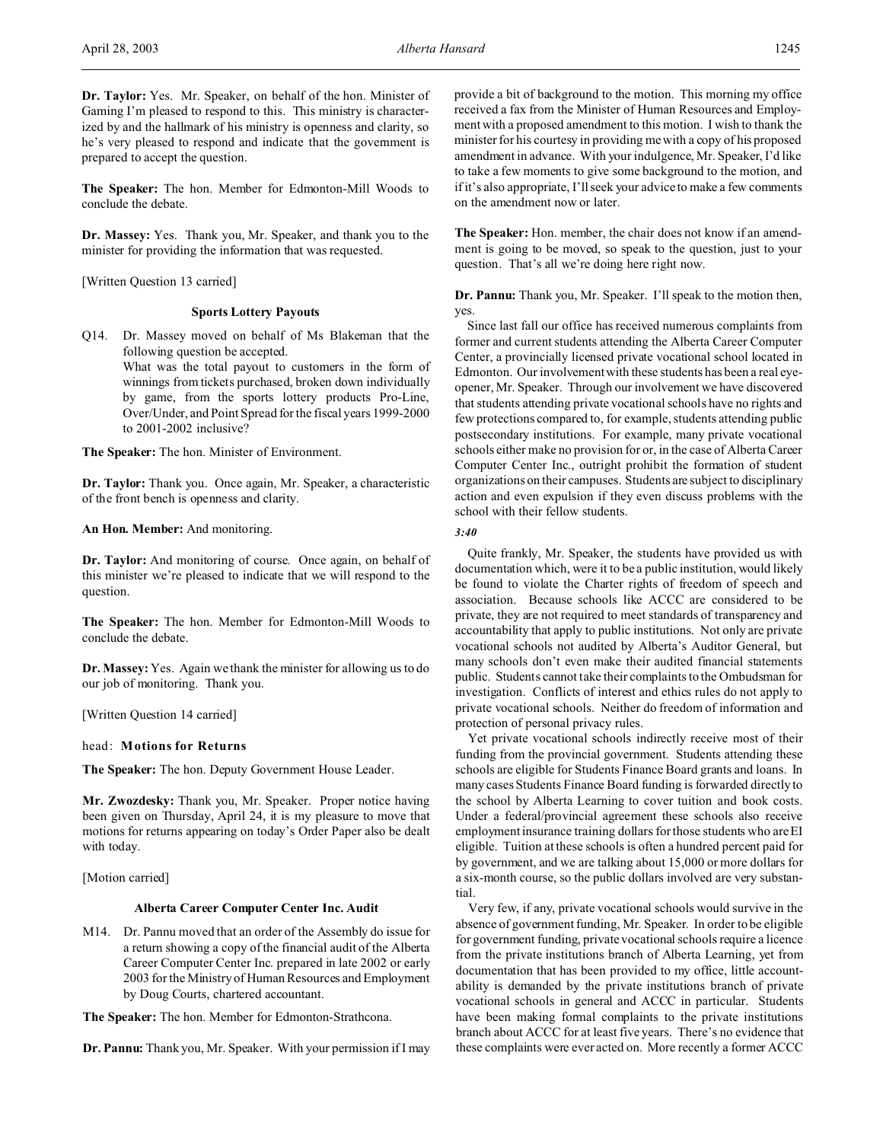**Dr. Taylor:** Yes. Mr. Speaker, on behalf of the hon. Minister of Gaming I'm pleased to respond to this. This ministry is characterized by and the hallmark of his ministry is openness and clarity, so he's very pleased to respond and indicate that the government is prepared to accept the question.

**The Speaker:** The hon. Member for Edmonton-Mill Woods to conclude the debate.

**Dr. Massey:** Yes. Thank you, Mr. Speaker, and thank you to the minister for providing the information that was requested.

[Written Question 13 carried]

## **Sports Lottery Payouts**

Q14. Dr. Massey moved on behalf of Ms Blakeman that the following question be accepted.

> What was the total payout to customers in the form of winnings from tickets purchased, broken down individually by game, from the sports lottery products Pro-Line, Over/Under, and Point Spread for the fiscal years 1999-2000 to 2001-2002 inclusive?

**The Speaker:** The hon. Minister of Environment.

**Dr. Taylor:** Thank you. Once again, Mr. Speaker, a characteristic of the front bench is openness and clarity.

**An Hon. Member:** And monitoring.

**Dr. Taylor:** And monitoring of course. Once again, on behalf of this minister we're pleased to indicate that we will respond to the question.

**The Speaker:** The hon. Member for Edmonton-Mill Woods to conclude the debate.

**Dr. Massey:** Yes. Again we thank the minister for allowing us to do our job of monitoring. Thank you.

[Written Question 14 carried]

head: **Motions for Returns**

**The Speaker:** The hon. Deputy Government House Leader.

**Mr. Zwozdesky:** Thank you, Mr. Speaker. Proper notice having been given on Thursday, April 24, it is my pleasure to move that motions for returns appearing on today's Order Paper also be dealt with today.

[Motion carried]

#### **Alberta Career Computer Center Inc. Audit**

M14. Dr. Pannu moved that an order of the Assembly do issue for a return showing a copy of the financial audit of the Alberta Career Computer Center Inc. prepared in late 2002 or early 2003 for the Ministry of Human Resources and Employment by Doug Courts, chartered accountant.

**The Speaker:** The hon. Member for Edmonton-Strathcona.

**Dr. Pannu:** Thank you, Mr. Speaker. With your permission if I may

provide a bit of background to the motion. This morning my office received a fax from the Minister of Human Resources and Employment with a proposed amendment to this motion. I wish to thank the minister for his courtesy in providing me with a copy of his proposed amendment in advance. With your indulgence, Mr. Speaker, I'd like to take a few moments to give some background to the motion, and if it's also appropriate, I'll seek your advice to make a few comments on the amendment now or later.

**The Speaker:** Hon. member, the chair does not know if an amendment is going to be moved, so speak to the question, just to your question. That's all we're doing here right now.

**Dr. Pannu:** Thank you, Mr. Speaker. I'll speak to the motion then, yes.

Since last fall our office has received numerous complaints from former and current students attending the Alberta Career Computer Center, a provincially licensed private vocational school located in Edmonton. Our involvement with these students has been a real eyeopener, Mr. Speaker. Through our involvement we have discovered that students attending private vocational schools have no rights and few protections compared to, for example, students attending public postsecondary institutions. For example, many private vocational schools either make no provision for or, in the case of Alberta Career Computer Center Inc., outright prohibit the formation of student organizations on their campuses. Students are subject to disciplinary action and even expulsion if they even discuss problems with the school with their fellow students.

*3:40*

Quite frankly, Mr. Speaker, the students have provided us with documentation which, were it to be a public institution, would likely be found to violate the Charter rights of freedom of speech and association. Because schools like ACCC are considered to be private, they are not required to meet standards of transparency and accountability that apply to public institutions. Not only are private vocational schools not audited by Alberta's Auditor General, but many schools don't even make their audited financial statements public. Students cannot take their complaints to the Ombudsman for investigation. Conflicts of interest and ethics rules do not apply to private vocational schools. Neither do freedom of information and protection of personal privacy rules.

Yet private vocational schools indirectly receive most of their funding from the provincial government. Students attending these schools are eligible for Students Finance Board grants and loans. In many cases Students Finance Board funding is forwarded directly to the school by Alberta Learning to cover tuition and book costs. Under a federal/provincial agreement these schools also receive employment insurance training dollars for those students who are EI eligible. Tuition at these schools is often a hundred percent paid for by government, and we are talking about 15,000 or more dollars for a six-month course, so the public dollars involved are very substantial.

Very few, if any, private vocational schools would survive in the absence of government funding, Mr. Speaker. In order to be eligible for government funding, private vocational schools require a licence from the private institutions branch of Alberta Learning, yet from documentation that has been provided to my office, little accountability is demanded by the private institutions branch of private vocational schools in general and ACCC in particular. Students have been making formal complaints to the private institutions branch about ACCC for at least five years. There's no evidence that these complaints were ever acted on. More recently a former ACCC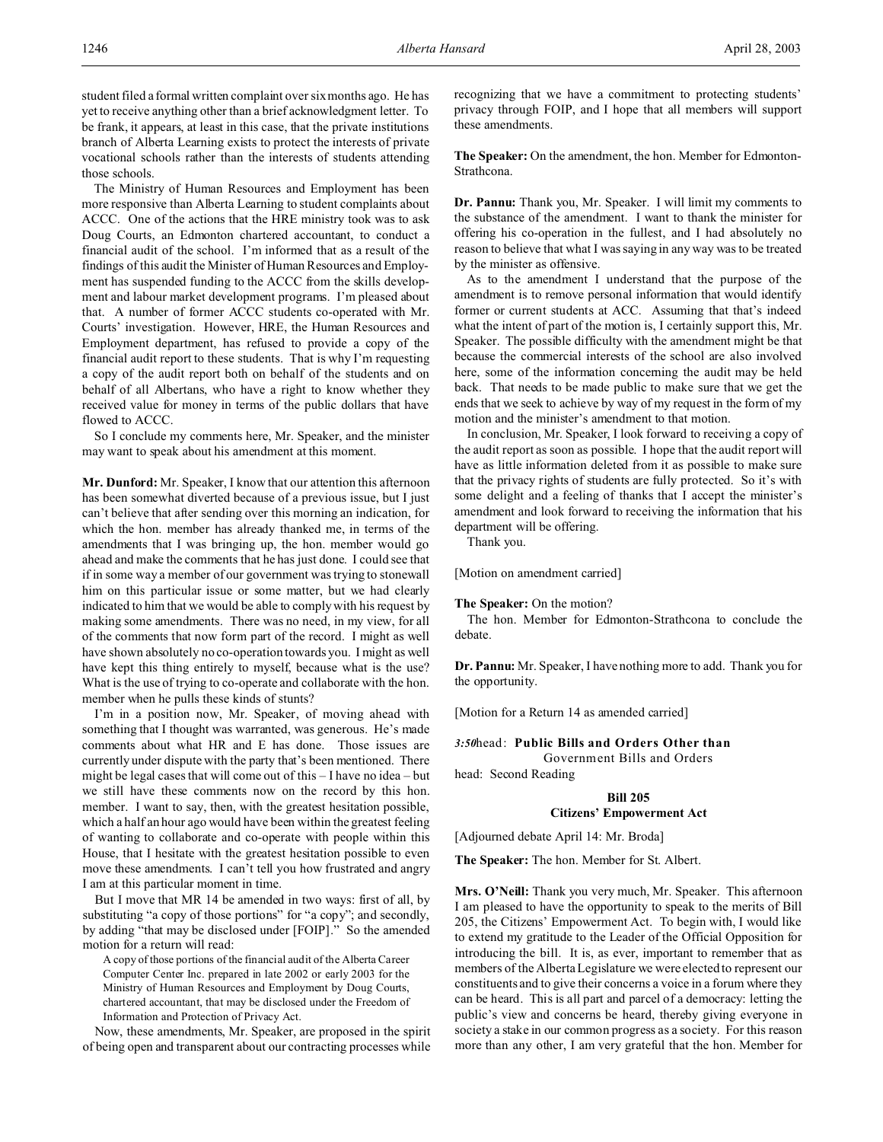student filed a formal written complaint over six months ago. He has yet to receive anything other than a brief acknowledgment letter. To be frank, it appears, at least in this case, that the private institutions branch of Alberta Learning exists to protect the interests of private vocational schools rather than the interests of students attending those schools.

The Ministry of Human Resources and Employment has been more responsive than Alberta Learning to student complaints about ACCC. One of the actions that the HRE ministry took was to ask Doug Courts, an Edmonton chartered accountant, to conduct a financial audit of the school. I'm informed that as a result of the findings of this audit the Minister of Human Resources and Employment has suspended funding to the ACCC from the skills development and labour market development programs. I'm pleased about that. A number of former ACCC students co-operated with Mr. Courts' investigation. However, HRE, the Human Resources and Employment department, has refused to provide a copy of the financial audit report to these students. That is why I'm requesting a copy of the audit report both on behalf of the students and on behalf of all Albertans, who have a right to know whether they received value for money in terms of the public dollars that have flowed to ACCC.

So I conclude my comments here, Mr. Speaker, and the minister may want to speak about his amendment at this moment.

**Mr. Dunford:** Mr. Speaker, I know that our attention this afternoon has been somewhat diverted because of a previous issue, but I just can't believe that after sending over this morning an indication, for which the hon. member has already thanked me, in terms of the amendments that I was bringing up, the hon. member would go ahead and make the comments that he has just done. I could see that if in some way a member of our government was trying to stonewall him on this particular issue or some matter, but we had clearly indicated to him that we would be able to comply with his request by making some amendments. There was no need, in my view, for all of the comments that now form part of the record. I might as well have shown absolutely no co-operation towards you. I might as well have kept this thing entirely to myself, because what is the use? What is the use of trying to co-operate and collaborate with the hon. member when he pulls these kinds of stunts?

I'm in a position now, Mr. Speaker, of moving ahead with something that I thought was warranted, was generous. He's made comments about what HR and E has done. Those issues are currently under dispute with the party that's been mentioned. There might be legal cases that will come out of this – I have no idea – but we still have these comments now on the record by this hon. member. I want to say, then, with the greatest hesitation possible, which a half an hour ago would have been within the greatest feeling of wanting to collaborate and co-operate with people within this House, that I hesitate with the greatest hesitation possible to even move these amendments. I can't tell you how frustrated and angry I am at this particular moment in time.

But I move that MR 14 be amended in two ways: first of all, by substituting "a copy of those portions" for "a copy"; and secondly, by adding "that may be disclosed under [FOIP]." So the amended motion for a return will read:

A copy of those portions of the financial audit of the Alberta Career Computer Center Inc. prepared in late 2002 or early 2003 for the Ministry of Human Resources and Employment by Doug Courts, chartered accountant, that may be disclosed under the Freedom of Information and Protection of Privacy Act.

Now, these amendments, Mr. Speaker, are proposed in the spirit of being open and transparent about our contracting processes while recognizing that we have a commitment to protecting students' privacy through FOIP, and I hope that all members will support these amendments.

**The Speaker:** On the amendment, the hon. Member for Edmonton-Strathcona.

**Dr. Pannu:** Thank you, Mr. Speaker. I will limit my comments to the substance of the amendment. I want to thank the minister for offering his co-operation in the fullest, and I had absolutely no reason to believe that what I was saying in any way was to be treated by the minister as offensive.

As to the amendment I understand that the purpose of the amendment is to remove personal information that would identify former or current students at ACC. Assuming that that's indeed what the intent of part of the motion is, I certainly support this, Mr. Speaker. The possible difficulty with the amendment might be that because the commercial interests of the school are also involved here, some of the information concerning the audit may be held back. That needs to be made public to make sure that we get the ends that we seek to achieve by way of my request in the form of my motion and the minister's amendment to that motion.

In conclusion, Mr. Speaker, I look forward to receiving a copy of the audit report as soon as possible. I hope that the audit report will have as little information deleted from it as possible to make sure that the privacy rights of students are fully protected. So it's with some delight and a feeling of thanks that I accept the minister's amendment and look forward to receiving the information that his department will be offering.

Thank you.

[Motion on amendment carried]

**The Speaker:** On the motion?

The hon. Member for Edmonton-Strathcona to conclude the debate.

**Dr. Pannu:** Mr. Speaker, I have nothing more to add. Thank you for the opportunity.

[Motion for a Return 14 as amended carried]

### *3:50*head: **Public Bills and Orders Other than**

Government Bills and Orders

head: Second Reading

# **Bill 205**

#### **Citizens' Empowerment Act**

[Adjourned debate April 14: Mr. Broda]

**The Speaker:** The hon. Member for St. Albert.

**Mrs. O'Neill:** Thank you very much, Mr. Speaker. This afternoon I am pleased to have the opportunity to speak to the merits of Bill 205, the Citizens' Empowerment Act. To begin with, I would like to extend my gratitude to the Leader of the Official Opposition for introducing the bill. It is, as ever, important to remember that as members of the Alberta Legislature we were elected to represent our constituents and to give their concerns a voice in a forum where they can be heard. This is all part and parcel of a democracy: letting the public's view and concerns be heard, thereby giving everyone in society a stake in our common progress as a society. For this reason more than any other, I am very grateful that the hon. Member for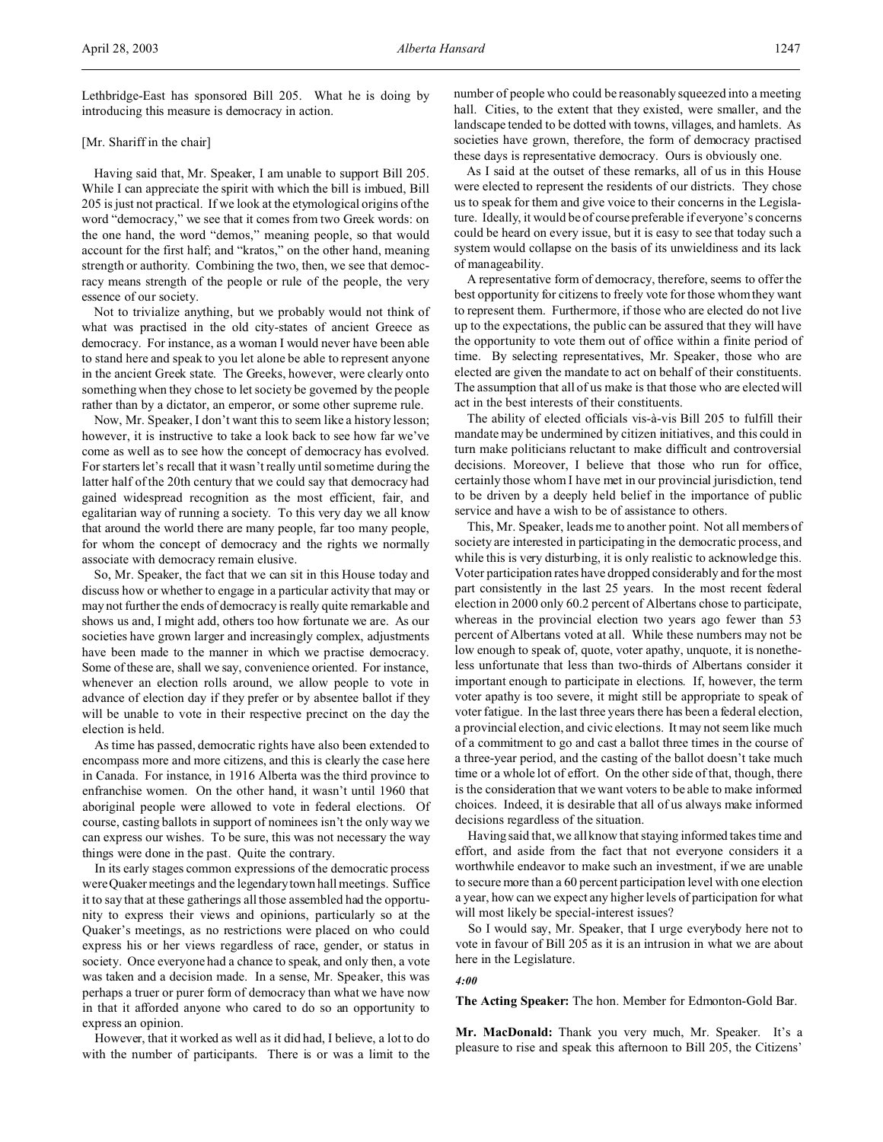Lethbridge-East has sponsored Bill 205. What he is doing by introducing this measure is democracy in action.

### [Mr. Shariff in the chair]

Having said that, Mr. Speaker, I am unable to support Bill 205. While I can appreciate the spirit with which the bill is imbued, Bill 205 is just not practical. If we look at the etymological origins of the word "democracy," we see that it comes from two Greek words: on the one hand, the word "demos," meaning people, so that would account for the first half; and "kratos," on the other hand, meaning strength or authority. Combining the two, then, we see that democracy means strength of the people or rule of the people, the very essence of our society.

Not to trivialize anything, but we probably would not think of what was practised in the old city-states of ancient Greece as democracy. For instance, as a woman I would never have been able to stand here and speak to you let alone be able to represent anyone in the ancient Greek state. The Greeks, however, were clearly onto something when they chose to let society be governed by the people rather than by a dictator, an emperor, or some other supreme rule.

Now, Mr. Speaker, I don't want this to seem like a history lesson; however, it is instructive to take a look back to see how far we've come as well as to see how the concept of democracy has evolved. For starters let's recall that it wasn't really until sometime during the latter half of the 20th century that we could say that democracy had gained widespread recognition as the most efficient, fair, and egalitarian way of running a society. To this very day we all know that around the world there are many people, far too many people, for whom the concept of democracy and the rights we normally associate with democracy remain elusive.

So, Mr. Speaker, the fact that we can sit in this House today and discuss how or whether to engage in a particular activity that may or may not further the ends of democracy is really quite remarkable and shows us and, I might add, others too how fortunate we are. As our societies have grown larger and increasingly complex, adjustments have been made to the manner in which we practise democracy. Some of these are, shall we say, convenience oriented. For instance, whenever an election rolls around, we allow people to vote in advance of election day if they prefer or by absentee ballot if they will be unable to vote in their respective precinct on the day the election is held.

As time has passed, democratic rights have also been extended to encompass more and more citizens, and this is clearly the case here in Canada. For instance, in 1916 Alberta was the third province to enfranchise women. On the other hand, it wasn't until 1960 that aboriginal people were allowed to vote in federal elections. Of course, casting ballots in support of nominees isn't the only way we can express our wishes. To be sure, this was not necessary the way things were done in the past. Quite the contrary.

In its early stages common expressions of the democratic process were Quaker meetings and the legendary town hall meetings. Suffice it to say that at these gatherings all those assembled had the opportunity to express their views and opinions, particularly so at the Quaker's meetings, as no restrictions were placed on who could express his or her views regardless of race, gender, or status in society. Once everyone had a chance to speak, and only then, a vote was taken and a decision made. In a sense, Mr. Speaker, this was perhaps a truer or purer form of democracy than what we have now in that it afforded anyone who cared to do so an opportunity to express an opinion.

However, that it worked as well as it did had, I believe, a lot to do with the number of participants. There is or was a limit to the

number of people who could be reasonably squeezed into a meeting hall. Cities, to the extent that they existed, were smaller, and the landscape tended to be dotted with towns, villages, and hamlets. As societies have grown, therefore, the form of democracy practised these days is representative democracy. Ours is obviously one.

As I said at the outset of these remarks, all of us in this House were elected to represent the residents of our districts. They chose us to speak for them and give voice to their concerns in the Legislature. Ideally, it would be of course preferable if everyone's concerns could be heard on every issue, but it is easy to see that today such a system would collapse on the basis of its unwieldiness and its lack of manageability.

A representative form of democracy, therefore, seems to offer the best opportunity for citizens to freely vote for those whom they want to represent them. Furthermore, if those who are elected do not live up to the expectations, the public can be assured that they will have the opportunity to vote them out of office within a finite period of time. By selecting representatives, Mr. Speaker, those who are elected are given the mandate to act on behalf of their constituents. The assumption that all of us make is that those who are elected will act in the best interests of their constituents.

The ability of elected officials vis-à-vis Bill 205 to fulfill their mandate may be undermined by citizen initiatives, and this could in turn make politicians reluctant to make difficult and controversial decisions. Moreover, I believe that those who run for office, certainly those whom I have met in our provincial jurisdiction, tend to be driven by a deeply held belief in the importance of public service and have a wish to be of assistance to others.

This, Mr. Speaker, leads me to another point. Not all members of society are interested in participating in the democratic process, and while this is very disturbing, it is only realistic to acknowledge this. Voter participation rates have dropped considerably and for the most part consistently in the last 25 years. In the most recent federal election in 2000 only 60.2 percent of Albertans chose to participate, whereas in the provincial election two years ago fewer than 53 percent of Albertans voted at all. While these numbers may not be low enough to speak of, quote, voter apathy, unquote, it is nonetheless unfortunate that less than two-thirds of Albertans consider it important enough to participate in elections. If, however, the term voter apathy is too severe, it might still be appropriate to speak of voter fatigue. In the last three years there has been a federal election, a provincial election, and civic elections. It may not seem like much of a commitment to go and cast a ballot three times in the course of a three-year period, and the casting of the ballot doesn't take much time or a whole lot of effort. On the other side of that, though, there is the consideration that we want voters to be able to make informed choices. Indeed, it is desirable that all of us always make informed decisions regardless of the situation.

Having said that, we all know that staying informed takes time and effort, and aside from the fact that not everyone considers it a worthwhile endeavor to make such an investment, if we are unable to secure more than a 60 percent participation level with one election a year, how can we expect any higher levels of participation for what will most likely be special-interest issues?

So I would say, Mr. Speaker, that I urge everybody here not to vote in favour of Bill 205 as it is an intrusion in what we are about here in the Legislature.

#### *4:00*

**The Acting Speaker:** The hon. Member for Edmonton-Gold Bar.

**Mr. MacDonald:** Thank you very much, Mr. Speaker. It's a pleasure to rise and speak this afternoon to Bill 205, the Citizens'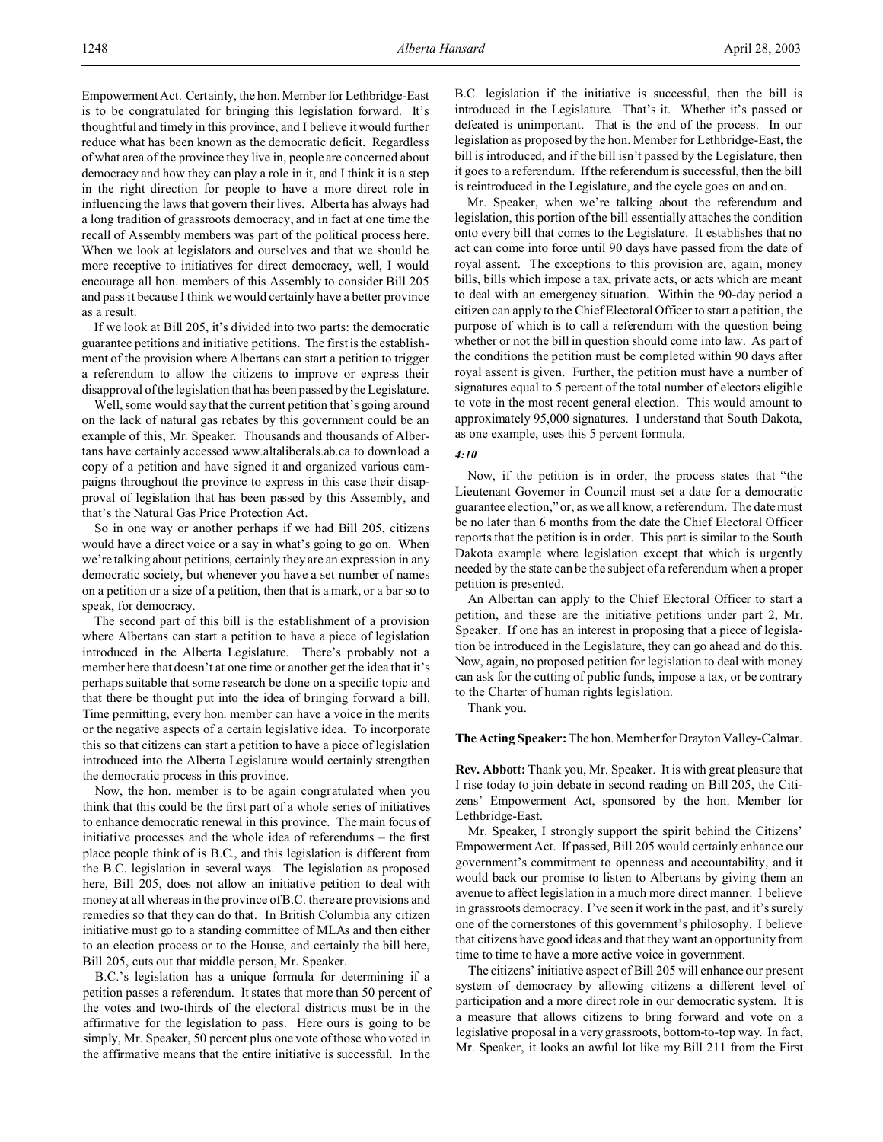Empowerment Act. Certainly, the hon. Member for Lethbridge-East is to be congratulated for bringing this legislation forward. It's thoughtful and timely in this province, and I believe it would further reduce what has been known as the democratic deficit. Regardless of what area of the province they live in, people are concerned about democracy and how they can play a role in it, and I think it is a step in the right direction for people to have a more direct role in influencing the laws that govern their lives. Alberta has always had a long tradition of grassroots democracy, and in fact at one time the recall of Assembly members was part of the political process here. When we look at legislators and ourselves and that we should be more receptive to initiatives for direct democracy, well, I would encourage all hon. members of this Assembly to consider Bill 205 and pass it because I think we would certainly have a better province as a result.

If we look at Bill 205, it's divided into two parts: the democratic guarantee petitions and initiative petitions. The first is the establishment of the provision where Albertans can start a petition to trigger a referendum to allow the citizens to improve or express their disapproval of the legislation that has been passed by the Legislature.

Well, some would say that the current petition that's going around on the lack of natural gas rebates by this government could be an example of this, Mr. Speaker. Thousands and thousands of Albertans have certainly accessed www.altaliberals.ab.ca to download a copy of a petition and have signed it and organized various campaigns throughout the province to express in this case their disapproval of legislation that has been passed by this Assembly, and that's the Natural Gas Price Protection Act.

So in one way or another perhaps if we had Bill 205, citizens would have a direct voice or a say in what's going to go on. When we're talking about petitions, certainly they are an expression in any democratic society, but whenever you have a set number of names on a petition or a size of a petition, then that is a mark, or a bar so to speak, for democracy.

The second part of this bill is the establishment of a provision where Albertans can start a petition to have a piece of legislation introduced in the Alberta Legislature. There's probably not a member here that doesn't at one time or another get the idea that it's perhaps suitable that some research be done on a specific topic and that there be thought put into the idea of bringing forward a bill. Time permitting, every hon. member can have a voice in the merits or the negative aspects of a certain legislative idea. To incorporate this so that citizens can start a petition to have a piece of legislation introduced into the Alberta Legislature would certainly strengthen the democratic process in this province.

Now, the hon. member is to be again congratulated when you think that this could be the first part of a whole series of initiatives to enhance democratic renewal in this province. The main focus of initiative processes and the whole idea of referendums – the first place people think of is B.C., and this legislation is different from the B.C. legislation in several ways. The legislation as proposed here, Bill 205, does not allow an initiative petition to deal with money at all whereas in the province of B.C. there are provisions and remedies so that they can do that. In British Columbia any citizen initiative must go to a standing committee of MLAs and then either to an election process or to the House, and certainly the bill here, Bill 205, cuts out that middle person, Mr. Speaker.

B.C.'s legislation has a unique formula for determining if a petition passes a referendum. It states that more than 50 percent of the votes and two-thirds of the electoral districts must be in the affirmative for the legislation to pass. Here ours is going to be simply, Mr. Speaker, 50 percent plus one vote of those who voted in the affirmative means that the entire initiative is successful. In the

B.C. legislation if the initiative is successful, then the bill is introduced in the Legislature. That's it. Whether it's passed or defeated is unimportant. That is the end of the process. In our legislation as proposed by the hon. Member for Lethbridge-East, the bill is introduced, and if the bill isn't passed by the Legislature, then it goes to a referendum. If the referendum is successful, then the bill is reintroduced in the Legislature, and the cycle goes on and on.

Mr. Speaker, when we're talking about the referendum and legislation, this portion of the bill essentially attaches the condition onto every bill that comes to the Legislature. It establishes that no act can come into force until 90 days have passed from the date of royal assent. The exceptions to this provision are, again, money bills, bills which impose a tax, private acts, or acts which are meant to deal with an emergency situation. Within the 90-day period a citizen can apply to the Chief Electoral Officer to start a petition, the purpose of which is to call a referendum with the question being whether or not the bill in question should come into law. As part of the conditions the petition must be completed within 90 days after royal assent is given. Further, the petition must have a number of signatures equal to 5 percent of the total number of electors eligible to vote in the most recent general election. This would amount to approximately 95,000 signatures. I understand that South Dakota, as one example, uses this 5 percent formula.

### *4:10*

Now, if the petition is in order, the process states that "the Lieutenant Governor in Council must set a date for a democratic guarantee election," or, as we all know, a referendum. The date must be no later than 6 months from the date the Chief Electoral Officer reports that the petition is in order. This part is similar to the South Dakota example where legislation except that which is urgently needed by the state can be the subject of a referendum when a proper petition is presented.

An Albertan can apply to the Chief Electoral Officer to start a petition, and these are the initiative petitions under part 2, Mr. Speaker. If one has an interest in proposing that a piece of legislation be introduced in the Legislature, they can go ahead and do this. Now, again, no proposed petition for legislation to deal with money can ask for the cutting of public funds, impose a tax, or be contrary to the Charter of human rights legislation.

Thank you.

**The Acting Speaker:** The hon. Member for Drayton Valley-Calmar.

**Rev. Abbott:** Thank you, Mr. Speaker. It is with great pleasure that I rise today to join debate in second reading on Bill 205, the Citizens' Empowerment Act, sponsored by the hon. Member for Lethbridge-East.

Mr. Speaker, I strongly support the spirit behind the Citizens' Empowerment Act. If passed, Bill 205 would certainly enhance our government's commitment to openness and accountability, and it would back our promise to listen to Albertans by giving them an avenue to affect legislation in a much more direct manner. I believe in grassroots democracy. I've seen it work in the past, and it's surely one of the cornerstones of this government's philosophy. I believe that citizens have good ideas and that they want an opportunity from time to time to have a more active voice in government.

The citizens' initiative aspect of Bill 205 will enhance our present system of democracy by allowing citizens a different level of participation and a more direct role in our democratic system. It is a measure that allows citizens to bring forward and vote on a legislative proposal in a very grassroots, bottom-to-top way. In fact, Mr. Speaker, it looks an awful lot like my Bill 211 from the First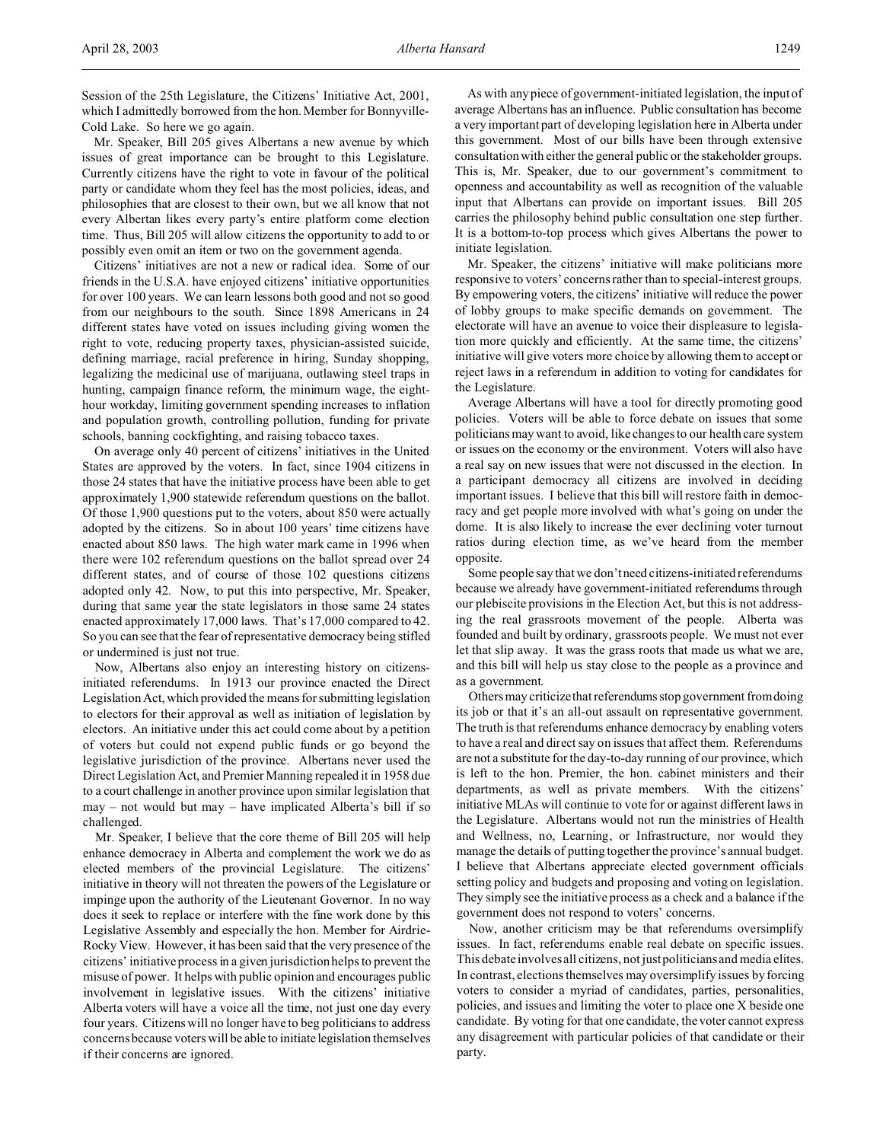Session of the 25th Legislature, the Citizens' Initiative Act, 2001, which I admittedly borrowed from the hon. Member for Bonnyville-Cold Lake. So here we go again.

Mr. Speaker, Bill 205 gives Albertans a new avenue by which issues of great importance can be brought to this Legislature. Currently citizens have the right to vote in favour of the political party or candidate whom they feel has the most policies, ideas, and philosophies that are closest to their own, but we all know that not every Albertan likes every party's entire platform come election time. Thus, Bill 205 will allow citizens the opportunity to add to or possibly even omit an item or two on the government agenda.

Citizens' initiatives are not a new or radical idea. Some of our friends in the U.S.A. have enjoyed citizens' initiative opportunities for over 100 years. We can learn lessons both good and not so good from our neighbours to the south. Since 1898 Americans in 24 different states have voted on issues including giving women the right to vote, reducing property taxes, physician-assisted suicide, defining marriage, racial preference in hiring, Sunday shopping, legalizing the medicinal use of marijuana, outlawing steel traps in hunting, campaign finance reform, the minimum wage, the eighthour workday, limiting government spending increases to inflation and population growth, controlling pollution, funding for private schools, banning cockfighting, and raising tobacco taxes.

On average only 40 percent of citizens' initiatives in the United States are approved by the voters. In fact, since 1904 citizens in those 24 states that have the initiative process have been able to get approximately 1,900 statewide referendum questions on the ballot. Of those 1,900 questions put to the voters, about 850 were actually adopted by the citizens. So in about 100 years' time citizens have enacted about 850 laws. The high water mark came in 1996 when there were 102 referendum questions on the ballot spread over 24 different states, and of course of those 102 questions citizens adopted only 42. Now, to put this into perspective, Mr. Speaker, during that same year the state legislators in those same 24 states enacted approximately 17,000 laws. That's 17,000 compared to 42. So you can see that the fear of representative democracy being stifled or undermined is just not true.

Now, Albertans also enjoy an interesting history on citizensinitiated referendums. In 1913 our province enacted the Direct Legislation Act, which provided the means for submitting legislation to electors for their approval as well as initiation of legislation by electors. An initiative under this act could come about by a petition of voters but could not expend public funds or go beyond the legislative jurisdiction of the province. Albertans never used the Direct Legislation Act, and Premier Manning repealed it in 1958 due to a court challenge in another province upon similar legislation that may – not would but may – have implicated Alberta's bill if so challenged.

Mr. Speaker, I believe that the core theme of Bill 205 will help enhance democracy in Alberta and complement the work we do as elected members of the provincial Legislature. The citizens' initiative in theory will not threaten the powers of the Legislature or impinge upon the authority of the Lieutenant Governor. In no way does it seek to replace or interfere with the fine work done by this Legislative Assembly and especially the hon. Member for Airdrie-Rocky View. However, it has been said that the very presence of the citizens' initiative process in a given jurisdiction helps to prevent the misuse of power. It helps with public opinion and encourages public involvement in legislative issues. With the citizens' initiative Alberta voters will have a voice all the time, not just one day every four years. Citizens will no longer have to beg politicians to address concerns because voters will be able to initiate legislation themselves if their concerns are ignored.

As with any piece of government-initiated legislation, the input of average Albertans has an influence. Public consultation has become a very important part of developing legislation here in Alberta under this government. Most of our bills have been through extensive consultation with either the general public or the stakeholder groups. This is, Mr. Speaker, due to our government's commitment to openness and accountability as well as recognition of the valuable input that Albertans can provide on important issues. Bill 205 carries the philosophy behind public consultation one step further. It is a bottom-to-top process which gives Albertans the power to initiate legislation.

Mr. Speaker, the citizens' initiative will make politicians more responsive to voters' concerns rather than to special-interest groups. By empowering voters, the citizens' initiative will reduce the power of lobby groups to make specific demands on government. The electorate will have an avenue to voice their displeasure to legislation more quickly and efficiently. At the same time, the citizens' initiative will give voters more choice by allowing them to accept or reject laws in a referendum in addition to voting for candidates for the Legislature.

Average Albertans will have a tool for directly promoting good policies. Voters will be able to force debate on issues that some politicians may want to avoid, like changes to our health care system or issues on the economy or the environment. Voters will also have a real say on new issues that were not discussed in the election. In a participant democracy all citizens are involved in deciding important issues. I believe that this bill will restore faith in democracy and get people more involved with what's going on under the dome. It is also likely to increase the ever declining voter turnout ratios during election time, as we've heard from the member opposite.

Some people say that we don't need citizens-initiated referendums because we already have government-initiated referendums through our plebiscite provisions in the Election Act, but this is not addressing the real grassroots movement of the people. Alberta was founded and built by ordinary, grassroots people. We must not ever let that slip away. It was the grass roots that made us what we are, and this bill will help us stay close to the people as a province and as a government.

Others may criticize that referendums stop government from doing its job or that it's an all-out assault on representative government. The truth is that referendums enhance democracy by enabling voters to have a real and direct say on issues that affect them. Referendums are not a substitute for the day-to-day running of our province, which is left to the hon. Premier, the hon. cabinet ministers and their departments, as well as private members. With the citizens' initiative MLAs will continue to vote for or against different laws in the Legislature. Albertans would not run the ministries of Health and Wellness, no, Learning, or Infrastructure, nor would they manage the details of putting together the province's annual budget. I believe that Albertans appreciate elected government officials setting policy and budgets and proposing and voting on legislation. They simply see the initiative process as a check and a balance if the government does not respond to voters' concerns.

Now, another criticism may be that referendums oversimplify issues. In fact, referendums enable real debate on specific issues. This debate involves all citizens, not just politicians and media elites. In contrast, elections themselves may oversimplify issues by forcing voters to consider a myriad of candidates, parties, personalities, policies, and issues and limiting the voter to place one X beside one candidate. By voting for that one candidate, the voter cannot express any disagreement with particular policies of that candidate or their party.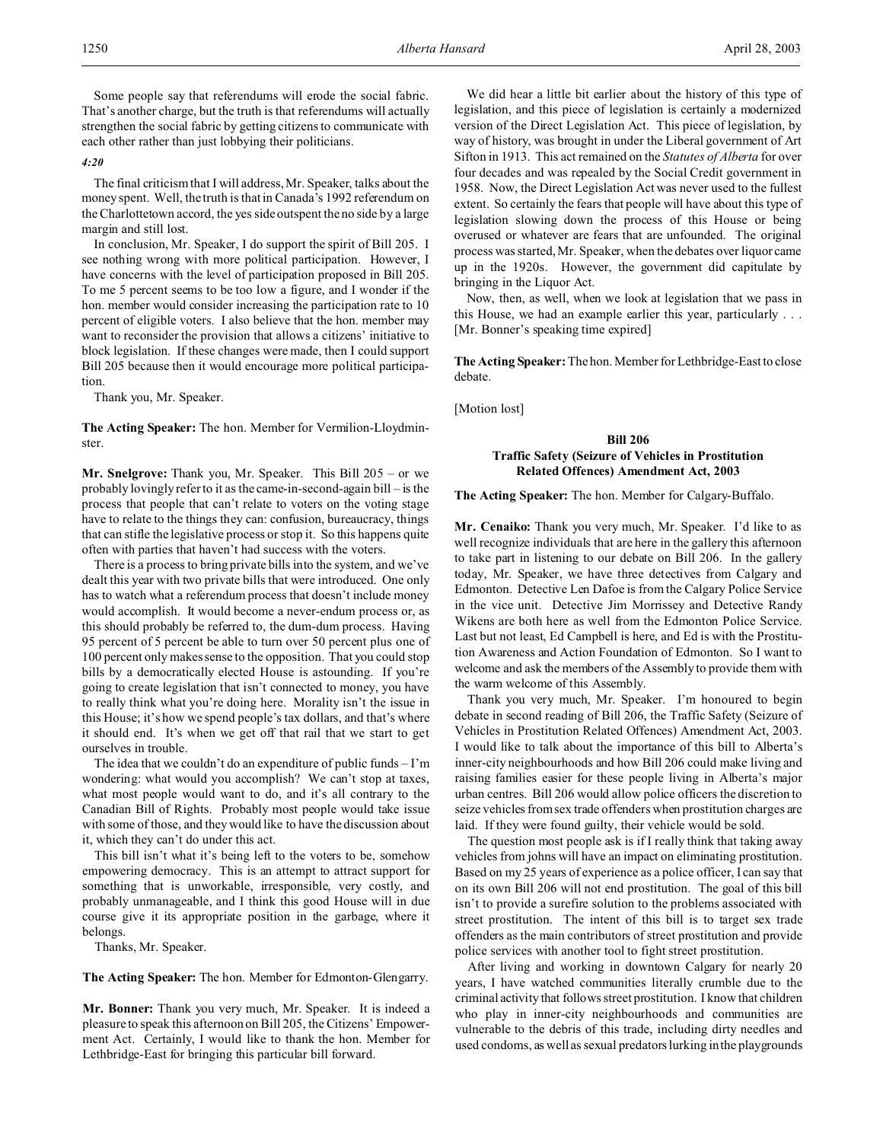Some people say that referendums will erode the social fabric. That's another charge, but the truth is that referendums will actually strengthen the social fabric by getting citizens to communicate with each other rather than just lobbying their politicians.

#### *4:20*

The final criticism that I will address, Mr. Speaker, talks about the money spent. Well, the truth is that in Canada's 1992 referendum on the Charlottetown accord, the yes side outspent the no side by a large margin and still lost.

In conclusion, Mr. Speaker, I do support the spirit of Bill 205. I see nothing wrong with more political participation. However, I have concerns with the level of participation proposed in Bill 205. To me 5 percent seems to be too low a figure, and I wonder if the hon. member would consider increasing the participation rate to 10 percent of eligible voters. I also believe that the hon. member may want to reconsider the provision that allows a citizens' initiative to block legislation. If these changes were made, then I could support Bill 205 because then it would encourage more political participation.

Thank you, Mr. Speaker.

**The Acting Speaker:** The hon. Member for Vermilion-Lloydminster.

**Mr. Snelgrove:** Thank you, Mr. Speaker. This Bill 205 – or we probably lovingly refer to it as the came-in-second-again bill – is the process that people that can't relate to voters on the voting stage have to relate to the things they can: confusion, bureaucracy, things that can stifle the legislative process or stop it. So this happens quite often with parties that haven't had success with the voters.

There is a process to bring private bills into the system, and we've dealt this year with two private bills that were introduced. One only has to watch what a referendum process that doesn't include money would accomplish. It would become a never-endum process or, as this should probably be referred to, the dum-dum process. Having 95 percent of 5 percent be able to turn over 50 percent plus one of 100 percent only makes sense to the opposition. That you could stop bills by a democratically elected House is astounding. If you're going to create legislation that isn't connected to money, you have to really think what you're doing here. Morality isn't the issue in this House; it's how we spend people's tax dollars, and that's where it should end. It's when we get off that rail that we start to get ourselves in trouble.

The idea that we couldn't do an expenditure of public funds  $-1'm$ wondering: what would you accomplish? We can't stop at taxes, what most people would want to do, and it's all contrary to the Canadian Bill of Rights. Probably most people would take issue with some of those, and they would like to have the discussion about it, which they can't do under this act.

This bill isn't what it's being left to the voters to be, somehow empowering democracy. This is an attempt to attract support for something that is unworkable, irresponsible, very costly, and probably unmanageable, and I think this good House will in due course give it its appropriate position in the garbage, where it belongs.

Thanks, Mr. Speaker.

**The Acting Speaker:** The hon. Member for Edmonton-Glengarry.

**Mr. Bonner:** Thank you very much, Mr. Speaker. It is indeed a pleasure to speak this afternoon on Bill 205, the Citizens' Empowerment Act. Certainly, I would like to thank the hon. Member for Lethbridge-East for bringing this particular bill forward.

We did hear a little bit earlier about the history of this type of legislation, and this piece of legislation is certainly a modernized version of the Direct Legislation Act. This piece of legislation, by way of history, was brought in under the Liberal government of Art Sifton in 1913. This act remained on the *Statutes of Alberta* for over four decades and was repealed by the Social Credit government in 1958. Now, the Direct Legislation Act was never used to the fullest extent. So certainly the fears that people will have about this type of legislation slowing down the process of this House or being overused or whatever are fears that are unfounded. The original process was started, Mr. Speaker, when the debates over liquor came up in the 1920s. However, the government did capitulate by bringing in the Liquor Act.

Now, then, as well, when we look at legislation that we pass in this House, we had an example earlier this year, particularly . . . [Mr. Bonner's speaking time expired]

**The Acting Speaker:** The hon. Member for Lethbridge-East to close debate.

[Motion lost]

# **Bill 206 Traffic Safety (Seizure of Vehicles in Prostitution Related Offences) Amendment Act, 2003**

#### **The Acting Speaker:** The hon. Member for Calgary-Buffalo.

**Mr. Cenaiko:** Thank you very much, Mr. Speaker. I'd like to as well recognize individuals that are here in the gallery this afternoon to take part in listening to our debate on Bill 206. In the gallery today, Mr. Speaker, we have three detectives from Calgary and Edmonton. Detective Len Dafoe is from the Calgary Police Service in the vice unit. Detective Jim Morrissey and Detective Randy Wikens are both here as well from the Edmonton Police Service. Last but not least, Ed Campbell is here, and Ed is with the Prostitution Awareness and Action Foundation of Edmonton. So I want to welcome and ask the members of the Assembly to provide them with the warm welcome of this Assembly.

Thank you very much, Mr. Speaker. I'm honoured to begin debate in second reading of Bill 206, the Traffic Safety (Seizure of Vehicles in Prostitution Related Offences) Amendment Act, 2003. I would like to talk about the importance of this bill to Alberta's inner-city neighbourhoods and how Bill 206 could make living and raising families easier for these people living in Alberta's major urban centres. Bill 206 would allow police officers the discretion to seize vehicles from sex trade offenders when prostitution charges are laid. If they were found guilty, their vehicle would be sold.

The question most people ask is if I really think that taking away vehicles from johns will have an impact on eliminating prostitution. Based on my 25 years of experience as a police officer, I can say that on its own Bill 206 will not end prostitution. The goal of this bill isn't to provide a surefire solution to the problems associated with street prostitution. The intent of this bill is to target sex trade offenders as the main contributors of street prostitution and provide police services with another tool to fight street prostitution.

After living and working in downtown Calgary for nearly 20 years, I have watched communities literally crumble due to the criminal activity that follows street prostitution. I know that children who play in inner-city neighbourhoods and communities are vulnerable to the debris of this trade, including dirty needles and used condoms, as well as sexual predators lurking in the playgrounds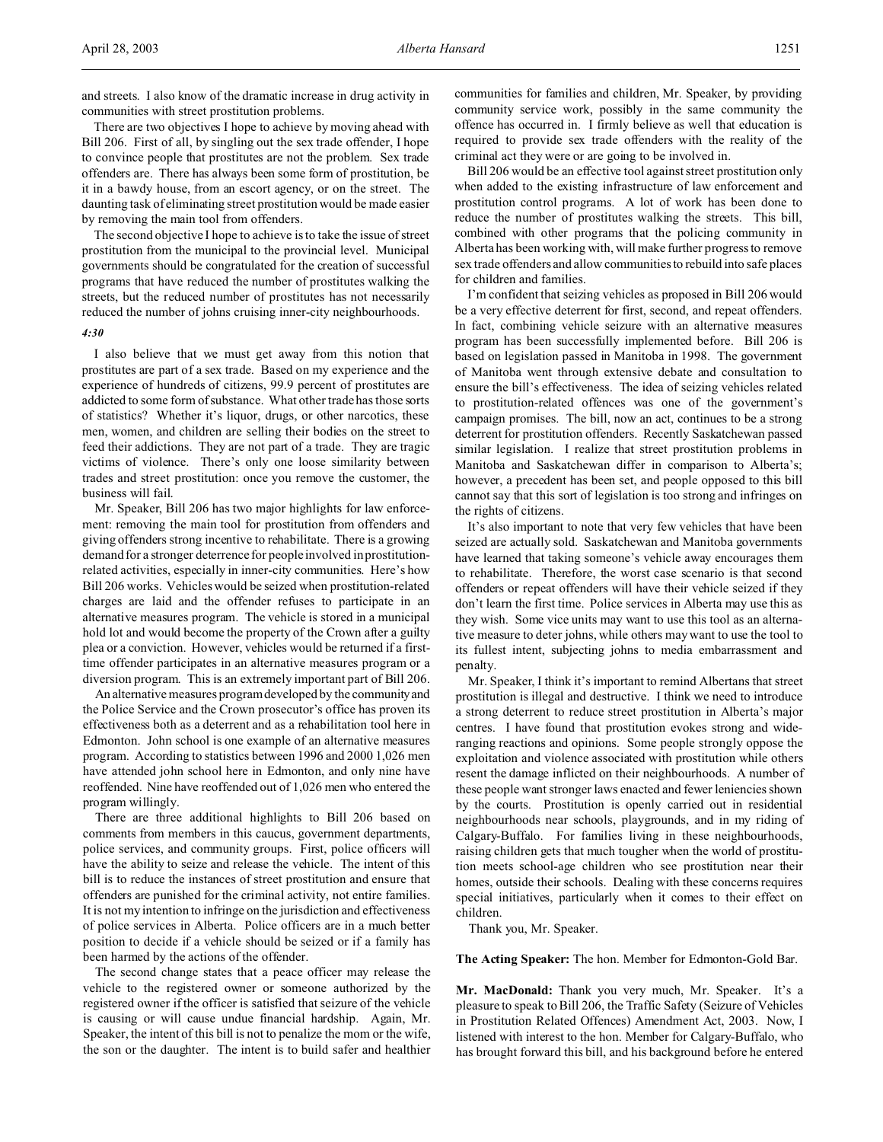and streets. I also know of the dramatic increase in drug activity in communities with street prostitution problems.

There are two objectives I hope to achieve by moving ahead with Bill 206. First of all, by singling out the sex trade offender, I hope to convince people that prostitutes are not the problem. Sex trade offenders are. There has always been some form of prostitution, be it in a bawdy house, from an escort agency, or on the street. The daunting task of eliminating street prostitution would be made easier by removing the main tool from offenders.

The second objective I hope to achieve is to take the issue of street prostitution from the municipal to the provincial level. Municipal governments should be congratulated for the creation of successful programs that have reduced the number of prostitutes walking the streets, but the reduced number of prostitutes has not necessarily reduced the number of johns cruising inner-city neighbourhoods.

#### *4:30*

I also believe that we must get away from this notion that prostitutes are part of a sex trade. Based on my experience and the experience of hundreds of citizens, 99.9 percent of prostitutes are addicted to some form of substance. What other trade has those sorts of statistics? Whether it's liquor, drugs, or other narcotics, these men, women, and children are selling their bodies on the street to feed their addictions. They are not part of a trade. They are tragic victims of violence. There's only one loose similarity between trades and street prostitution: once you remove the customer, the business will fail.

Mr. Speaker, Bill 206 has two major highlights for law enforcement: removing the main tool for prostitution from offenders and giving offenders strong incentive to rehabilitate. There is a growing demand for a stronger deterrence for people involved in prostitutionrelated activities, especially in inner-city communities. Here's how Bill 206 works. Vehicles would be seized when prostitution-related charges are laid and the offender refuses to participate in an alternative measures program. The vehicle is stored in a municipal hold lot and would become the property of the Crown after a guilty plea or a conviction. However, vehicles would be returned if a firsttime offender participates in an alternative measures program or a diversion program. This is an extremely important part of Bill 206.

An alternative measures program developed by the communityand the Police Service and the Crown prosecutor's office has proven its effectiveness both as a deterrent and as a rehabilitation tool here in Edmonton. John school is one example of an alternative measures program. According to statistics between 1996 and 2000 1,026 men have attended john school here in Edmonton, and only nine have reoffended. Nine have reoffended out of 1,026 men who entered the program willingly.

There are three additional highlights to Bill 206 based on comments from members in this caucus, government departments, police services, and community groups. First, police officers will have the ability to seize and release the vehicle. The intent of this bill is to reduce the instances of street prostitution and ensure that offenders are punished for the criminal activity, not entire families. It is not my intention to infringe on the jurisdiction and effectiveness of police services in Alberta. Police officers are in a much better position to decide if a vehicle should be seized or if a family has been harmed by the actions of the offender.

The second change states that a peace officer may release the vehicle to the registered owner or someone authorized by the registered owner if the officer is satisfied that seizure of the vehicle is causing or will cause undue financial hardship. Again, Mr. Speaker, the intent of this bill is not to penalize the mom or the wife, the son or the daughter. The intent is to build safer and healthier

communities for families and children, Mr. Speaker, by providing community service work, possibly in the same community the offence has occurred in. I firmly believe as well that education is required to provide sex trade offenders with the reality of the criminal act they were or are going to be involved in.

Bill 206 would be an effective tool against street prostitution only when added to the existing infrastructure of law enforcement and prostitution control programs. A lot of work has been done to reduce the number of prostitutes walking the streets. This bill, combined with other programs that the policing community in Alberta has been working with, will make further progress to remove sex trade offenders and allow communities to rebuild into safe places for children and families.

I'm confident that seizing vehicles as proposed in Bill 206 would be a very effective deterrent for first, second, and repeat offenders. In fact, combining vehicle seizure with an alternative measures program has been successfully implemented before. Bill 206 is based on legislation passed in Manitoba in 1998. The government of Manitoba went through extensive debate and consultation to ensure the bill's effectiveness. The idea of seizing vehicles related to prostitution-related offences was one of the government's campaign promises. The bill, now an act, continues to be a strong deterrent for prostitution offenders. Recently Saskatchewan passed similar legislation. I realize that street prostitution problems in Manitoba and Saskatchewan differ in comparison to Alberta's; however, a precedent has been set, and people opposed to this bill cannot say that this sort of legislation is too strong and infringes on the rights of citizens.

It's also important to note that very few vehicles that have been seized are actually sold. Saskatchewan and Manitoba governments have learned that taking someone's vehicle away encourages them to rehabilitate. Therefore, the worst case scenario is that second offenders or repeat offenders will have their vehicle seized if they don't learn the first time. Police services in Alberta may use this as they wish. Some vice units may want to use this tool as an alternative measure to deter johns, while others may want to use the tool to its fullest intent, subjecting johns to media embarrassment and penalty.

Mr. Speaker, I think it's important to remind Albertans that street prostitution is illegal and destructive. I think we need to introduce a strong deterrent to reduce street prostitution in Alberta's major centres. I have found that prostitution evokes strong and wideranging reactions and opinions. Some people strongly oppose the exploitation and violence associated with prostitution while others resent the damage inflicted on their neighbourhoods. A number of these people want stronger laws enacted and fewer leniencies shown by the courts. Prostitution is openly carried out in residential neighbourhoods near schools, playgrounds, and in my riding of Calgary-Buffalo. For families living in these neighbourhoods, raising children gets that much tougher when the world of prostitution meets school-age children who see prostitution near their homes, outside their schools. Dealing with these concerns requires special initiatives, particularly when it comes to their effect on children.

Thank you, Mr. Speaker.

**The Acting Speaker:** The hon. Member for Edmonton-Gold Bar.

**Mr. MacDonald:** Thank you very much, Mr. Speaker. It's a pleasure to speak to Bill 206, the Traffic Safety (Seizure of Vehicles in Prostitution Related Offences) Amendment Act, 2003. Now, I listened with interest to the hon. Member for Calgary-Buffalo, who has brought forward this bill, and his background before he entered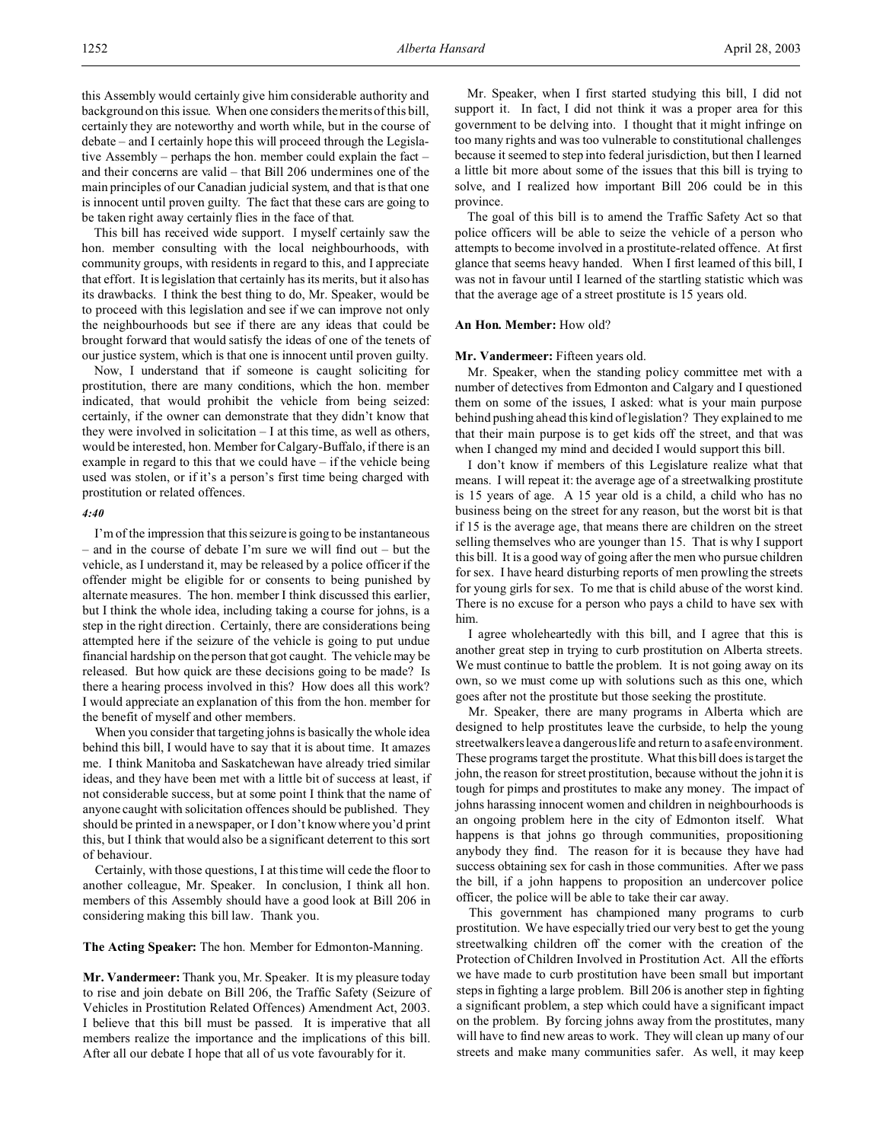this Assembly would certainly give him considerable authority and background on this issue. When one considers the merits of this bill, certainly they are noteworthy and worth while, but in the course of debate – and I certainly hope this will proceed through the Legislative Assembly – perhaps the hon. member could explain the fact – and their concerns are valid – that Bill 206 undermines one of the main principles of our Canadian judicial system, and that is that one is innocent until proven guilty. The fact that these cars are going to be taken right away certainly flies in the face of that.

This bill has received wide support. I myself certainly saw the hon. member consulting with the local neighbourhoods, with community groups, with residents in regard to this, and I appreciate that effort. It is legislation that certainly has its merits, but it also has its drawbacks. I think the best thing to do, Mr. Speaker, would be to proceed with this legislation and see if we can improve not only the neighbourhoods but see if there are any ideas that could be brought forward that would satisfy the ideas of one of the tenets of our justice system, which is that one is innocent until proven guilty.

Now, I understand that if someone is caught soliciting for prostitution, there are many conditions, which the hon. member indicated, that would prohibit the vehicle from being seized: certainly, if the owner can demonstrate that they didn't know that they were involved in solicitation – I at this time, as well as others, would be interested, hon. Member for Calgary-Buffalo, if there is an example in regard to this that we could have – if the vehicle being used was stolen, or if it's a person's first time being charged with prostitution or related offences.

#### *4:40*

I'm of the impression that this seizure is going to be instantaneous – and in the course of debate I'm sure we will find out – but the vehicle, as I understand it, may be released by a police officer if the offender might be eligible for or consents to being punished by alternate measures. The hon. member I think discussed this earlier, but I think the whole idea, including taking a course for johns, is a step in the right direction. Certainly, there are considerations being attempted here if the seizure of the vehicle is going to put undue financial hardship on the person that got caught. The vehicle may be released. But how quick are these decisions going to be made? Is there a hearing process involved in this? How does all this work? I would appreciate an explanation of this from the hon. member for the benefit of myself and other members.

When you consider that targeting johns is basically the whole idea behind this bill, I would have to say that it is about time. It amazes me. I think Manitoba and Saskatchewan have already tried similar ideas, and they have been met with a little bit of success at least, if not considerable success, but at some point I think that the name of anyone caught with solicitation offences should be published. They should be printed in a newspaper, or I don't know where you'd print this, but I think that would also be a significant deterrent to this sort of behaviour.

Certainly, with those questions, I at this time will cede the floor to another colleague, Mr. Speaker. In conclusion, I think all hon. members of this Assembly should have a good look at Bill 206 in considering making this bill law. Thank you.

**The Acting Speaker:** The hon. Member for Edmonton-Manning.

**Mr. Vandermeer:** Thank you, Mr. Speaker. It is my pleasure today to rise and join debate on Bill 206, the Traffic Safety (Seizure of Vehicles in Prostitution Related Offences) Amendment Act, 2003. I believe that this bill must be passed. It is imperative that all members realize the importance and the implications of this bill. After all our debate I hope that all of us vote favourably for it.

Mr. Speaker, when I first started studying this bill, I did not support it. In fact, I did not think it was a proper area for this government to be delving into. I thought that it might infringe on too many rights and was too vulnerable to constitutional challenges because it seemed to step into federal jurisdiction, but then I learned a little bit more about some of the issues that this bill is trying to solve, and I realized how important Bill 206 could be in this province.

The goal of this bill is to amend the Traffic Safety Act so that police officers will be able to seize the vehicle of a person who attempts to become involved in a prostitute-related offence. At first glance that seems heavy handed. When I first learned of this bill, I was not in favour until I learned of the startling statistic which was that the average age of a street prostitute is 15 years old.

#### **An Hon. Member:** How old?

#### **Mr. Vandermeer:** Fifteen years old.

Mr. Speaker, when the standing policy committee met with a number of detectives from Edmonton and Calgary and I questioned them on some of the issues, I asked: what is your main purpose behind pushing ahead this kind of legislation? They explained to me that their main purpose is to get kids off the street, and that was when I changed my mind and decided I would support this bill.

I don't know if members of this Legislature realize what that means. I will repeat it: the average age of a streetwalking prostitute is 15 years of age. A 15 year old is a child, a child who has no business being on the street for any reason, but the worst bit is that if 15 is the average age, that means there are children on the street selling themselves who are younger than 15. That is why I support this bill. It is a good way of going after the men who pursue children for sex. I have heard disturbing reports of men prowling the streets for young girls for sex. To me that is child abuse of the worst kind. There is no excuse for a person who pays a child to have sex with him.

I agree wholeheartedly with this bill, and I agree that this is another great step in trying to curb prostitution on Alberta streets. We must continue to battle the problem. It is not going away on its own, so we must come up with solutions such as this one, which goes after not the prostitute but those seeking the prostitute.

Mr. Speaker, there are many programs in Alberta which are designed to help prostitutes leave the curbside, to help the young streetwalkers leave a dangerous life and return to a safe environment. These programs target the prostitute. What this bill does is target the john, the reason for street prostitution, because without the john it is tough for pimps and prostitutes to make any money. The impact of johns harassing innocent women and children in neighbourhoods is an ongoing problem here in the city of Edmonton itself. What happens is that johns go through communities, propositioning anybody they find. The reason for it is because they have had success obtaining sex for cash in those communities. After we pass the bill, if a john happens to proposition an undercover police officer, the police will be able to take their car away.

This government has championed many programs to curb prostitution. We have especially tried our very best to get the young streetwalking children off the corner with the creation of the Protection of Children Involved in Prostitution Act. All the efforts we have made to curb prostitution have been small but important steps in fighting a large problem. Bill 206 is another step in fighting a significant problem, a step which could have a significant impact on the problem. By forcing johns away from the prostitutes, many will have to find new areas to work. They will clean up many of our streets and make many communities safer. As well, it may keep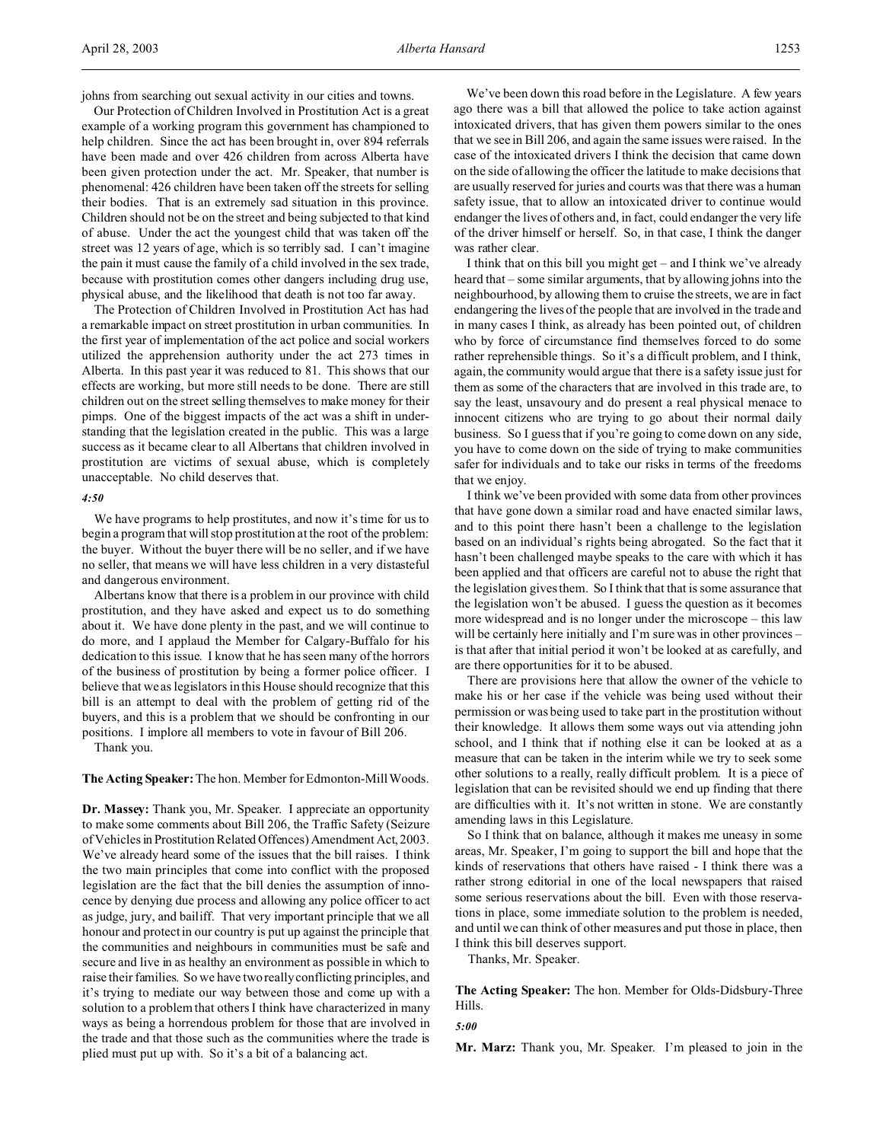johns from searching out sexual activity in our cities and towns.

Our Protection of Children Involved in Prostitution Act is a great example of a working program this government has championed to help children. Since the act has been brought in, over 894 referrals have been made and over 426 children from across Alberta have been given protection under the act. Mr. Speaker, that number is phenomenal: 426 children have been taken off the streets for selling their bodies. That is an extremely sad situation in this province. Children should not be on the street and being subjected to that kind of abuse. Under the act the youngest child that was taken off the street was 12 years of age, which is so terribly sad. I can't imagine the pain it must cause the family of a child involved in the sex trade, because with prostitution comes other dangers including drug use, physical abuse, and the likelihood that death is not too far away.

The Protection of Children Involved in Prostitution Act has had a remarkable impact on street prostitution in urban communities. In the first year of implementation of the act police and social workers utilized the apprehension authority under the act 273 times in Alberta. In this past year it was reduced to 81. This shows that our effects are working, but more still needs to be done. There are still children out on the street selling themselves to make money for their pimps. One of the biggest impacts of the act was a shift in understanding that the legislation created in the public. This was a large success as it became clear to all Albertans that children involved in prostitution are victims of sexual abuse, which is completely unacceptable. No child deserves that.

### *4:50*

We have programs to help prostitutes, and now it's time for us to begin a program that will stop prostitution at the root of the problem: the buyer. Without the buyer there will be no seller, and if we have no seller, that means we will have less children in a very distasteful and dangerous environment.

Albertans know that there is a problem in our province with child prostitution, and they have asked and expect us to do something about it. We have done plenty in the past, and we will continue to do more, and I applaud the Member for Calgary-Buffalo for his dedication to this issue. I know that he has seen many of the horrors of the business of prostitution by being a former police officer. I believe that we as legislators in this House should recognize that this bill is an attempt to deal with the problem of getting rid of the buyers, and this is a problem that we should be confronting in our positions. I implore all members to vote in favour of Bill 206.

Thank you.

**The Acting Speaker:** The hon. Member for Edmonton-Mill Woods.

**Dr. Massey:** Thank you, Mr. Speaker. I appreciate an opportunity to make some comments about Bill 206, the Traffic Safety (Seizure of Vehicles in Prostitution Related Offences) Amendment Act, 2003. We've already heard some of the issues that the bill raises. I think the two main principles that come into conflict with the proposed legislation are the fact that the bill denies the assumption of innocence by denying due process and allowing any police officer to act as judge, jury, and bailiff. That very important principle that we all honour and protect in our country is put up against the principle that the communities and neighbours in communities must be safe and secure and live in as healthy an environment as possible in which to raise their families. So we have two really conflicting principles, and it's trying to mediate our way between those and come up with a solution to a problem that others I think have characterized in many ways as being a horrendous problem for those that are involved in the trade and that those such as the communities where the trade is plied must put up with. So it's a bit of a balancing act.

We've been down this road before in the Legislature. A few years ago there was a bill that allowed the police to take action against intoxicated drivers, that has given them powers similar to the ones that we see in Bill 206, and again the same issues were raised. In the case of the intoxicated drivers I think the decision that came down on the side of allowing the officer the latitude to make decisions that are usually reserved for juries and courts was that there was a human safety issue, that to allow an intoxicated driver to continue would endanger the lives of others and, in fact, could endanger the very life of the driver himself or herself. So, in that case, I think the danger was rather clear.

I think that on this bill you might get – and I think we've already heard that – some similar arguments, that by allowing johns into the neighbourhood, by allowing them to cruise the streets, we are in fact endangering the lives of the people that are involved in the trade and in many cases I think, as already has been pointed out, of children who by force of circumstance find themselves forced to do some rather reprehensible things. So it's a difficult problem, and I think, again, the community would argue that there is a safety issue just for them as some of the characters that are involved in this trade are, to say the least, unsavoury and do present a real physical menace to innocent citizens who are trying to go about their normal daily business. So I guess that if you're going to come down on any side, you have to come down on the side of trying to make communities safer for individuals and to take our risks in terms of the freedoms that we enjoy.

I think we've been provided with some data from other provinces that have gone down a similar road and have enacted similar laws, and to this point there hasn't been a challenge to the legislation based on an individual's rights being abrogated. So the fact that it hasn't been challenged maybe speaks to the care with which it has been applied and that officers are careful not to abuse the right that the legislation gives them. So I think that that is some assurance that the legislation won't be abused. I guess the question as it becomes more widespread and is no longer under the microscope – this law will be certainly here initially and I'm sure was in other provinces is that after that initial period it won't be looked at as carefully, and are there opportunities for it to be abused.

There are provisions here that allow the owner of the vehicle to make his or her case if the vehicle was being used without their permission or was being used to take part in the prostitution without their knowledge. It allows them some ways out via attending john school, and I think that if nothing else it can be looked at as a measure that can be taken in the interim while we try to seek some other solutions to a really, really difficult problem. It is a piece of legislation that can be revisited should we end up finding that there are difficulties with it. It's not written in stone. We are constantly amending laws in this Legislature.

So I think that on balance, although it makes me uneasy in some areas, Mr. Speaker, I'm going to support the bill and hope that the kinds of reservations that others have raised - I think there was a rather strong editorial in one of the local newspapers that raised some serious reservations about the bill. Even with those reservations in place, some immediate solution to the problem is needed, and until we can think of other measures and put those in place, then I think this bill deserves support.

Thanks, Mr. Speaker.

**The Acting Speaker:** The hon. Member for Olds-Didsbury-Three Hills.

*5:00*

**Mr. Marz:** Thank you, Mr. Speaker. I'm pleased to join in the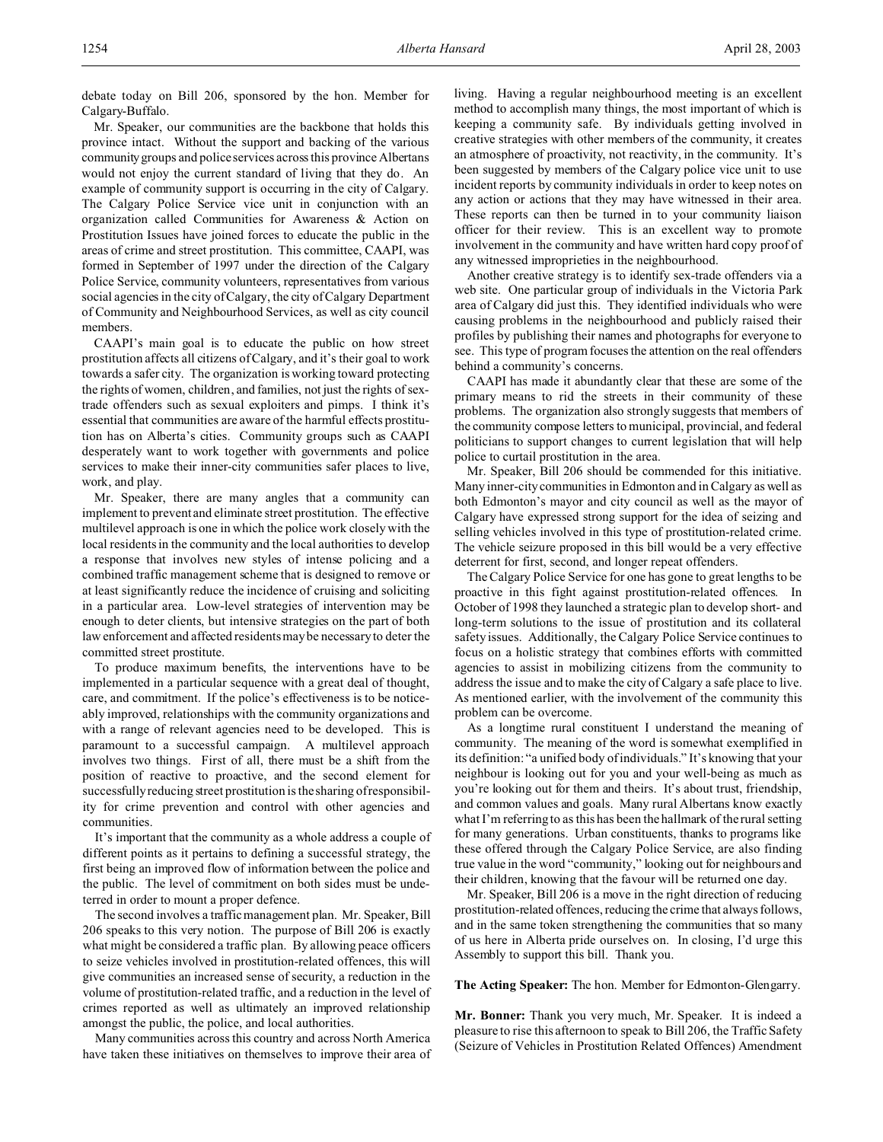debate today on Bill 206, sponsored by the hon. Member for Calgary-Buffalo.

Mr. Speaker, our communities are the backbone that holds this province intact. Without the support and backing of the various communitygroups and police services across this province Albertans would not enjoy the current standard of living that they do. An example of community support is occurring in the city of Calgary. The Calgary Police Service vice unit in conjunction with an organization called Communities for Awareness & Action on Prostitution Issues have joined forces to educate the public in the areas of crime and street prostitution. This committee, CAAPI, was formed in September of 1997 under the direction of the Calgary Police Service, community volunteers, representatives from various social agencies in the city of Calgary, the city of Calgary Department of Community and Neighbourhood Services, as well as city council members.

CAAPI's main goal is to educate the public on how street prostitution affects all citizens of Calgary, and it's their goal to work towards a safer city. The organization is working toward protecting the rights of women, children, and families, not just the rights of sextrade offenders such as sexual exploiters and pimps. I think it's essential that communities are aware of the harmful effects prostitution has on Alberta's cities. Community groups such as CAAPI desperately want to work together with governments and police services to make their inner-city communities safer places to live, work, and play.

Mr. Speaker, there are many angles that a community can implement to prevent and eliminate street prostitution. The effective multilevel approach is one in which the police work closely with the local residents in the community and the local authorities to develop a response that involves new styles of intense policing and a combined traffic management scheme that is designed to remove or at least significantly reduce the incidence of cruising and soliciting in a particular area. Low-level strategies of intervention may be enough to deter clients, but intensive strategies on the part of both law enforcement and affected residents may be necessary to deter the committed street prostitute.

To produce maximum benefits, the interventions have to be implemented in a particular sequence with a great deal of thought, care, and commitment. If the police's effectiveness is to be noticeably improved, relationships with the community organizations and with a range of relevant agencies need to be developed. This is paramount to a successful campaign. A multilevel approach involves two things. First of all, there must be a shift from the position of reactive to proactive, and the second element for successfully reducing street prostitution is the sharing of responsibility for crime prevention and control with other agencies and communities.

It's important that the community as a whole address a couple of different points as it pertains to defining a successful strategy, the first being an improved flow of information between the police and the public. The level of commitment on both sides must be undeterred in order to mount a proper defence.

The second involves a traffic management plan. Mr. Speaker, Bill 206 speaks to this very notion. The purpose of Bill 206 is exactly what might be considered a traffic plan. By allowing peace officers to seize vehicles involved in prostitution-related offences, this will give communities an increased sense of security, a reduction in the volume of prostitution-related traffic, and a reduction in the level of crimes reported as well as ultimately an improved relationship amongst the public, the police, and local authorities.

Many communities across this country and across North America have taken these initiatives on themselves to improve their area of living. Having a regular neighbourhood meeting is an excellent method to accomplish many things, the most important of which is keeping a community safe. By individuals getting involved in creative strategies with other members of the community, it creates an atmosphere of proactivity, not reactivity, in the community. It's been suggested by members of the Calgary police vice unit to use incident reports by community individuals in order to keep notes on any action or actions that they may have witnessed in their area. These reports can then be turned in to your community liaison officer for their review. This is an excellent way to promote involvement in the community and have written hard copy proof of any witnessed improprieties in the neighbourhood.

Another creative strategy is to identify sex-trade offenders via a web site. One particular group of individuals in the Victoria Park area of Calgary did just this. They identified individuals who were causing problems in the neighbourhood and publicly raised their profiles by publishing their names and photographs for everyone to see. This type of program focuses the attention on the real offenders behind a community's concerns.

CAAPI has made it abundantly clear that these are some of the primary means to rid the streets in their community of these problems. The organization also strongly suggests that members of the community compose letters to municipal, provincial, and federal politicians to support changes to current legislation that will help police to curtail prostitution in the area.

Mr. Speaker, Bill 206 should be commended for this initiative. Many inner-city communities in Edmonton and in Calgary as well as both Edmonton's mayor and city council as well as the mayor of Calgary have expressed strong support for the idea of seizing and selling vehicles involved in this type of prostitution-related crime. The vehicle seizure proposed in this bill would be a very effective deterrent for first, second, and longer repeat offenders.

The Calgary Police Service for one has gone to great lengths to be proactive in this fight against prostitution-related offences. In October of 1998 they launched a strategic plan to develop short- and long-term solutions to the issue of prostitution and its collateral safety issues. Additionally, the Calgary Police Service continues to focus on a holistic strategy that combines efforts with committed agencies to assist in mobilizing citizens from the community to address the issue and to make the city of Calgary a safe place to live. As mentioned earlier, with the involvement of the community this problem can be overcome.

As a longtime rural constituent I understand the meaning of community. The meaning of the word is somewhat exemplified in its definition: "a unified body of individuals." It's knowing that your neighbour is looking out for you and your well-being as much as you're looking out for them and theirs. It's about trust, friendship, and common values and goals. Many rural Albertans know exactly what I'm referring to as this has been the hallmark of the rural setting for many generations. Urban constituents, thanks to programs like these offered through the Calgary Police Service, are also finding true value in the word "community," looking out for neighbours and their children, knowing that the favour will be returned one day.

Mr. Speaker, Bill 206 is a move in the right direction of reducing prostitution-related offences, reducing the crime that always follows, and in the same token strengthening the communities that so many of us here in Alberta pride ourselves on. In closing, I'd urge this Assembly to support this bill. Thank you.

**The Acting Speaker:** The hon. Member for Edmonton-Glengarry.

**Mr. Bonner:** Thank you very much, Mr. Speaker. It is indeed a pleasure to rise this afternoon to speak to Bill 206, the Traffic Safety (Seizure of Vehicles in Prostitution Related Offences) Amendment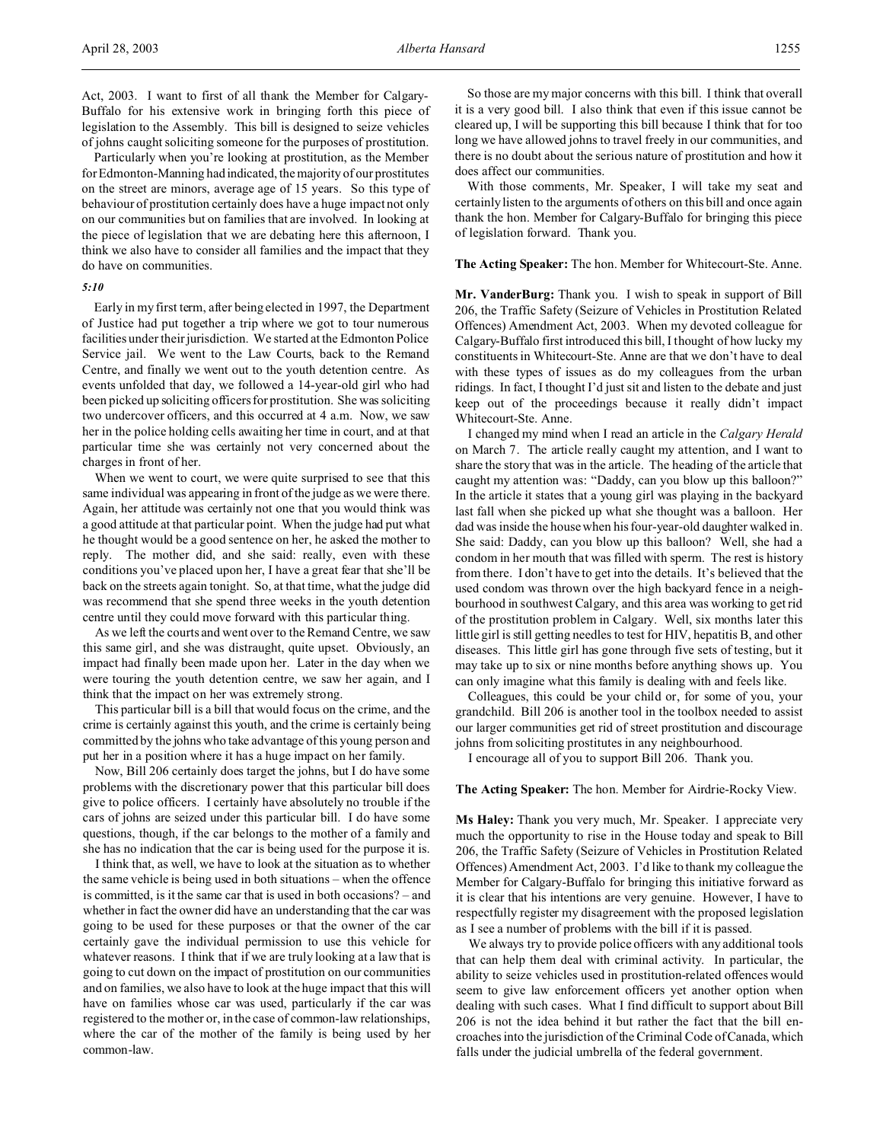Particularly when you're looking at prostitution, as the Member for Edmonton-Manning had indicated, the majority of our prostitutes on the street are minors, average age of 15 years. So this type of behaviour of prostitution certainly does have a huge impact not only on our communities but on families that are involved. In looking at the piece of legislation that we are debating here this afternoon, I think we also have to consider all families and the impact that they do have on communities.

# *5:10*

Early in my first term, after being elected in 1997, the Department of Justice had put together a trip where we got to tour numerous facilities under their jurisdiction. We started at the Edmonton Police Service jail. We went to the Law Courts, back to the Remand Centre, and finally we went out to the youth detention centre. As events unfolded that day, we followed a 14-year-old girl who had been picked up soliciting officers for prostitution. She was soliciting two undercover officers, and this occurred at 4 a.m. Now, we saw her in the police holding cells awaiting her time in court, and at that particular time she was certainly not very concerned about the charges in front of her.

When we went to court, we were quite surprised to see that this same individual was appearing in front of the judge as we were there. Again, her attitude was certainly not one that you would think was a good attitude at that particular point. When the judge had put what he thought would be a good sentence on her, he asked the mother to reply. The mother did, and she said: really, even with these conditions you've placed upon her, I have a great fear that she'll be back on the streets again tonight. So, at that time, what the judge did was recommend that she spend three weeks in the youth detention centre until they could move forward with this particular thing.

As we left the courts and went over to the Remand Centre, we saw this same girl, and she was distraught, quite upset. Obviously, an impact had finally been made upon her. Later in the day when we were touring the youth detention centre, we saw her again, and I think that the impact on her was extremely strong.

This particular bill is a bill that would focus on the crime, and the crime is certainly against this youth, and the crime is certainly being committed by the johns who take advantage of this young person and put her in a position where it has a huge impact on her family.

Now, Bill 206 certainly does target the johns, but I do have some problems with the discretionary power that this particular bill does give to police officers. I certainly have absolutely no trouble if the cars of johns are seized under this particular bill. I do have some questions, though, if the car belongs to the mother of a family and she has no indication that the car is being used for the purpose it is.

I think that, as well, we have to look at the situation as to whether the same vehicle is being used in both situations – when the offence is committed, is it the same car that is used in both occasions? – and whether in fact the owner did have an understanding that the car was going to be used for these purposes or that the owner of the car certainly gave the individual permission to use this vehicle for whatever reasons. I think that if we are truly looking at a law that is going to cut down on the impact of prostitution on our communities and on families, we also have to look at the huge impact that this will have on families whose car was used, particularly if the car was registered to the mother or, in the case of common-law relationships, where the car of the mother of the family is being used by her common-law.

So those are my major concerns with this bill. I think that overall it is a very good bill. I also think that even if this issue cannot be cleared up, I will be supporting this bill because I think that for too long we have allowed johns to travel freely in our communities, and there is no doubt about the serious nature of prostitution and how it does affect our communities.

With those comments, Mr. Speaker, I will take my seat and certainly listen to the arguments of others on this bill and once again thank the hon. Member for Calgary-Buffalo for bringing this piece of legislation forward. Thank you.

#### **The Acting Speaker:** The hon. Member for Whitecourt-Ste. Anne.

**Mr. VanderBurg:** Thank you. I wish to speak in support of Bill 206, the Traffic Safety (Seizure of Vehicles in Prostitution Related Offences) Amendment Act, 2003. When my devoted colleague for Calgary-Buffalo first introduced this bill, I thought of how lucky my constituents in Whitecourt-Ste. Anne are that we don't have to deal with these types of issues as do my colleagues from the urban ridings. In fact, I thought I'd just sit and listen to the debate and just keep out of the proceedings because it really didn't impact Whitecourt-Ste. Anne.

I changed my mind when I read an article in the *Calgary Herald* on March 7. The article really caught my attention, and I want to share the story that was in the article. The heading of the article that caught my attention was: "Daddy, can you blow up this balloon?" In the article it states that a young girl was playing in the backyard last fall when she picked up what she thought was a balloon. Her dad was inside the house when his four-year-old daughter walked in. She said: Daddy, can you blow up this balloon? Well, she had a condom in her mouth that was filled with sperm. The rest is history from there. I don't have to get into the details. It's believed that the used condom was thrown over the high backyard fence in a neighbourhood in southwest Calgary, and this area was working to get rid of the prostitution problem in Calgary. Well, six months later this little girl is still getting needles to test for HIV, hepatitis B, and other diseases. This little girl has gone through five sets of testing, but it may take up to six or nine months before anything shows up. You can only imagine what this family is dealing with and feels like.

Colleagues, this could be your child or, for some of you, your grandchild. Bill 206 is another tool in the toolbox needed to assist our larger communities get rid of street prostitution and discourage johns from soliciting prostitutes in any neighbourhood.

I encourage all of you to support Bill 206. Thank you.

#### **The Acting Speaker:** The hon. Member for Airdrie-Rocky View.

**Ms Haley:** Thank you very much, Mr. Speaker. I appreciate very much the opportunity to rise in the House today and speak to Bill 206, the Traffic Safety (Seizure of Vehicles in Prostitution Related Offences) Amendment Act, 2003. I'd like to thank my colleague the Member for Calgary-Buffalo for bringing this initiative forward as it is clear that his intentions are very genuine. However, I have to respectfully register my disagreement with the proposed legislation as I see a number of problems with the bill if it is passed.

We always try to provide police officers with any additional tools that can help them deal with criminal activity. In particular, the ability to seize vehicles used in prostitution-related offences would seem to give law enforcement officers yet another option when dealing with such cases. What I find difficult to support about Bill 206 is not the idea behind it but rather the fact that the bill encroaches into the jurisdiction of the Criminal Code of Canada, which falls under the judicial umbrella of the federal government.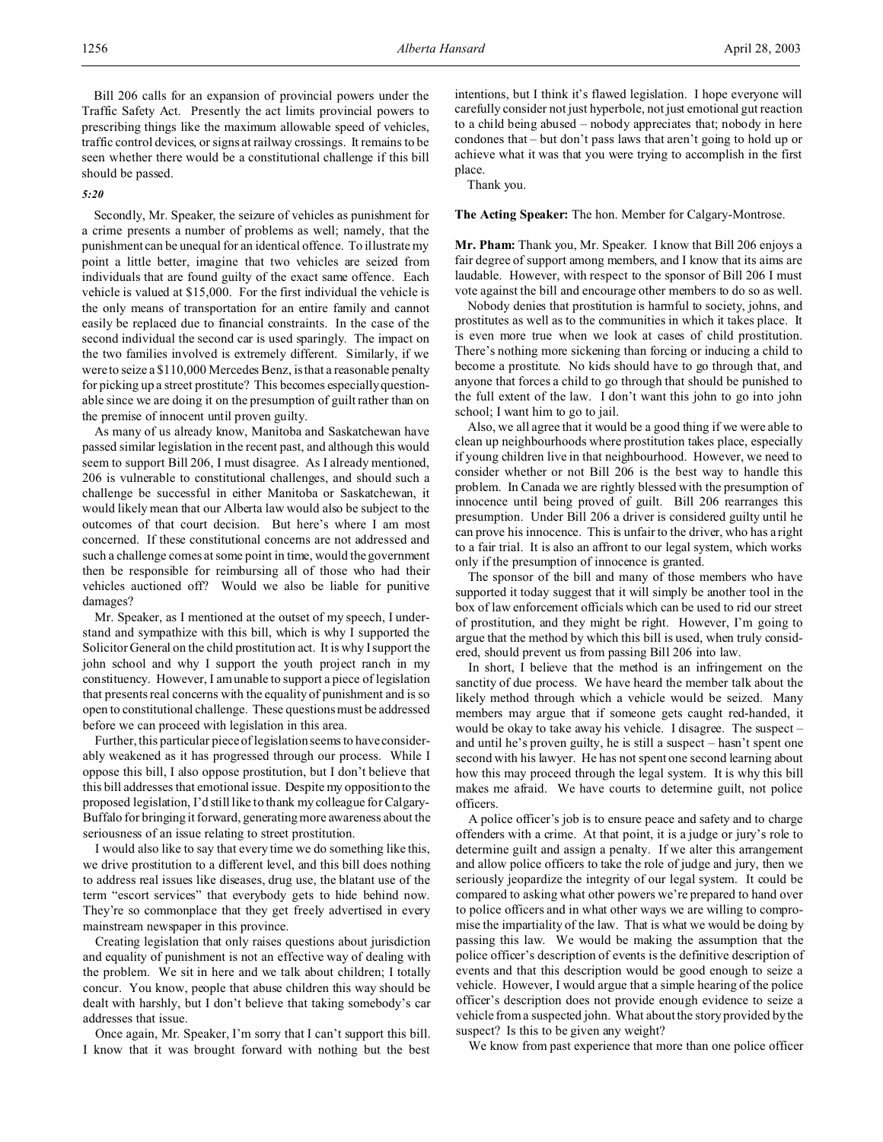Bill 206 calls for an expansion of provincial powers under the Traffic Safety Act. Presently the act limits provincial powers to prescribing things like the maximum allowable speed of vehicles, traffic control devices, or signs at railway crossings. It remains to be seen whether there would be a constitutional challenge if this bill should be passed.

### *5:20*

Secondly, Mr. Speaker, the seizure of vehicles as punishment for a crime presents a number of problems as well; namely, that the punishment can be unequal for an identical offence. To illustrate my point a little better, imagine that two vehicles are seized from individuals that are found guilty of the exact same offence. Each vehicle is valued at \$15,000. For the first individual the vehicle is the only means of transportation for an entire family and cannot easily be replaced due to financial constraints. In the case of the second individual the second car is used sparingly. The impact on the two families involved is extremely different. Similarly, if we were to seize a \$110,000 Mercedes Benz, is that a reasonable penalty for picking up a street prostitute? This becomes especially questionable since we are doing it on the presumption of guilt rather than on the premise of innocent until proven guilty.

As many of us already know, Manitoba and Saskatchewan have passed similar legislation in the recent past, and although this would seem to support Bill 206, I must disagree. As I already mentioned, 206 is vulnerable to constitutional challenges, and should such a challenge be successful in either Manitoba or Saskatchewan, it would likely mean that our Alberta law would also be subject to the outcomes of that court decision. But here's where I am most concerned. If these constitutional concerns are not addressed and such a challenge comes at some point in time, would the government then be responsible for reimbursing all of those who had their vehicles auctioned off? Would we also be liable for punitive damages?

Mr. Speaker, as I mentioned at the outset of my speech, I understand and sympathize with this bill, which is why I supported the Solicitor General on the child prostitution act. It is why I support the john school and why I support the youth project ranch in my constituency. However, I am unable to support a piece of legislation that presents real concerns with the equality of punishment and is so open to constitutional challenge. These questions must be addressed before we can proceed with legislation in this area.

Further, this particular piece of legislation seems to have considerably weakened as it has progressed through our process. While I oppose this bill, I also oppose prostitution, but I don't believe that this bill addresses that emotional issue. Despite my opposition to the proposed legislation, I'd still like to thank my colleague for Calgary-Buffalo for bringing it forward, generating more awareness about the seriousness of an issue relating to street prostitution.

I would also like to say that every time we do something like this, we drive prostitution to a different level, and this bill does nothing to address real issues like diseases, drug use, the blatant use of the term "escort services" that everybody gets to hide behind now. They're so commonplace that they get freely advertised in every mainstream newspaper in this province.

Creating legislation that only raises questions about jurisdiction and equality of punishment is not an effective way of dealing with the problem. We sit in here and we talk about children; I totally concur. You know, people that abuse children this way should be dealt with harshly, but I don't believe that taking somebody's car addresses that issue.

Once again, Mr. Speaker, I'm sorry that I can't support this bill. I know that it was brought forward with nothing but the best intentions, but I think it's flawed legislation. I hope everyone will carefully consider not just hyperbole, not just emotional gut reaction to a child being abused – nobody appreciates that; nobody in here condones that – but don't pass laws that aren't going to hold up or achieve what it was that you were trying to accomplish in the first place.

Thank you.

**The Acting Speaker:** The hon. Member for Calgary-Montrose.

**Mr. Pham:** Thank you, Mr. Speaker. I know that Bill 206 enjoys a fair degree of support among members, and I know that its aims are laudable. However, with respect to the sponsor of Bill 206 I must vote against the bill and encourage other members to do so as well.

Nobody denies that prostitution is harmful to society, johns, and prostitutes as well as to the communities in which it takes place. It is even more true when we look at cases of child prostitution. There's nothing more sickening than forcing or inducing a child to become a prostitute. No kids should have to go through that, and anyone that forces a child to go through that should be punished to the full extent of the law. I don't want this john to go into john school; I want him to go to jail.

Also, we all agree that it would be a good thing if we were able to clean up neighbourhoods where prostitution takes place, especially if young children live in that neighbourhood. However, we need to consider whether or not Bill 206 is the best way to handle this problem. In Canada we are rightly blessed with the presumption of innocence until being proved of guilt. Bill 206 rearranges this presumption. Under Bill 206 a driver is considered guilty until he can prove his innocence. This is unfair to the driver, who has a right to a fair trial. It is also an affront to our legal system, which works only if the presumption of innocence is granted.

The sponsor of the bill and many of those members who have supported it today suggest that it will simply be another tool in the box of law enforcement officials which can be used to rid our street of prostitution, and they might be right. However, I'm going to argue that the method by which this bill is used, when truly considered, should prevent us from passing Bill 206 into law.

In short, I believe that the method is an infringement on the sanctity of due process. We have heard the member talk about the likely method through which a vehicle would be seized. Many members may argue that if someone gets caught red-handed, it would be okay to take away his vehicle. I disagree. The suspect – and until he's proven guilty, he is still a suspect – hasn't spent one second with his lawyer. He has not spent one second learning about how this may proceed through the legal system. It is why this bill makes me afraid. We have courts to determine guilt, not police officers.

A police officer's job is to ensure peace and safety and to charge offenders with a crime. At that point, it is a judge or jury's role to determine guilt and assign a penalty. If we alter this arrangement and allow police officers to take the role of judge and jury, then we seriously jeopardize the integrity of our legal system. It could be compared to asking what other powers we're prepared to hand over to police officers and in what other ways we are willing to compromise the impartiality of the law. That is what we would be doing by passing this law. We would be making the assumption that the police officer's description of events is the definitive description of events and that this description would be good enough to seize a vehicle. However, I would argue that a simple hearing of the police officer's description does not provide enough evidence to seize a vehicle from a suspected john. What about the story provided by the suspect? Is this to be given any weight?

We know from past experience that more than one police officer